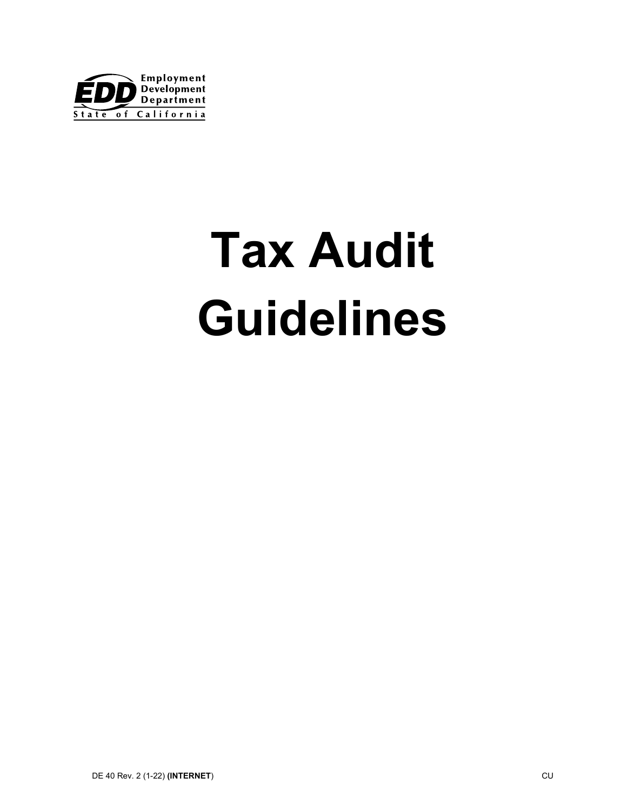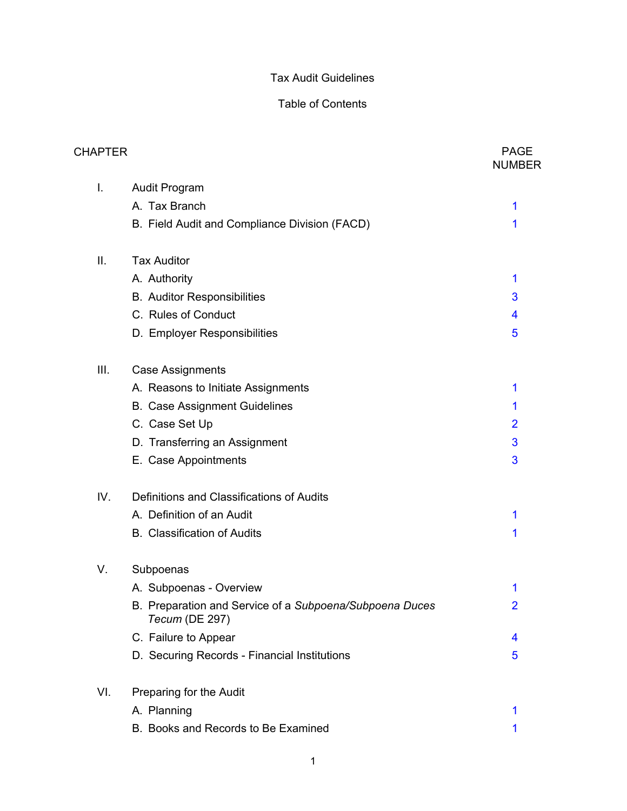# Table of Contents

| <b>CHAPTER</b> |                                                                           | <b>PAGE</b><br><b>NUMBER</b> |
|----------------|---------------------------------------------------------------------------|------------------------------|
| I.             | <b>Audit Program</b>                                                      |                              |
|                | A. Tax Branch                                                             | 1                            |
|                | B. Field Audit and Compliance Division (FACD)                             | 1                            |
| ΙΙ.            | <b>Tax Auditor</b>                                                        |                              |
|                | A. Authority                                                              | 1                            |
|                | <b>B.</b> Auditor Responsibilities                                        | 3                            |
|                | C. Rules of Conduct                                                       | 4                            |
|                | D. Employer Responsibilities                                              | 5                            |
| Ш.             | <b>Case Assignments</b>                                                   |                              |
|                | A. Reasons to Initiate Assignments                                        | 1                            |
|                | <b>B. Case Assignment Guidelines</b>                                      | 1                            |
|                | C. Case Set Up                                                            | $\overline{2}$               |
|                | D. Transferring an Assignment                                             | 3                            |
|                | E. Case Appointments                                                      | 3                            |
| IV.            | Definitions and Classifications of Audits                                 |                              |
|                | A. Definition of an Audit                                                 | 1                            |
|                | <b>B.</b> Classification of Audits                                        | 1                            |
| V.             | Subpoenas                                                                 |                              |
|                | A. Subpoenas - Overview                                                   | 1                            |
|                | B. Preparation and Service of a Subpoena/Subpoena Duces<br>Tecum (DE 297) | 2                            |
|                | C. Failure to Appear                                                      | 4                            |
|                | D. Securing Records - Financial Institutions                              | 5                            |
| VI.            | Preparing for the Audit                                                   |                              |
|                | A. Planning                                                               | 1                            |
|                | B. Books and Records to Be Examined                                       | 1                            |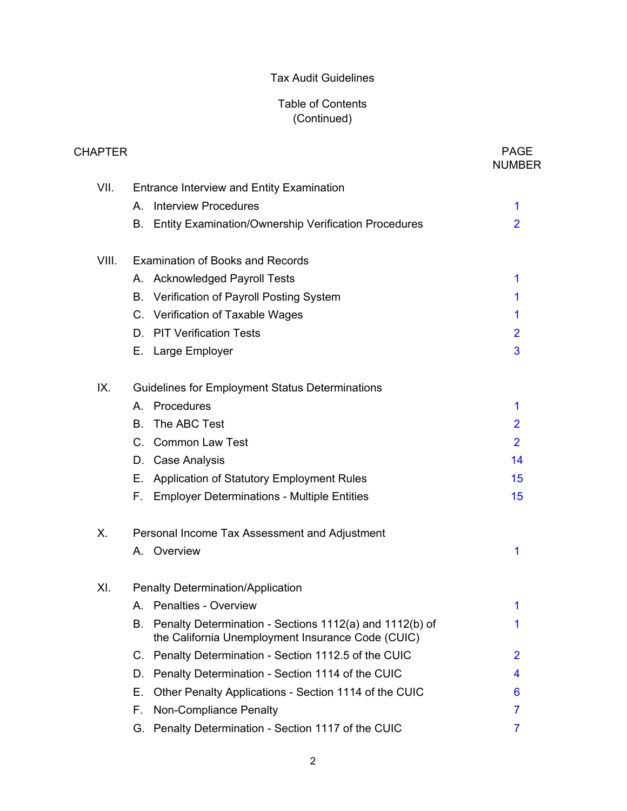| CHAPTER |                                                                                                                    | <b>PAGE</b><br><b>NUMBER</b> |
|---------|--------------------------------------------------------------------------------------------------------------------|------------------------------|
| VII.    | <b>Entrance Interview and Entity Examination</b>                                                                   |                              |
|         | <b>Interview Procedures</b><br>Α.                                                                                  | 1                            |
|         | Entity Examination/Ownership Verification Procedures<br>В.                                                         | $\overline{2}$               |
| VIII.   | Examination of Books and Records                                                                                   |                              |
|         | A. Acknowledged Payroll Tests                                                                                      | 1                            |
|         | Verification of Payroll Posting System<br>В.                                                                       | 1                            |
|         | C. Verification of Taxable Wages                                                                                   | 1                            |
|         | <b>PIT Verification Tests</b><br>D.                                                                                | $\overline{2}$               |
|         | E. Large Employer                                                                                                  | 3                            |
| IX.     | <b>Guidelines for Employment Status Determinations</b>                                                             |                              |
|         | A. Procedures                                                                                                      | 1                            |
|         | The ABC Test<br>В.                                                                                                 | $\overline{2}$               |
|         | <b>Common Law Test</b><br>$C_{1}$                                                                                  | $\overline{2}$               |
|         | <b>Case Analysis</b><br>D.                                                                                         | 14                           |
|         | Application of Statutory Employment Rules<br>Е.                                                                    | 15                           |
|         | F.<br><b>Employer Determinations - Multiple Entities</b>                                                           | 15                           |
| Х.      | Personal Income Tax Assessment and Adjustment                                                                      |                              |
|         | A. Overview                                                                                                        | 1                            |
| XI.     | <b>Penalty Determination/Application</b>                                                                           |                              |
|         | A. Penalties - Overview                                                                                            | 1                            |
|         | Penalty Determination - Sections 1112(a) and 1112(b) of<br>В.<br>the California Unemployment Insurance Code (CUIC) | 1                            |
|         | C. Penalty Determination - Section 1112.5 of the CUIC                                                              | 2                            |
|         | Penalty Determination - Section 1114 of the CUIC<br>D.                                                             | 4                            |
|         | Other Penalty Applications - Section 1114 of the CUIC<br>Е.                                                        | 6                            |
|         | Non-Compliance Penalty<br>F.                                                                                       | 7                            |
|         | Penalty Determination - Section 1117 of the CUIC<br>G.                                                             | 7                            |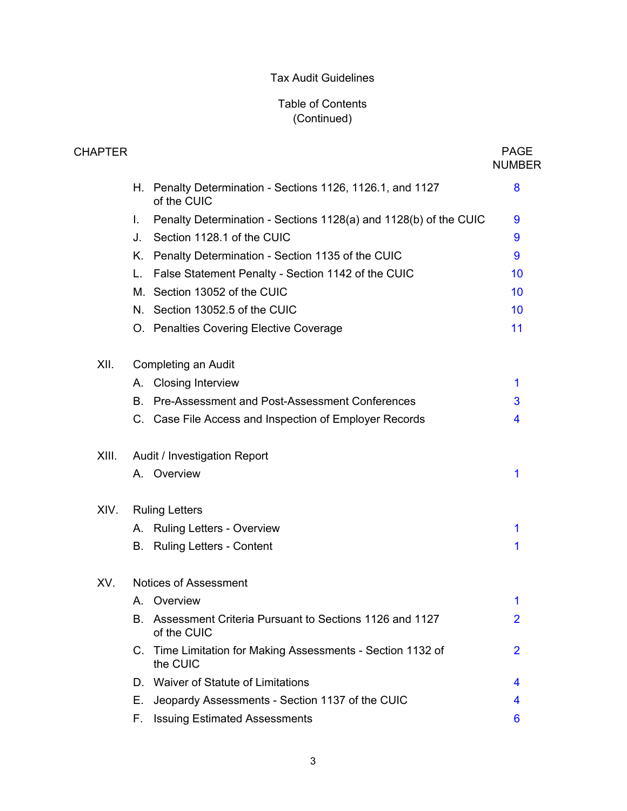| CHAPTER |    |                                                                          | <b>PAGE</b><br><b>NUMBER</b> |
|---------|----|--------------------------------------------------------------------------|------------------------------|
|         | Н. | Penalty Determination - Sections 1126, 1126.1, and 1127<br>of the CUIC   | 8                            |
|         | L. | Penalty Determination - Sections 1128(a) and 1128(b) of the CUIC         | 9                            |
|         | J. | Section 1128.1 of the CUIC                                               | 9                            |
|         | K. | Penalty Determination - Section 1135 of the CUIC                         | 9                            |
|         | L. | False Statement Penalty - Section 1142 of the CUIC                       | 10                           |
|         |    | M. Section 13052 of the CUIC                                             | 10                           |
|         |    | N. Section 13052.5 of the CUIC                                           | 10                           |
|         |    | O. Penalties Covering Elective Coverage                                  | 11                           |
| XII.    |    | Completing an Audit                                                      |                              |
|         |    | A. Closing Interview                                                     | 1                            |
|         | B. | Pre-Assessment and Post-Assessment Conferences                           | 3                            |
|         |    | C. Case File Access and Inspection of Employer Records                   | 4                            |
| XIII.   |    | Audit / Investigation Report                                             |                              |
|         |    | A. Overview                                                              | 1                            |
| XIV.    |    | <b>Ruling Letters</b>                                                    |                              |
|         | А. | <b>Ruling Letters - Overview</b>                                         | 1                            |
|         | В. | <b>Ruling Letters - Content</b>                                          | 1                            |
| XV.     |    | <b>Notices of Assessment</b>                                             |                              |
|         |    | A. Overview                                                              | 1                            |
|         |    | B. Assessment Criteria Pursuant to Sections 1126 and 1127<br>of the CUIC | $\overline{2}$               |
|         |    | C. Time Limitation for Making Assessments - Section 1132 of<br>the CUIC  | $\overline{2}$               |
|         |    | D. Waiver of Statute of Limitations                                      | 4                            |
|         | Е. | Jeopardy Assessments - Section 1137 of the CUIC                          | 4                            |
|         | F. | <b>Issuing Estimated Assessments</b>                                     | 6                            |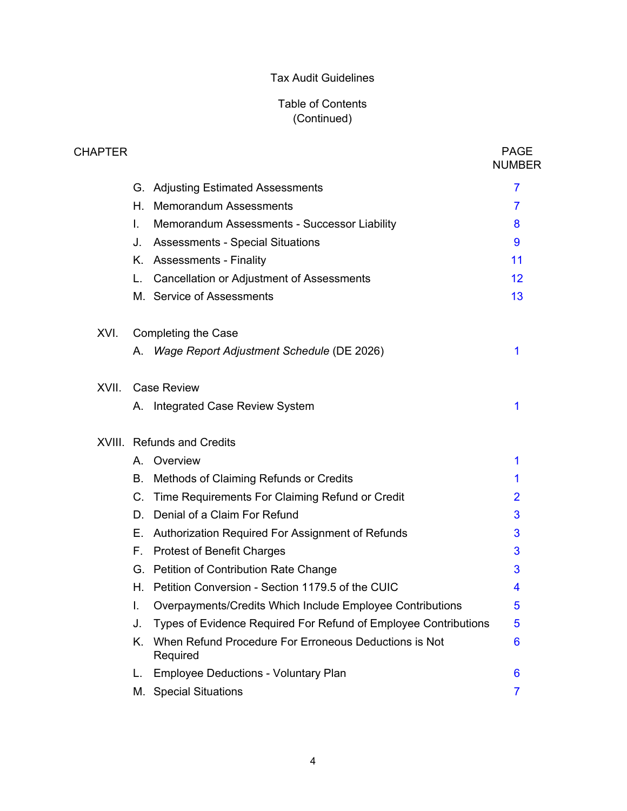| <b>CHAPTER</b> |             |                                                                   | <b>PAGE</b><br><b>NUMBER</b> |
|----------------|-------------|-------------------------------------------------------------------|------------------------------|
|                |             | G. Adjusting Estimated Assessments                                | 7                            |
|                | Н.          | <b>Memorandum Assessments</b>                                     | 7                            |
|                | L.          | Memorandum Assessments - Successor Liability                      | 8                            |
|                | J.          | <b>Assessments - Special Situations</b>                           | 9                            |
|                | Κ.          | <b>Assessments - Finality</b>                                     | 11                           |
|                | L.          | <b>Cancellation or Adjustment of Assessments</b>                  | 12                           |
|                |             | M. Service of Assessments                                         | 13                           |
| XVI.           |             | <b>Completing the Case</b>                                        |                              |
|                | А.          | Wage Report Adjustment Schedule (DE 2026)                         | 1                            |
| XVII.          |             | <b>Case Review</b>                                                |                              |
|                |             | A. Integrated Case Review System                                  | 1                            |
|                |             | <b>XVIII.</b> Refunds and Credits                                 |                              |
|                | А.          | Overview                                                          | 1                            |
|                | В.          | Methods of Claiming Refunds or Credits                            | 1                            |
|                | $C_{\cdot}$ | Time Requirements For Claiming Refund or Credit                   | $\overline{2}$               |
|                | D.          | Denial of a Claim For Refund                                      | 3                            |
|                | Е.          | Authorization Required For Assignment of Refunds                  | 3                            |
|                | F.,         | <b>Protest of Benefit Charges</b>                                 | 3                            |
|                |             | G. Petition of Contribution Rate Change                           | 3                            |
|                |             | H. Petition Conversion - Section 1179.5 of the CUIC               | 4                            |
|                | I.          | Overpayments/Credits Which Include Employee Contributions         | 5                            |
|                | J.          | Types of Evidence Required For Refund of Employee Contributions   | 5                            |
|                | Κ.          | When Refund Procedure For Erroneous Deductions is Not<br>Required | 6                            |
|                | L.          | <b>Employee Deductions - Voluntary Plan</b>                       | 6                            |
|                | М.          | <b>Special Situations</b>                                         | $\overline{7}$               |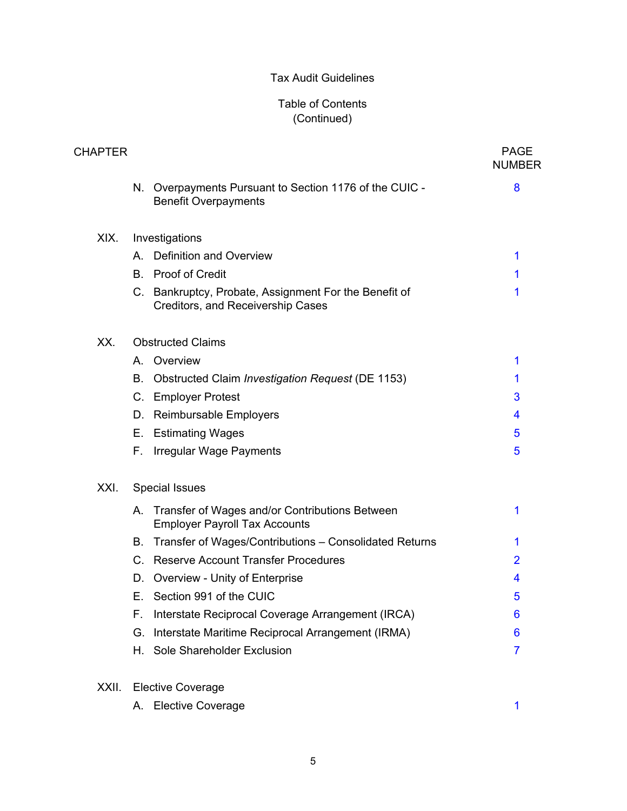| <b>CHAPTER</b> |     |                                                                                            | <b>PAGE</b><br><b>NUMBER</b> |
|----------------|-----|--------------------------------------------------------------------------------------------|------------------------------|
|                |     | N. Overpayments Pursuant to Section 1176 of the CUIC -<br><b>Benefit Overpayments</b>      | 8                            |
| XIX.           |     | Investigations                                                                             |                              |
|                | А.  | <b>Definition and Overview</b>                                                             | 1                            |
|                | B.  | Proof of Credit                                                                            | 1                            |
|                |     | C. Bankruptcy, Probate, Assignment For the Benefit of<br>Creditors, and Receivership Cases | 1                            |
| XX.            |     | <b>Obstructed Claims</b>                                                                   |                              |
|                |     | A. Overview                                                                                | 1                            |
|                | В.  | Obstructed Claim Investigation Request (DE 1153)                                           | 1                            |
|                | C.  | <b>Employer Protest</b>                                                                    | 3                            |
|                | D.  | Reimbursable Employers                                                                     | 4                            |
|                | Е.  | <b>Estimating Wages</b>                                                                    | 5                            |
|                | F.  | Irregular Wage Payments                                                                    | 5                            |
| XXI.           |     | <b>Special Issues</b>                                                                      |                              |
|                |     | A. Transfer of Wages and/or Contributions Between<br><b>Employer Payroll Tax Accounts</b>  | 1                            |
|                | В.  | Transfer of Wages/Contributions - Consolidated Returns                                     | 1                            |
|                |     | C. Reserve Account Transfer Procedures                                                     | $\overline{2}$               |
|                | D.  | Overview - Unity of Enterprise                                                             | 4                            |
|                |     | E. Section 991 of the CUIC                                                                 | 5                            |
|                | F., | Interstate Reciprocal Coverage Arrangement (IRCA)                                          | 6                            |
|                | G.  | Interstate Maritime Reciprocal Arrangement (IRMA)                                          | 6                            |
|                | Н.  | Sole Shareholder Exclusion                                                                 | $\overline{7}$               |
| XXII.          |     | <b>Elective Coverage</b>                                                                   |                              |
|                | А.  | <b>Elective Coverage</b>                                                                   | 1                            |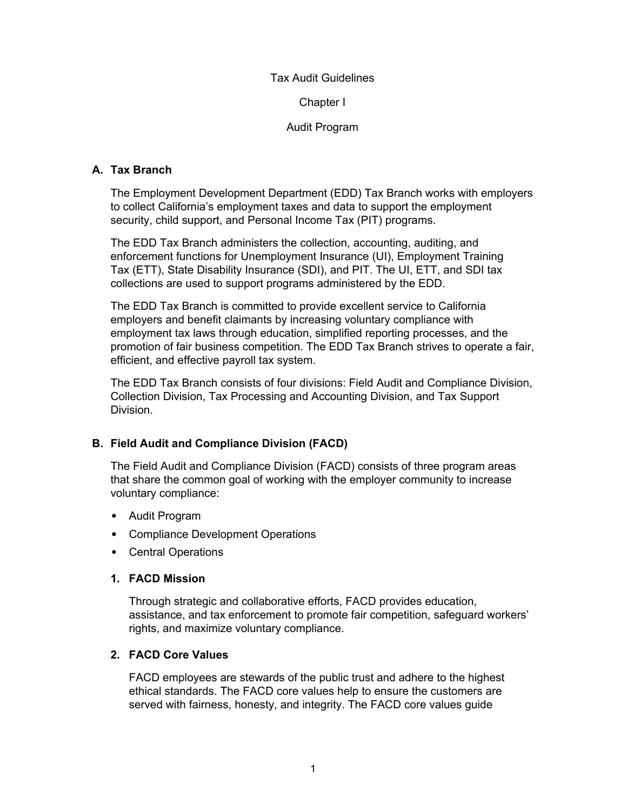#### Chapter I

## Audit Program

## <span id="page-6-0"></span>**A. Tax Branch**

The Employment Development Department (EDD) Tax Branch works with employers to collect California's employment taxes and data to support the employment security, child support, and Personal Income Tax (PIT) programs.

The EDD Tax Branch administers the collection, accounting, auditing, and enforcement functions for Unemployment Insurance (UI), Employment Training Tax (ETT), State Disability Insurance (SDI), and PIT. The UI, ETT, and SDI tax collections are used to support programs administered by the EDD.

The EDD Tax Branch is committed to provide excellent service to California employers and benefit claimants by increasing voluntary compliance with employment tax laws through education, simplified reporting processes, and the promotion of fair business competition. The EDD Tax Branch strives to operate a fair, efficient, and effective payroll tax system.

The EDD Tax Branch consists of four divisions: Field Audit and Compliance Division, Collection Division, Tax Processing and Accounting Division, and Tax Support Division.

## **B. Field Audit and Compliance Division (FACD)**

The Field Audit and Compliance Division (FACD) consists of three program areas that share the common goal of working with the employer community to increase voluntary compliance:

- Audit Program
- Compliance Development Operations
- Central Operations

## **1. FACD Mission**

Through strategic and collaborative efforts, FACD provides education, assistance, and tax enforcement to promote fair competition, safeguard workers' rights, and maximize voluntary compliance.

## **2. FACD Core Values**

FACD employees are stewards of the public trust and adhere to the highest ethical standards. The FACD core values help to ensure the customers are served with fairness, honesty, and integrity. The FACD core values guide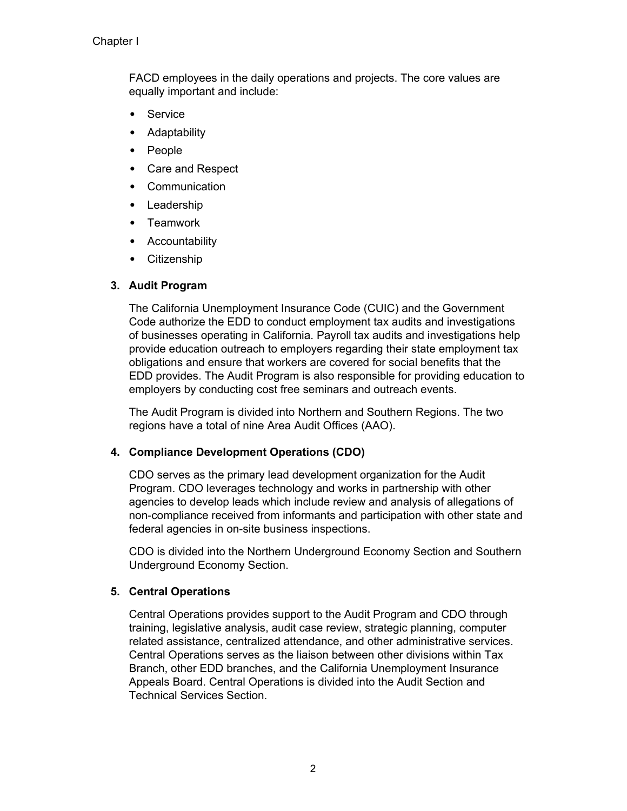FACD employees in the daily operations and projects. The core values are equally important and include:

- Service
- Adaptability
- People
- Care and Respect
- Communication
- Leadership
- Teamwork
- Accountability
- Citizenship

## **3. Audit Program**

The California Unemployment Insurance Code (CUIC) and the Government Code authorize the EDD to conduct employment tax audits and investigations of businesses operating in California. Payroll tax audits and investigations help provide education outreach to employers regarding their state employment tax obligations and ensure that workers are covered for social benefits that the EDD provides. The Audit Program is also responsible for providing education to employers by conducting cost free seminars and outreach events.

The Audit Program is divided into Northern and Southern Regions. The two regions have a total of nine Area Audit Offices (AAO).

## **4. Compliance Development Operations (CDO)**

CDO serves as the primary lead development organization for the Audit Program. CDO leverages technology and works in partnership with other agencies to develop leads which include review and analysis of allegations of non-compliance received from informants and participation with other state and federal agencies in on-site business inspections.

CDO is divided into the Northern Underground Economy Section and Southern Underground Economy Section.

## **5. Central Operations**

Central Operations provides support to the Audit Program and CDO through training, legislative analysis, audit case review, strategic planning, computer related assistance, centralized attendance, and other administrative services. Central Operations serves as the liaison between other divisions within Tax Branch, other EDD branches, and the California Unemployment Insurance Appeals Board. Central Operations is divided into the Audit Section and Technical Services Section.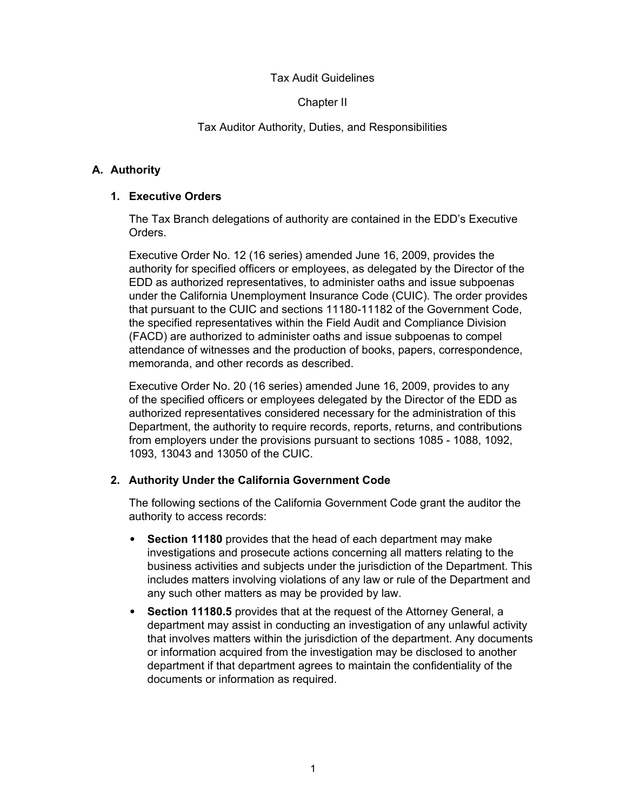## Chapter II

## Tax Auditor Authority, Duties, and Responsibilities

## <span id="page-8-0"></span>**A. Authority**

## **1. Executive Orders**

The Tax Branch delegations of authority are contained in the EDD's Executive Orders.

Executive Order No. 12 (16 series) amended June 16, 2009, provides the authority for specified officers or employees, as delegated by the Director of the EDD as authorized representatives, to administer oaths and issue subpoenas under the California Unemployment Insurance Code (CUIC). The order provides that pursuant to the CUIC and sections 11180-11182 of the Government Code, the specified representatives within the Field Audit and Compliance Division (FACD) are authorized to administer oaths and issue subpoenas to compel attendance of witnesses and the production of books, papers, correspondence, memoranda, and other records as described.

Executive Order No. 20 (16 series) amended June 16, 2009, provides to any of the specified officers or employees delegated by the Director of the EDD as authorized representatives considered necessary for the administration of this Department, the authority to require records, reports, returns, and contributions from employers under the provisions pursuant to sections 1085 - 1088, 1092, 1093, 13043 and 13050 of the CUIC.

## **2. Authority Under the California Government Code**

The following sections of the California Government Code grant the auditor the authority to access records:

- **Section 11180** provides that the head of each department may make investigations and prosecute actions concerning all matters relating to the business activities and subjects under the jurisdiction of the Department. This includes matters involving violations of any law or rule of the Department and any such other matters as may be provided by law.
- **Section 11180.5** provides that at the request of the Attorney General, a department may assist in conducting an investigation of any unlawful activity that involves matters within the jurisdiction of the department. Any documents or information acquired from the investigation may be disclosed to another department if that department agrees to maintain the confidentiality of the documents or information as required.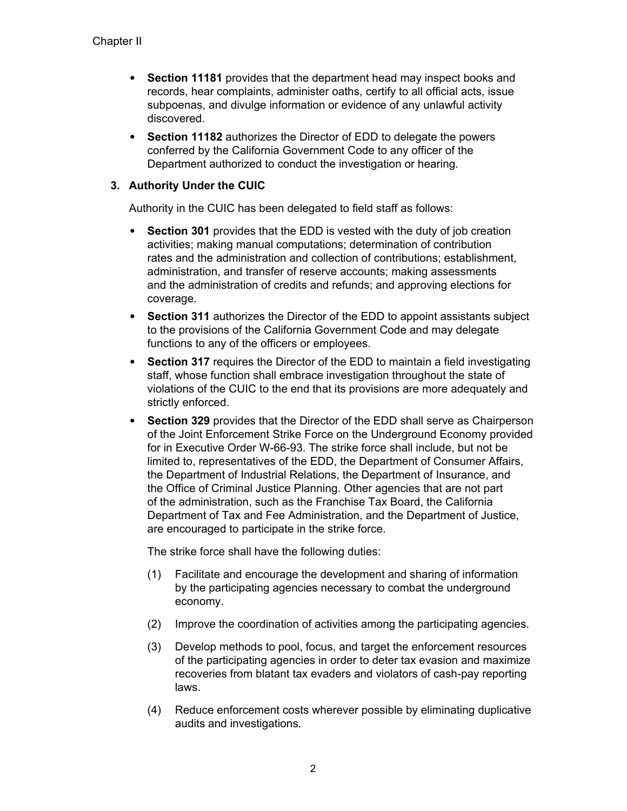- **Section 11181** provides that the department head may inspect books and records, hear complaints, administer oaths, certify to all official acts, issue subpoenas, and divulge information or evidence of any unlawful activity discovered.
- **Section 11182** authorizes the Director of EDD to delegate the powers conferred by the California Government Code to any officer of the Department authorized to conduct the investigation or hearing.

## **3. Authority Under the CUIC**

Authority in the CUIC has been delegated to field staff as follows:

- **Section 301** provides that the EDD is vested with the duty of job creation activities; making manual computations; determination of contribution rates and the administration and collection of contributions; establishment, administration, and transfer of reserve accounts; making assessments and the administration of credits and refunds; and approving elections for coverage.
- **Section 311** authorizes the Director of the EDD to appoint assistants subject to the provisions of the California Government Code and may delegate functions to any of the officers or employees.
- **Section 317** requires the Director of the EDD to maintain a field investigating staff, whose function shall embrace investigation throughout the state of violations of the CUIC to the end that its provisions are more adequately and strictly enforced.
- **Section 329** provides that the Director of the EDD shall serve as Chairperson of the Joint Enforcement Strike Force on the Underground Economy provided for in Executive Order W-66-93. The strike force shall include, but not be limited to, representatives of the EDD, the Department of Consumer Affairs, the Department of Industrial Relations, the Department of Insurance, and the Office of Criminal Justice Planning. Other agencies that are not part of the administration, such as the Franchise Tax Board, the California Department of Tax and Fee Administration, and the Department of Justice, are encouraged to participate in the strike force.

The strike force shall have the following duties:

- (1) Facilitate and encourage the development and sharing of information by the participating agencies necessary to combat the underground economy.
- (2) Improve the coordination of activities among the participating agencies.
- (3) Develop methods to pool, focus, and target the enforcement resources of the participating agencies in order to deter tax evasion and maximize recoveries from blatant tax evaders and violators of cash-pay reporting laws.
- (4) Reduce enforcement costs wherever possible by eliminating duplicative audits and investigations.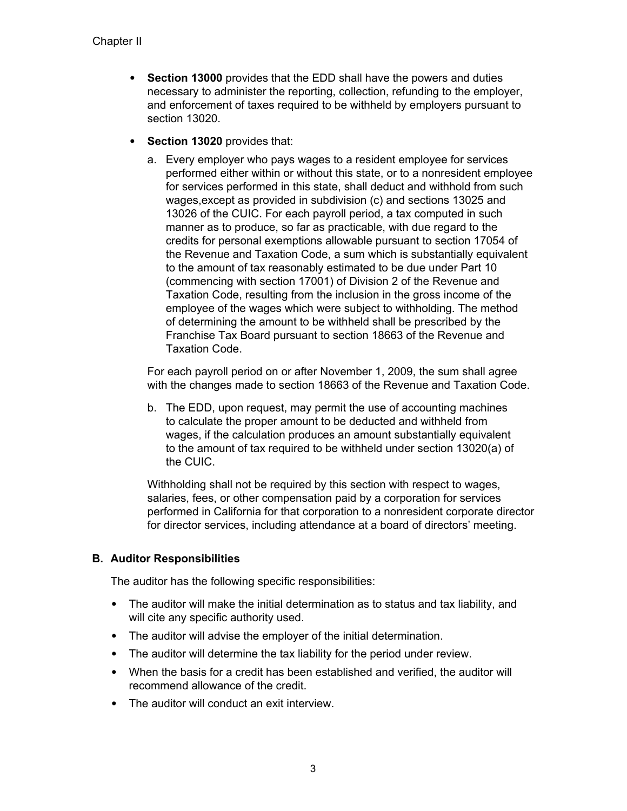- <span id="page-10-0"></span>• **Section 13000** provides that the EDD shall have the powers and duties necessary to administer the reporting, collection, refunding to the employer, and enforcement of taxes required to be withheld by employers pursuant to section 13020.
- **Section 13020** provides that:
	- a. Every employer who pays wages to a resident employee for services performed either within or without this state, or to a nonresident employee for services performed in this state, shall deduct and withhold from such wages,except as provided in subdivision (c) and sections 13025 and 13026 of the CUIC. For each payroll period, a tax computed in such manner as to produce, so far as practicable, with due regard to the credits for personal exemptions allowable pursuant to section 17054 of the Revenue and Taxation Code, a sum which is substantially equivalent to the amount of tax reasonably estimated to be due under Part 10 (commencing with section 17001) of Division 2 of the Revenue and Taxation Code, resulting from the inclusion in the gross income of the employee of the wages which were subject to withholding. The method of determining the amount to be withheld shall be prescribed by the Franchise Tax Board pursuant to section 18663 of the Revenue and Taxation Code.

For each payroll period on or after November 1, 2009, the sum shall agree with the changes made to section 18663 of the Revenue and Taxation Code.

b. The EDD, upon request, may permit the use of accounting machines to calculate the proper amount to be deducted and withheld from wages, if the calculation produces an amount substantially equivalent to the amount of tax required to be withheld under section 13020(a) of the CUIC.

Withholding shall not be required by this section with respect to wages, salaries, fees, or other compensation paid by a corporation for services performed in California for that corporation to a nonresident corporate director for director services, including attendance at a board of directors' meeting.

## **B. Auditor Responsibilities**

The auditor has the following specific responsibilities:

- The auditor will make the initial determination as to status and tax liability, and will cite any specific authority used.
- The auditor will advise the employer of the initial determination.
- The auditor will determine the tax liability for the period under review.
- When the basis for a credit has been established and verified, the auditor will recommend allowance of the credit.
- The auditor will conduct an exit interview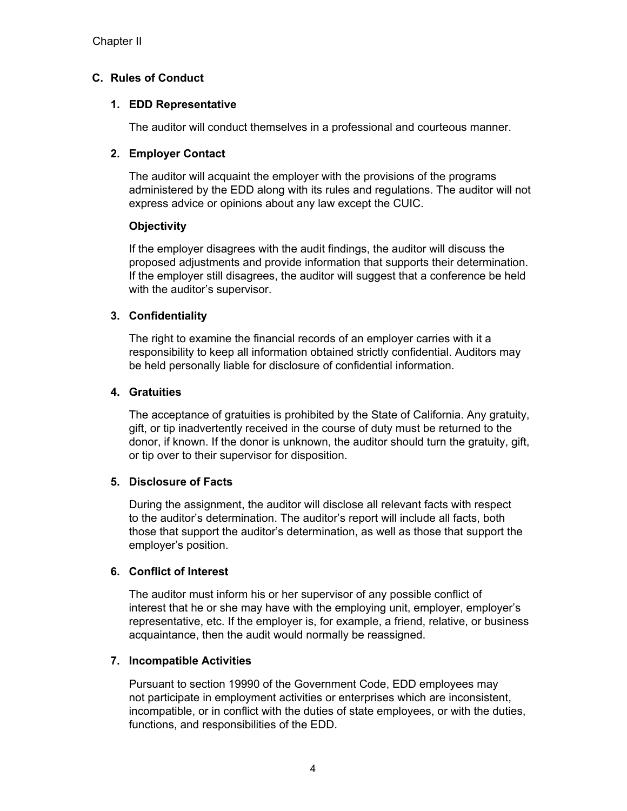## <span id="page-11-0"></span>**C. Rules of Conduct**

## **1. EDD Representative**

The auditor will conduct themselves in a professional and courteous manner.

## **2. Employer Contact**

The auditor will acquaint the employer with the provisions of the programs administered by the EDD along with its rules and regulations. The auditor will not express advice or opinions about any law except the CUIC.

## **Objectivity**

If the employer disagrees with the audit findings, the auditor will discuss the proposed adjustments and provide information that supports their determination. If the employer still disagrees, the auditor will suggest that a conference be held with the auditor's supervisor.

## **3. Confidentiality**

The right to examine the financial records of an employer carries with it a responsibility to keep all information obtained strictly confidential. Auditors may be held personally liable for disclosure of confidential information.

## **4. Gratuities**

The acceptance of gratuities is prohibited by the State of California. Any gratuity, gift, or tip inadvertently received in the course of duty must be returned to the donor, if known. If the donor is unknown, the auditor should turn the gratuity, gift, or tip over to their supervisor for disposition.

## **5. Disclosure of Facts**

During the assignment, the auditor will disclose all relevant facts with respect to the auditor's determination. The auditor's report will include all facts, both those that support the auditor's determination, as well as those that support the employer's position.

## **6. Conflict of Interest**

The auditor must inform his or her supervisor of any possible conflict of interest that he or she may have with the employing unit, employer, employer's representative, etc. If the employer is, for example, a friend, relative, or business acquaintance, then the audit would normally be reassigned.

## **7. Incompatible Activities**

Pursuant to section 19990 of the Government Code, EDD employees may not participate in employment activities or enterprises which are inconsistent, incompatible, or in conflict with the duties of state employees, or with the duties, functions, and responsibilities of the EDD.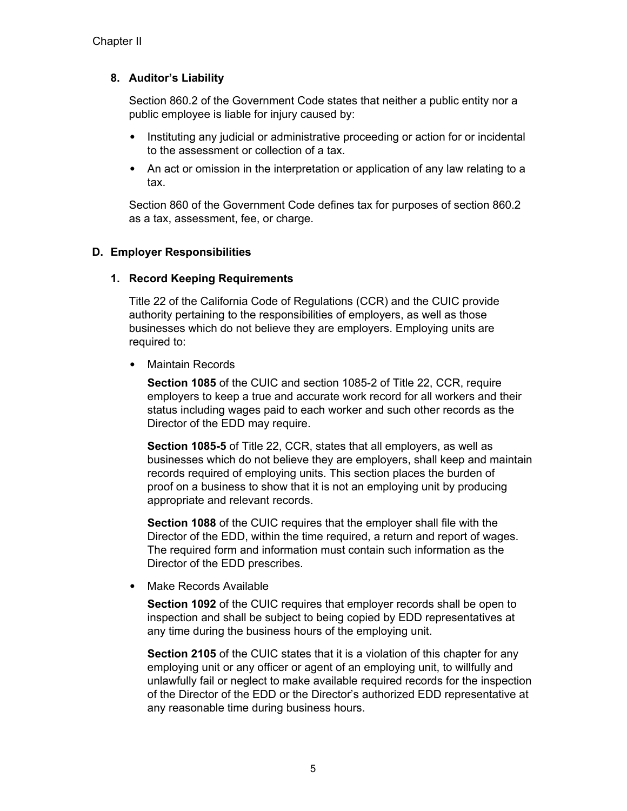## <span id="page-12-0"></span>**8. Auditor's Liability**

Section 860.2 of the Government Code states that neither a public entity nor a public employee is liable for injury caused by:

- Instituting any judicial or administrative proceeding or action for or incidental to the assessment or collection of a tax.
- An act or omission in the interpretation or application of any law relating to a tax.

Section 860 of the Government Code defines tax for purposes of section 860.2 as a tax, assessment, fee, or charge.

## **D. Employer Responsibilities**

## **1. Record Keeping Requirements**

Title 22 of the California Code of Regulations (CCR) and the CUIC provide authority pertaining to the responsibilities of employers, as well as those businesses which do not believe they are employers. Employing units are required to:

• Maintain Records

**Section 1085** of the CUIC and section 1085-2 of Title 22, CCR, require employers to keep a true and accurate work record for all workers and their status including wages paid to each worker and such other records as the Director of the EDD may require.

**Section 1085-5** of Title 22, CCR, states that all employers, as well as businesses which do not believe they are employers, shall keep and maintain records required of employing units. This section places the burden of proof on a business to show that it is not an employing unit by producing appropriate and relevant records.

**Section 1088** of the CUIC requires that the employer shall file with the Director of the EDD, within the time required, a return and report of wages. The required form and information must contain such information as the Director of the EDD prescribes.

• Make Records Available

**Section 1092** of the CUIC requires that employer records shall be open to inspection and shall be subject to being copied by EDD representatives at any time during the business hours of the employing unit.

**Section 2105** of the CUIC states that it is a violation of this chapter for any employing unit or any officer or agent of an employing unit, to willfully and unlawfully fail or neglect to make available required records for the inspection of the Director of the EDD or the Director's authorized EDD representative at any reasonable time during business hours.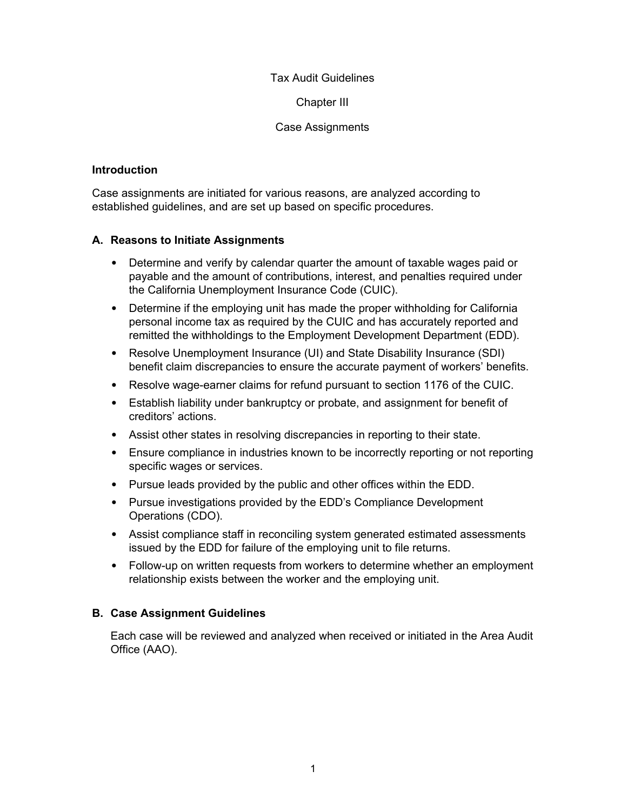Chapter III

#### Case Assignments

#### <span id="page-13-0"></span>**Introduction**

Case assignments are initiated for various reasons, are analyzed according to established guidelines, and are set up based on specific procedures.

## **A. Reasons to Initiate Assignments**

- Determine and verify by calendar quarter the amount of taxable wages paid or payable and the amount of contributions, interest, and penalties required under the California Unemployment Insurance Code (CUIC).
- Determine if the employing unit has made the proper withholding for California personal income tax as required by the CUIC and has accurately reported and remitted the withholdings to the Employment Development Department (EDD).
- Resolve Unemployment Insurance (UI) and State Disability Insurance (SDI) benefit claim discrepancies to ensure the accurate payment of workers' benefits.
- Resolve wage-earner claims for refund pursuant to section 1176 of the CUIC.
- Establish liability under bankruptcy or probate, and assignment for benefit of creditors' actions.
- Assist other states in resolving discrepancies in reporting to their state.
- Ensure compliance in industries known to be incorrectly reporting or not reporting specific wages or services.
- Pursue leads provided by the public and other offices within the EDD.
- Pursue investigations provided by the EDD's Compliance Development Operations (CDO).
- Assist compliance staff in reconciling system generated estimated assessments issued by the EDD for failure of the employing unit to file returns.
- Follow-up on written requests from workers to determine whether an employment relationship exists between the worker and the employing unit.

## **B. Case Assignment Guidelines**

Each case will be reviewed and analyzed when received or initiated in the Area Audit Office (AAO).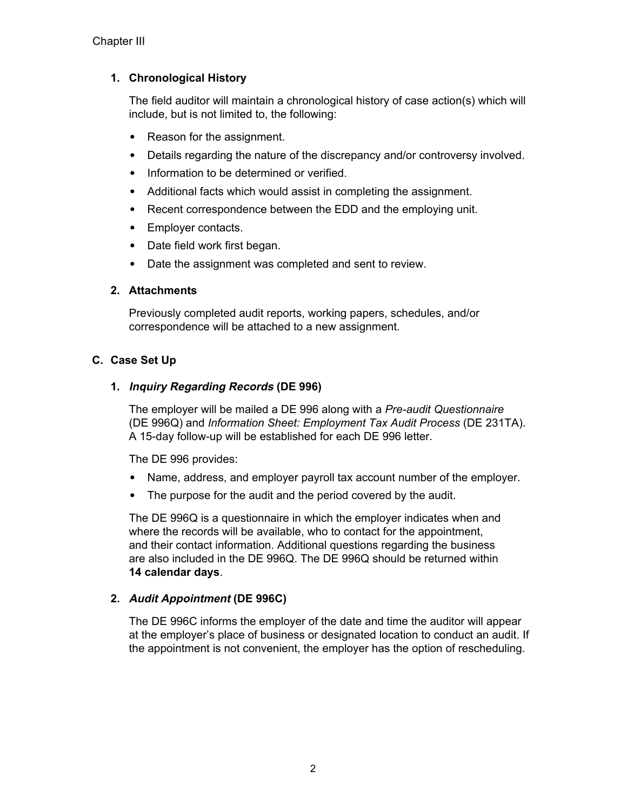# <span id="page-14-0"></span>**1. Chronological History**

The field auditor will maintain a chronological history of case action(s) which will include, but is not limited to, the following:

- Reason for the assignment.
- Details regarding the nature of the discrepancy and/or controversy involved.
- Information to be determined or verified.
- Additional facts which would assist in completing the assignment.
- Recent correspondence between the EDD and the employing unit.
- Employer contacts.
- Date field work first began.
- Date the assignment was completed and sent to review.

## **2. Attachments**

Previously completed audit reports, working papers, schedules, and/or correspondence will be attached to a new assignment.

## **C. Case Set Up**

## **1. Inquiry Regarding Records (DE 996)**

The employer will be mailed a DE 996 along with a *Pre-audit Questionnaire* (DE 996Q) and *Information Sheet: Employment Tax Audit Process* (DE 231TA). A 15-day follow-up will be established for each DE 996 letter.

The DE 996 provides:

- Name, address, and employer payroll tax account number of the employer.
- The purpose for the audit and the period covered by the audit.

The DE 996Q is a questionnaire in which the employer indicates when and where the records will be available, who to contact for the appointment, and their contact information. Additional questions regarding the business are also included in the DE 996Q. The DE 996Q should be returned within **14 calendar days**.

## **2. Audit Appointment (DE 996C)**

The DE 996C informs the employer of the date and time the auditor will appear at the employer's place of business or designated location to conduct an audit. If the appointment is not convenient, the employer has the option of rescheduling.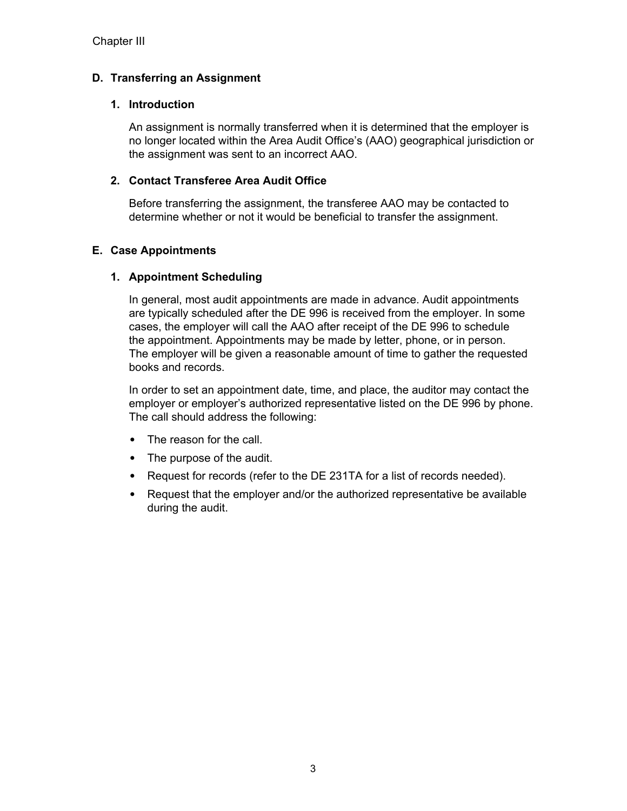## <span id="page-15-0"></span>**D. Transferring an Assignment**

## **1. Introduction**

An assignment is normally transferred when it is determined that the employer is no longer located within the Area Audit Office's (AAO) geographical jurisdiction or the assignment was sent to an incorrect AAO.

## **2. Contact Transferee Area Audit Office**

Before transferring the assignment, the transferee AAO may be contacted to determine whether or not it would be beneficial to transfer the assignment.

## **E. Case Appointments**

## **1. Appointment Scheduling**

In general, most audit appointments are made in advance. Audit appointments are typically scheduled after the DE 996 is received from the employer. In some cases, the employer will call the AAO after receipt of the DE 996 to schedule the appointment. Appointments may be made by letter, phone, or in person. The employer will be given a reasonable amount of time to gather the requested books and records.

In order to set an appointment date, time, and place, the auditor may contact the employer or employer's authorized representative listed on the DE 996 by phone. The call should address the following:

- The reason for the call.
- The purpose of the audit.
- Request for records (refer to the DE 231TA for a list of records needed).
- Request that the employer and/or the authorized representative be available during the audit.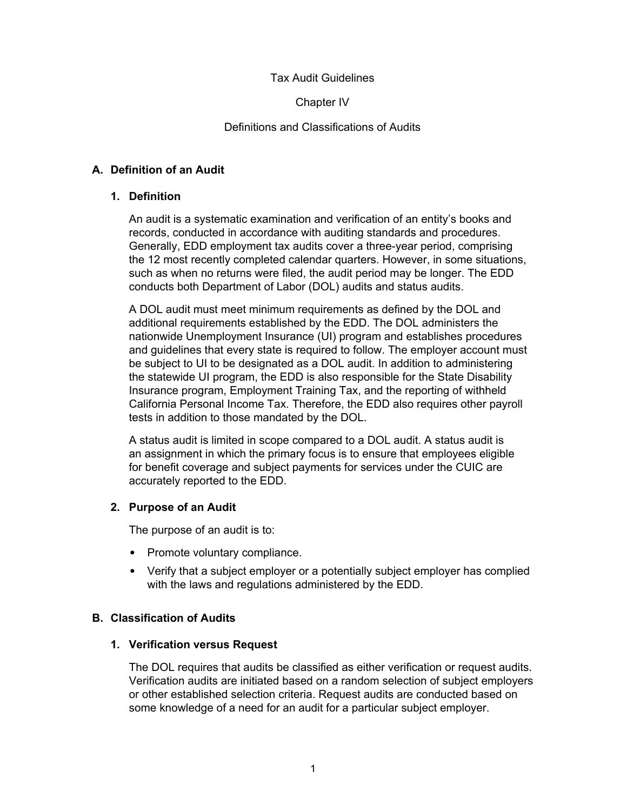Chapter IV

#### Definitions and Classifications of Audits

#### <span id="page-16-0"></span>**A. Definition of an Audit**

#### **1. Definition**

An audit is a systematic examination and verification of an entity's books and records, conducted in accordance with auditing standards and procedures. Generally, EDD employment tax audits cover a three-year period, comprising the 12 most recently completed calendar quarters. However, in some situations, such as when no returns were filed, the audit period may be longer. The EDD conducts both Department of Labor (DOL) audits and status audits.

A DOL audit must meet minimum requirements as defined by the DOL and additional requirements established by the EDD. The DOL administers the nationwide Unemployment Insurance (UI) program and establishes procedures and guidelines that every state is required to follow. The employer account must be subject to UI to be designated as a DOL audit. In addition to administering the statewide UI program, the EDD is also responsible for the State Disability Insurance program, Employment Training Tax, and the reporting of withheld California Personal Income Tax. Therefore, the EDD also requires other payroll tests in addition to those mandated by the DOL.

A status audit is limited in scope compared to a DOL audit. A status audit is an assignment in which the primary focus is to ensure that employees eligible for benefit coverage and subject payments for services under the CUIC are accurately reported to the EDD.

## **2. Purpose of an Audit**

The purpose of an audit is to:

- Promote voluntary compliance.
- Verify that a subject employer or a potentially subject employer has complied with the laws and regulations administered by the EDD.

## **B. Classification of Audits**

#### **1. Verification versus Request**

The DOL requires that audits be classified as either verification or request audits. Verification audits are initiated based on a random selection of subject employers or other established selection criteria. Request audits are conducted based on some knowledge of a need for an audit for a particular subject employer.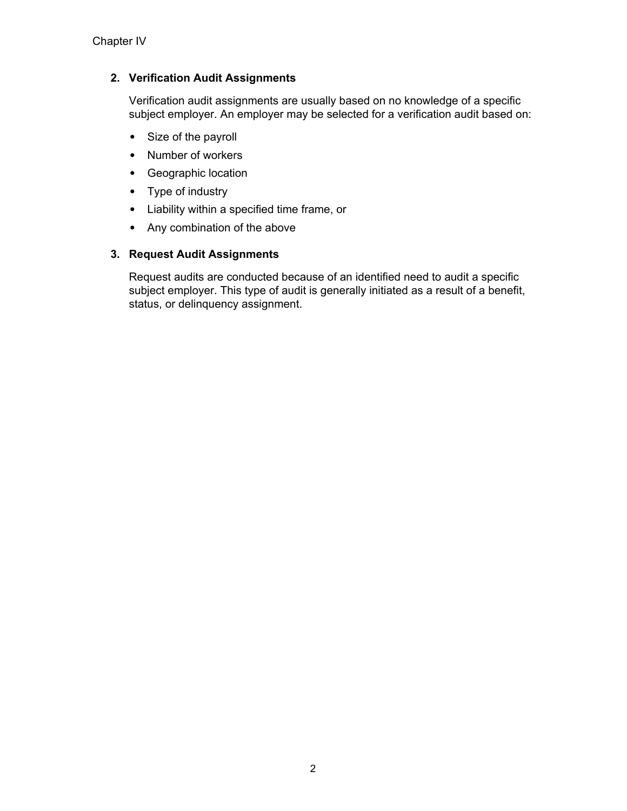## **2. Verification Audit Assignments**

Verification audit assignments are usually based on no knowledge of a specific subject employer. An employer may be selected for a verification audit based on:

- Size of the payroll
- Number of workers
- Geographic location
- Type of industry
- Liability within a specified time frame, or
- Any combination of the above

## **3. Request Audit Assignments**

Request audits are conducted because of an identified need to audit a specific subject employer. This type of audit is generally initiated as a result of a benefit, status, or delinquency assignment.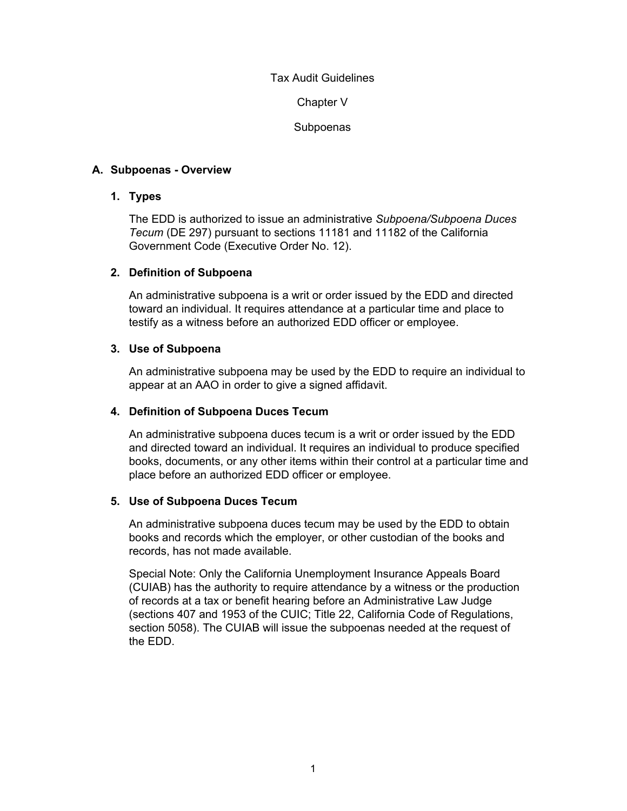Chapter V

Subpoenas

## <span id="page-18-0"></span>**A. Subpoenas - Overview**

## **1. Types**

The EDD is authorized to issue an administrative *Subpoena/Subpoena Duces Tecum* (DE 297) pursuant to sections 11181 and 11182 of the California Government Code (Executive Order No. 12).

## **2. Definition of Subpoena**

An administrative subpoena is a writ or order issued by the EDD and directed toward an individual. It requires attendance at a particular time and place to testify as a witness before an authorized EDD officer or employee.

## **3. Use of Subpoena**

An administrative subpoena may be used by the EDD to require an individual to appear at an AAO in order to give a signed affidavit.

## **4. Definition of Subpoena Duces Tecum**

An administrative subpoena duces tecum is a writ or order issued by the EDD and directed toward an individual. It requires an individual to produce specified books, documents, or any other items within their control at a particular time and place before an authorized EDD officer or employee.

## **5. Use of Subpoena Duces Tecum**

An administrative subpoena duces tecum may be used by the EDD to obtain books and records which the employer, or other custodian of the books and records, has not made available.

Special Note: Only the California Unemployment Insurance Appeals Board (CUIAB) has the authority to require attendance by a witness or the production of records at a tax or benefit hearing before an Administrative Law Judge (sections 407 and 1953 of the CUIC; Title 22, California Code of Regulations, section 5058). The CUIAB will issue the subpoenas needed at the request of the EDD.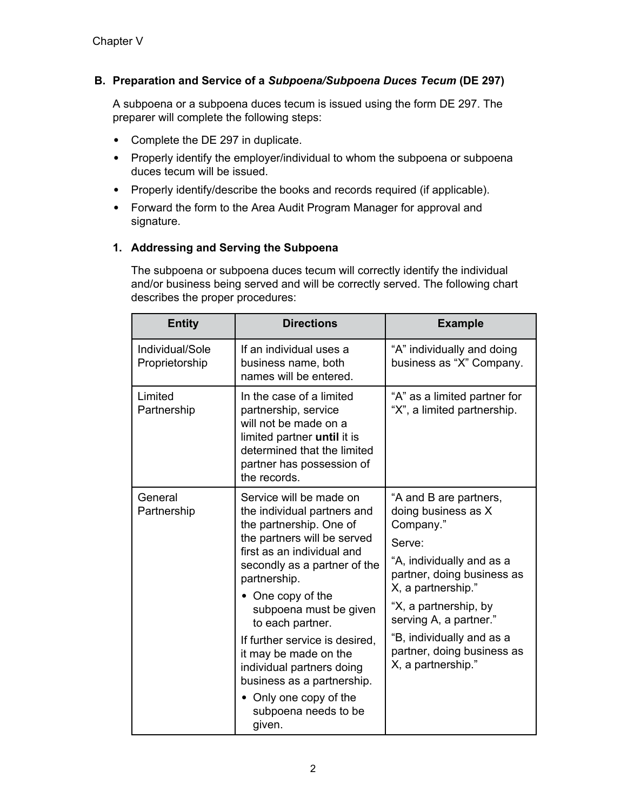## <span id="page-19-0"></span>**B. Preparation and Service of a** *Subpoena/Subpoena Duces Tecum* **(DE 297)**

A subpoena or a subpoena duces tecum is issued using the form DE 297. The preparer will complete the following steps:

- Complete the DE 297 in duplicate.
- Properly identify the employer/individual to whom the subpoena or subpoena duces tecum will be issued.
- Properly identify/describe the books and records required (if applicable).
- Forward the form to the Area Audit Program Manager for approval and signature.

## **1. Addressing and Serving the Subpoena**

The subpoena or subpoena duces tecum will correctly identify the individual and/or business being served and will be correctly served. The following chart describes the proper procedures:

| <b>Entity</b>                     | <b>Directions</b>                                                                                                                                                                                                                                                                                                                                                                                                                                   | <b>Example</b>                                                                                                                                                                                                                                                                            |
|-----------------------------------|-----------------------------------------------------------------------------------------------------------------------------------------------------------------------------------------------------------------------------------------------------------------------------------------------------------------------------------------------------------------------------------------------------------------------------------------------------|-------------------------------------------------------------------------------------------------------------------------------------------------------------------------------------------------------------------------------------------------------------------------------------------|
| Individual/Sole<br>Proprietorship | If an individual uses a<br>business name, both<br>names will be entered.                                                                                                                                                                                                                                                                                                                                                                            | "A" individually and doing<br>business as "X" Company.                                                                                                                                                                                                                                    |
| Limited<br>Partnership            | In the case of a limited<br>partnership, service<br>will not be made on a<br>limited partner until it is<br>determined that the limited<br>partner has possession of<br>the records.                                                                                                                                                                                                                                                                | "A" as a limited partner for<br>"X", a limited partnership.                                                                                                                                                                                                                               |
| General<br>Partnership            | Service will be made on<br>the individual partners and<br>the partnership. One of<br>the partners will be served<br>first as an individual and<br>secondly as a partner of the<br>partnership.<br>• One copy of the<br>subpoena must be given<br>to each partner.<br>If further service is desired,<br>it may be made on the<br>individual partners doing<br>business as a partnership.<br>• Only one copy of the<br>subpoena needs to be<br>given. | "A and B are partners,<br>doing business as X<br>Company."<br>Serve:<br>"A, individually and as a<br>partner, doing business as<br>X, a partnership."<br>"X, a partnership, by<br>serving A, a partner."<br>"B, individually and as a<br>partner, doing business as<br>X, a partnership." |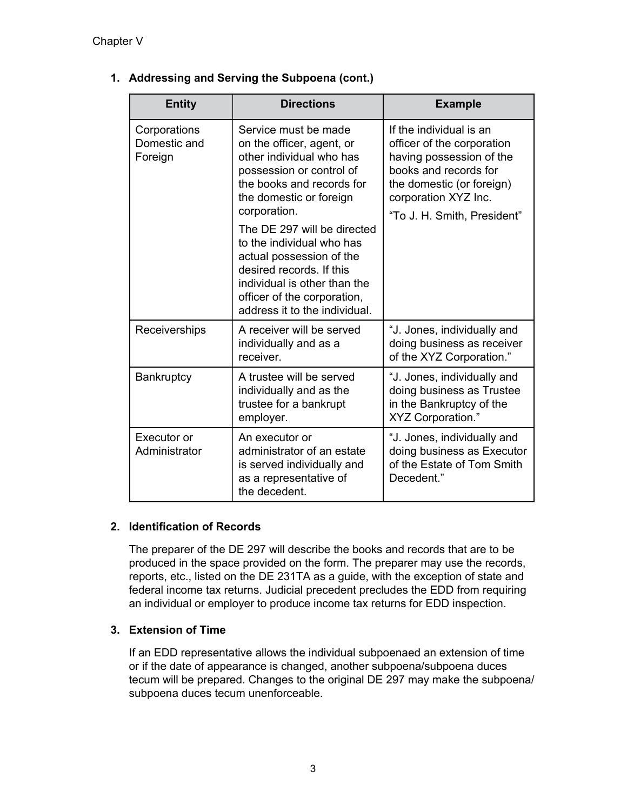| <b>Entity</b>                           | <b>Directions</b>                                                                                                                                                                                                                                                                                                                                                                                     | <b>Example</b>                                                                                                                                                                                 |
|-----------------------------------------|-------------------------------------------------------------------------------------------------------------------------------------------------------------------------------------------------------------------------------------------------------------------------------------------------------------------------------------------------------------------------------------------------------|------------------------------------------------------------------------------------------------------------------------------------------------------------------------------------------------|
| Corporations<br>Domestic and<br>Foreign | Service must be made<br>on the officer, agent, or<br>other individual who has<br>possession or control of<br>the books and records for<br>the domestic or foreign<br>corporation.<br>The DE 297 will be directed<br>to the individual who has<br>actual possession of the<br>desired records. If this<br>individual is other than the<br>officer of the corporation,<br>address it to the individual. | If the individual is an<br>officer of the corporation<br>having possession of the<br>books and records for<br>the domestic (or foreign)<br>corporation XYZ Inc.<br>"To J. H. Smith, President" |
| Receiverships                           | A receiver will be served<br>individually and as a<br>receiver.                                                                                                                                                                                                                                                                                                                                       | "J. Jones, individually and<br>doing business as receiver<br>of the XYZ Corporation."                                                                                                          |
| Bankruptcy                              | A trustee will be served<br>individually and as the<br>trustee for a bankrupt<br>employer.                                                                                                                                                                                                                                                                                                            | "J. Jones, individually and<br>doing business as Trustee<br>in the Bankruptcy of the<br>XYZ Corporation."                                                                                      |
| Executor or<br>Administrator            | An executor or<br>administrator of an estate<br>is served individually and<br>as a representative of<br>the decedent.                                                                                                                                                                                                                                                                                 | "J. Jones, individually and<br>doing business as Executor<br>of the Estate of Tom Smith<br>Decedent."                                                                                          |

## **1. Addressing and Serving the Subpoena (cont.)**

## **2. Identification of Records**

The preparer of the DE 297 will describe the books and records that are to be produced in the space provided on the form. The preparer may use the records, reports, etc., listed on the DE 231TA as a guide, with the exception of state and federal income tax returns. Judicial precedent precludes the EDD from requiring an individual or employer to produce income tax returns for EDD inspection.

## **3. Extension of Time**

If an EDD representative allows the individual subpoenaed an extension of time or if the date of appearance is changed, another subpoena/subpoena duces tecum will be prepared. Changes to the original DE 297 may make the subpoena/ subpoena duces tecum unenforceable.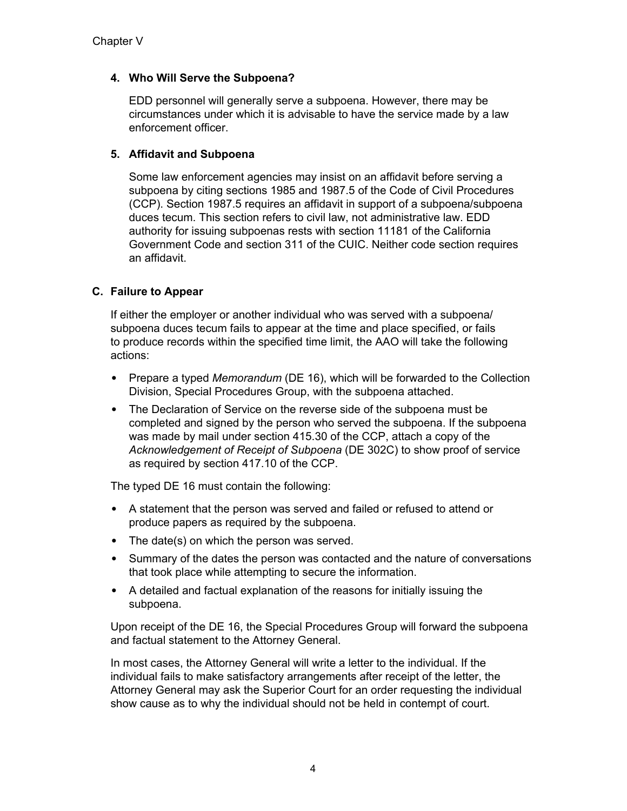## <span id="page-21-0"></span>**4. Who Will Serve the Subpoena?**

EDD personnel will generally serve a subpoena. However, there may be circumstances under which it is advisable to have the service made by a law enforcement officer.

## **5. Affidavit and Subpoena**

Some law enforcement agencies may insist on an affidavit before serving a subpoena by citing sections 1985 and 1987.5 of the Code of Civil Procedures (CCP). Section 1987.5 requires an affidavit in support of a subpoena/subpoena duces tecum. This section refers to civil law, not administrative law. EDD authority for issuing subpoenas rests with section 11181 of the California Government Code and section 311 of the CUIC. Neither code section requires an affidavit.

## **C. Failure to Appear**

If either the employer or another individual who was served with a subpoena/ subpoena duces tecum fails to appear at the time and place specified, or fails to produce records within the specified time limit, the AAO will take the following actions:

- Prepare a typed *Memorandum* (DE 16), which will be forwarded to the Collection Division, Special Procedures Group, with the subpoena attached.
- The Declaration of Service on the reverse side of the subpoena must be completed and signed by the person who served the subpoena. If the subpoena was made by mail under section 415.30 of the CCP, attach a copy of the *Acknowledgement of Receipt of Subpoena* (DE 302C) to show proof of service as required by section 417.10 of the CCP.

The typed DE 16 must contain the following:

- A statement that the person was served and failed or refused to attend or produce papers as required by the subpoena.
- The date(s) on which the person was served.
- Summary of the dates the person was contacted and the nature of conversations that took place while attempting to secure the information.
- A detailed and factual explanation of the reasons for initially issuing the subpoena.

Upon receipt of the DE 16, the Special Procedures Group will forward the subpoena and factual statement to the Attorney General.

In most cases, the Attorney General will write a letter to the individual. If the individual fails to make satisfactory arrangements after receipt of the letter, the Attorney General may ask the Superior Court for an order requesting the individual show cause as to why the individual should not be held in contempt of court.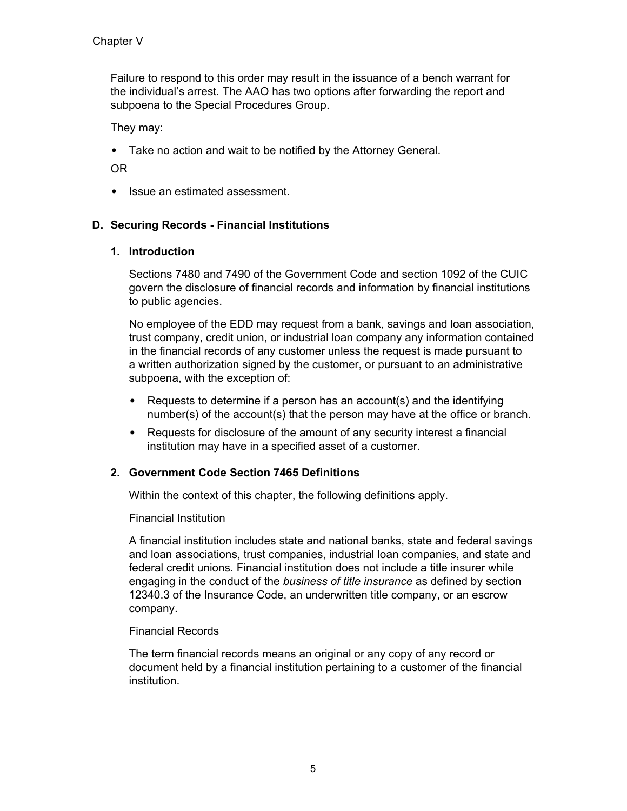<span id="page-22-0"></span>Failure to respond to this order may result in the issuance of a bench warrant for the individual's arrest. The AAO has two options after forwarding the report and subpoena to the Special Procedures Group.

They may:

• Take no action and wait to be notified by the Attorney General.

OR

• Issue an estimated assessment.

## **D. Securing Records - Financial Institutions**

## **1. Introduction**

Sections 7480 and 7490 of the Government Code and section 1092 of the CUIC govern the disclosure of financial records and information by financial institutions to public agencies.

No employee of the EDD may request from a bank, savings and loan association, trust company, credit union, or industrial loan company any information contained in the financial records of any customer unless the request is made pursuant to a written authorization signed by the customer, or pursuant to an administrative subpoena, with the exception of:

- Requests to determine if a person has an account(s) and the identifying number(s) of the account(s) that the person may have at the office or branch.
- Requests for disclosure of the amount of any security interest a financial institution may have in a specified asset of a customer.

## **2. Government Code Section 7465 Definitions**

Within the context of this chapter, the following definitions apply.

## Financial Institution

A financial institution includes state and national banks, state and federal savings and loan associations, trust companies, industrial loan companies, and state and federal credit unions. Financial institution does not include a title insurer while engaging in the conduct of the *business of title insurance* as defined by section 12340.3 of the Insurance Code, an underwritten title company, or an escrow company.

## Financial Records

The term financial records means an original or any copy of any record or document held by a financial institution pertaining to a customer of the financial institution.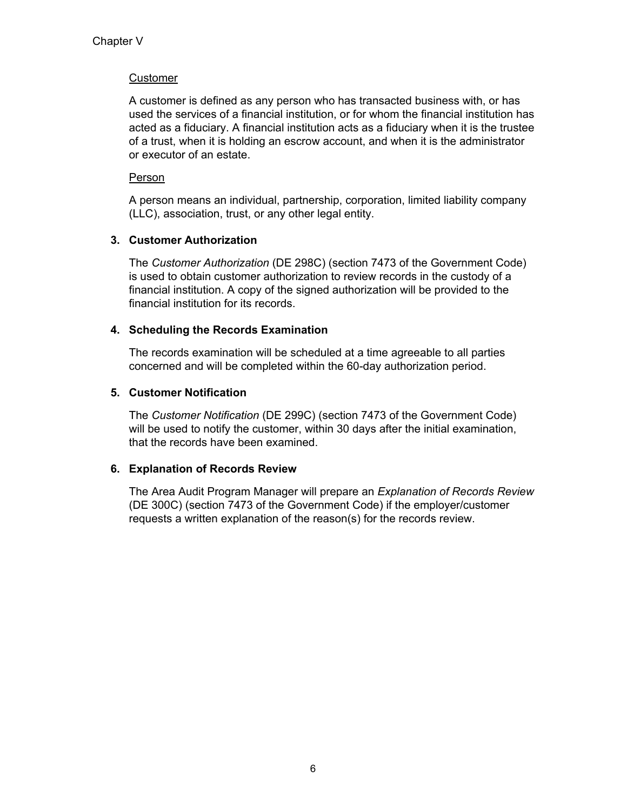## **Customer**

A customer is defined as any person who has transacted business with, or has used the services of a financial institution, or for whom the financial institution has acted as a fiduciary. A financial institution acts as a fiduciary when it is the trustee of a trust, when it is holding an escrow account, and when it is the administrator or executor of an estate.

## Person

A person means an individual, partnership, corporation, limited liability company (LLC), association, trust, or any other legal entity.

## **3. Customer Authorization**

The *Customer Authorization* (DE 298C) (section 7473 of the Government Code) is used to obtain customer authorization to review records in the custody of a financial institution. A copy of the signed authorization will be provided to the financial institution for its records.

## **4. Scheduling the Records Examination**

The records examination will be scheduled at a time agreeable to all parties concerned and will be completed within the 60-day authorization period.

## **5. Customer Notification**

The *Customer Notification* (DE 299C) (section 7473 of the Government Code) will be used to notify the customer, within 30 days after the initial examination, that the records have been examined.

## **6. Explanation of Records Review**

The Area Audit Program Manager will prepare an *Explanation of Records Review* (DE 300C) (section 7473 of the Government Code) if the employer/customer requests a written explanation of the reason(s) for the records review.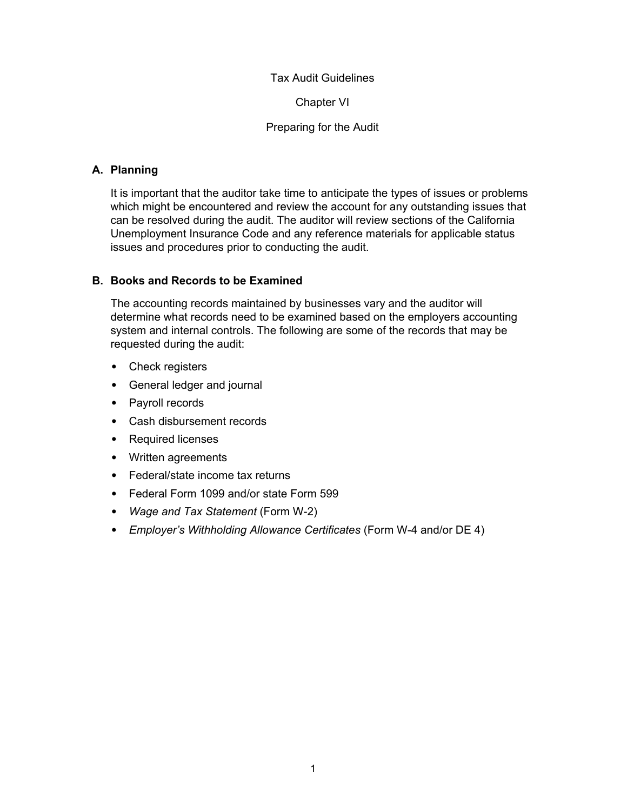Chapter VI

#### Preparing for the Audit

## <span id="page-24-0"></span>**A. Planning**

It is important that the auditor take time to anticipate the types of issues or problems which might be encountered and review the account for any outstanding issues that can be resolved during the audit. The auditor will review sections of the California Unemployment Insurance Code and any reference materials for applicable status issues and procedures prior to conducting the audit.

## **B. Books and Records to be Examined**

The accounting records maintained by businesses vary and the auditor will determine what records need to be examined based on the employers accounting system and internal controls. The following are some of the records that may be requested during the audit:

- Check registers
- General ledger and journal
- Payroll records
- Cash disbursement records
- Required licenses
- Written agreements
- Federal/state income tax returns
- Federal Form 1099 and/or state Form 599
- *Wage and Tax Statement* (Form W-2)
- *Employer's Withholding Allowance Certificates* (Form W-4 and/or DE 4)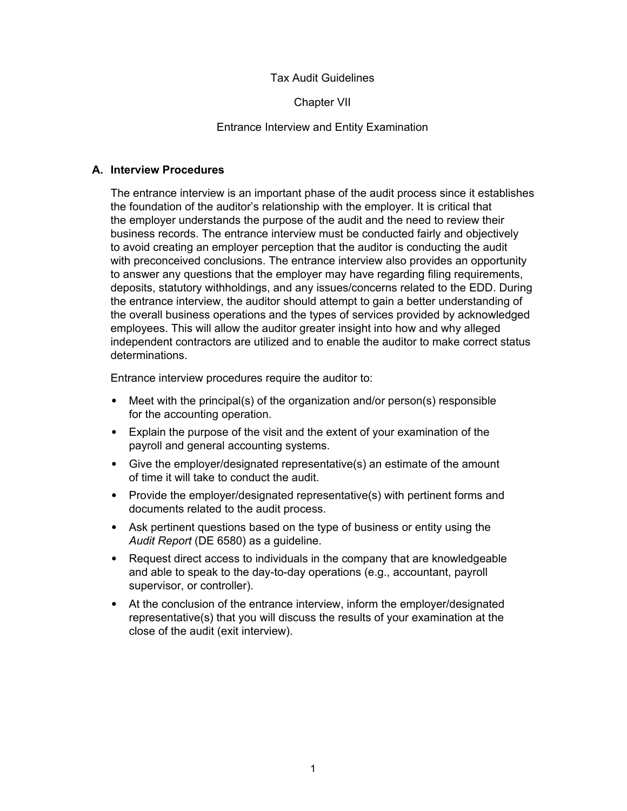Chapter VII

#### Entrance Interview and Entity Examination

#### <span id="page-25-0"></span>**A. Interview Procedures**

The entrance interview is an important phase of the audit process since it establishes the foundation of the auditor's relationship with the employer. It is critical that the employer understands the purpose of the audit and the need to review their business records. The entrance interview must be conducted fairly and objectively to avoid creating an employer perception that the auditor is conducting the audit with preconceived conclusions. The entrance interview also provides an opportunity to answer any questions that the employer may have regarding filing requirements, deposits, statutory withholdings, and any issues/concerns related to the EDD. During the entrance interview, the auditor should attempt to gain a better understanding of the overall business operations and the types of services provided by acknowledged employees. This will allow the auditor greater insight into how and why alleged independent contractors are utilized and to enable the auditor to make correct status determinations.

Entrance interview procedures require the auditor to:

- Meet with the principal(s) of the organization and/or person(s) responsible for the accounting operation.
- Explain the purpose of the visit and the extent of your examination of the payroll and general accounting systems.
- Give the employer/designated representative(s) an estimate of the amount of time it will take to conduct the audit.
- Provide the employer/designated representative(s) with pertinent forms and documents related to the audit process.
- Ask pertinent questions based on the type of business or entity using the *Audit Report* (DE 6580) as a guideline.
- Request direct access to individuals in the company that are knowledgeable and able to speak to the day-to-day operations (e.g., accountant, payroll supervisor, or controller).
- At the conclusion of the entrance interview, inform the employer/designated representative(s) that you will discuss the results of your examination at the close of the audit (exit interview).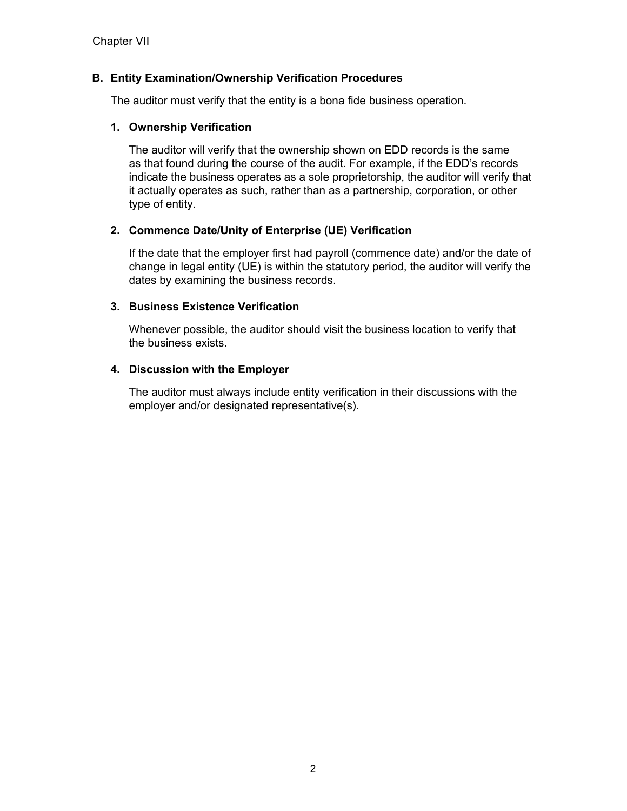## <span id="page-26-0"></span>**B. Entity Examination/Ownership Verification Procedures**

The auditor must verify that the entity is a bona fide business operation.

#### **1. Ownership Verification**

The auditor will verify that the ownership shown on EDD records is the same as that found during the course of the audit. For example, if the EDD's records indicate the business operates as a sole proprietorship, the auditor will verify that it actually operates as such, rather than as a partnership, corporation, or other type of entity.

## **2. Commence Date/Unity of Enterprise (UE) Verification**

If the date that the employer first had payroll (commence date) and/or the date of change in legal entity (UE) is within the statutory period, the auditor will verify the dates by examining the business records.

## **3. Business Existence Verification**

Whenever possible, the auditor should visit the business location to verify that the business exists.

## **4. Discussion with the Employer**

The auditor must always include entity verification in their discussions with the employer and/or designated representative(s).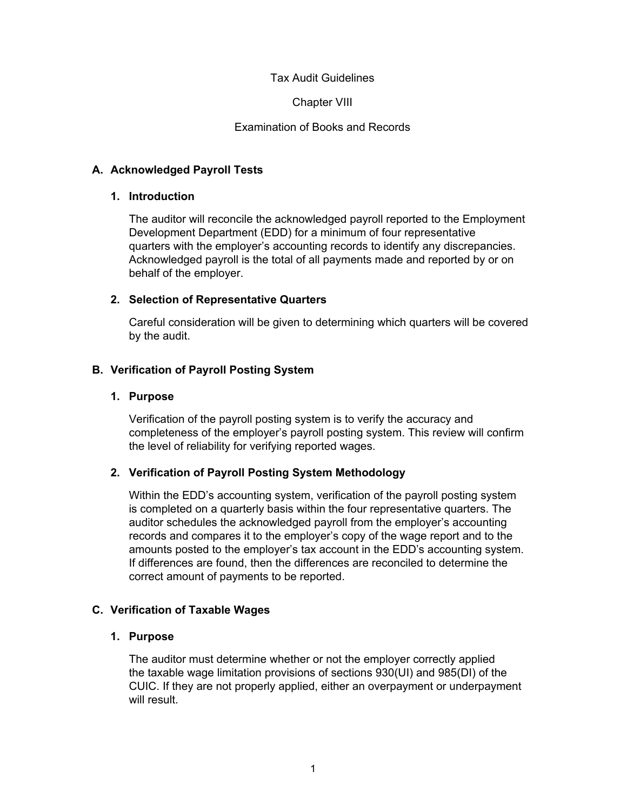Chapter VIII

#### Examination of Books and Records

#### <span id="page-27-0"></span>**A. Acknowledged Payroll Tests**

#### **1. Introduction**

The auditor will reconcile the acknowledged payroll reported to the Employment Development Department (EDD) for a minimum of four representative quarters with the employer's accounting records to identify any discrepancies. Acknowledged payroll is the total of all payments made and reported by or on behalf of the employer.

#### **2. Selection of Representative Quarters**

Careful consideration will be given to determining which quarters will be covered by the audit.

#### **B. Verification of Payroll Posting System**

#### **1. Purpose**

Verification of the payroll posting system is to verify the accuracy and completeness of the employer's payroll posting system. This review will confirm the level of reliability for verifying reported wages.

## **2. Verification of Payroll Posting System Methodology**

Within the EDD's accounting system, verification of the payroll posting system is completed on a quarterly basis within the four representative quarters. The auditor schedules the acknowledged payroll from the employer's accounting records and compares it to the employer's copy of the wage report and to the amounts posted to the employer's tax account in the EDD's accounting system. If differences are found, then the differences are reconciled to determine the correct amount of payments to be reported.

#### **C. Verification of Taxable Wages**

#### **1. Purpose**

The auditor must determine whether or not the employer correctly applied the taxable wage limitation provisions of sections 930(UI) and 985(DI) of the CUIC. If they are not properly applied, either an overpayment or underpayment will result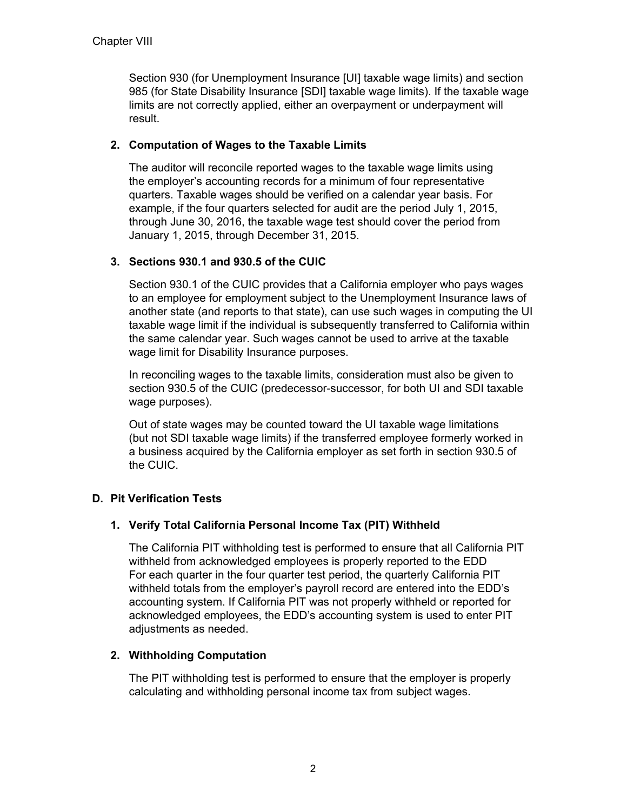<span id="page-28-0"></span>Section 930 (for Unemployment Insurance [UI] taxable wage limits) and section 985 (for State Disability Insurance [SDI] taxable wage limits). If the taxable wage limits are not correctly applied, either an overpayment or underpayment will result.

## **2. Computation of Wages to the Taxable Limits**

The auditor will reconcile reported wages to the taxable wage limits using the employer's accounting records for a minimum of four representative quarters. Taxable wages should be verified on a calendar year basis. For example, if the four quarters selected for audit are the period July 1, 2015, through June 30, 2016, the taxable wage test should cover the period from January 1, 2015, through December 31, 2015.

## **3. Sections 930.1 and 930.5 of the CUIC**

Section 930.1 of the CUIC provides that a California employer who pays wages to an employee for employment subject to the Unemployment Insurance laws of another state (and reports to that state), can use such wages in computing the UI taxable wage limit if the individual is subsequently transferred to California within the same calendar year. Such wages cannot be used to arrive at the taxable wage limit for Disability Insurance purposes.

In reconciling wages to the taxable limits, consideration must also be given to section 930.5 of the CUIC (predecessor-successor, for both UI and SDI taxable wage purposes).

Out of state wages may be counted toward the UI taxable wage limitations (but not SDI taxable wage limits) if the transferred employee formerly worked in a business acquired by the California employer as set forth in section 930.5 of the CUIC.

## **D. Pit Verification Tests**

## **1. Verify Total California Personal Income Tax (PIT) Withheld**

The California PIT withholding test is performed to ensure that all California PIT withheld from acknowledged employees is properly reported to the EDD For each quarter in the four quarter test period, the quarterly California PIT withheld totals from the employer's payroll record are entered into the EDD's accounting system. If California PIT was not properly withheld or reported for acknowledged employees, the EDD's accounting system is used to enter PIT adjustments as needed.

## **2. Withholding Computation**

The PIT withholding test is performed to ensure that the employer is properly calculating and withholding personal income tax from subject wages.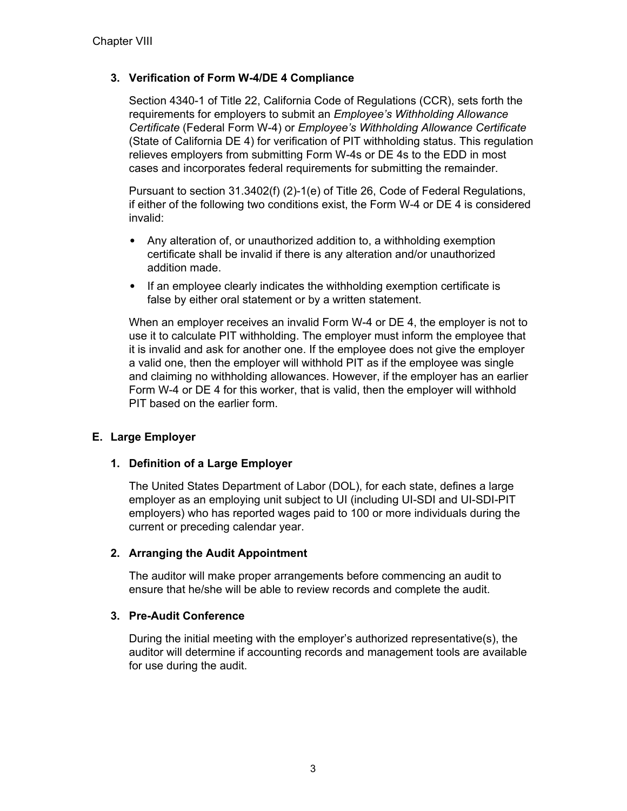## <span id="page-29-0"></span>**3. Verification of Form W-4/DE 4 Compliance**

Section 4340-1 of Title 22, California Code of Regulations (CCR), sets forth the requirements for employers to submit an *Employee's Withholding Allowance Certificate* (Federal Form W-4) or *Employee's Withholding Allowance Certificate* (State of California DE 4) for verification of PIT withholding status. This regulation relieves employers from submitting Form W-4s or DE 4s to the EDD in most cases and incorporates federal requirements for submitting the remainder.

Pursuant to section 31.3402(f) (2)-1(e) of Title 26, Code of Federal Regulations, if either of the following two conditions exist, the Form W-4 or DE 4 is considered invalid:

- Any alteration of, or unauthorized addition to, a withholding exemption certificate shall be invalid if there is any alteration and/or unauthorized addition made.
- If an employee clearly indicates the withholding exemption certificate is false by either oral statement or by a written statement.

When an employer receives an invalid Form W-4 or DE 4, the employer is not to use it to calculate PIT withholding. The employer must inform the employee that it is invalid and ask for another one. If the employee does not give the employer a valid one, then the employer will withhold PIT as if the employee was single and claiming no withholding allowances. However, if the employer has an earlier Form W-4 or DE 4 for this worker, that is valid, then the employer will withhold PIT based on the earlier form.

## **E. Large Employer**

## **1. Definition of a Large Employer**

The United States Department of Labor (DOL), for each state, defines a large employer as an employing unit subject to UI (including UI-SDI and UI-SDI-PIT employers) who has reported wages paid to 100 or more individuals during the current or preceding calendar year.

## **2. Arranging the Audit Appointment**

The auditor will make proper arrangements before commencing an audit to ensure that he/she will be able to review records and complete the audit.

#### **3. Pre-Audit Conference**

During the initial meeting with the employer's authorized representative(s), the auditor will determine if accounting records and management tools are available for use during the audit.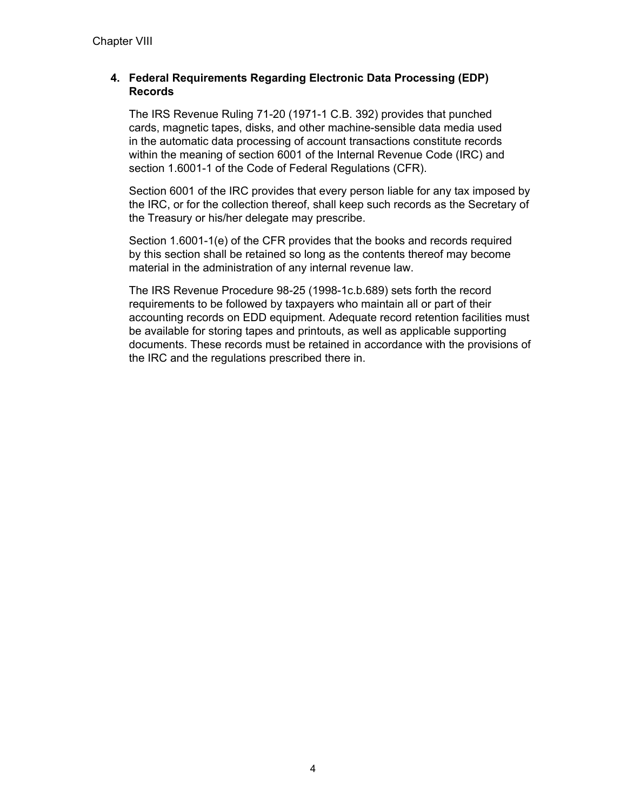## **4. Federal Requirements Regarding Electronic Data Processing (EDP) Records**

The IRS Revenue Ruling 71-20 (1971-1 C.B. 392) provides that punched cards, magnetic tapes, disks, and other machine-sensible data media used in the automatic data processing of account transactions constitute records within the meaning of section 6001 of the Internal Revenue Code (IRC) and section 1.6001-1 of the Code of Federal Regulations (CFR).

Section 6001 of the IRC provides that every person liable for any tax imposed by the IRC, or for the collection thereof, shall keep such records as the Secretary of the Treasury or his/her delegate may prescribe.

Section 1.6001-1(e) of the CFR provides that the books and records required by this section shall be retained so long as the contents thereof may become material in the administration of any internal revenue law.

The IRS Revenue Procedure 98-25 (1998-1c.b.689) sets forth the record requirements to be followed by taxpayers who maintain all or part of their accounting records on EDD equipment. Adequate record retention facilities must be available for storing tapes and printouts, as well as applicable supporting documents. These records must be retained in accordance with the provisions of the IRC and the regulations prescribed there in.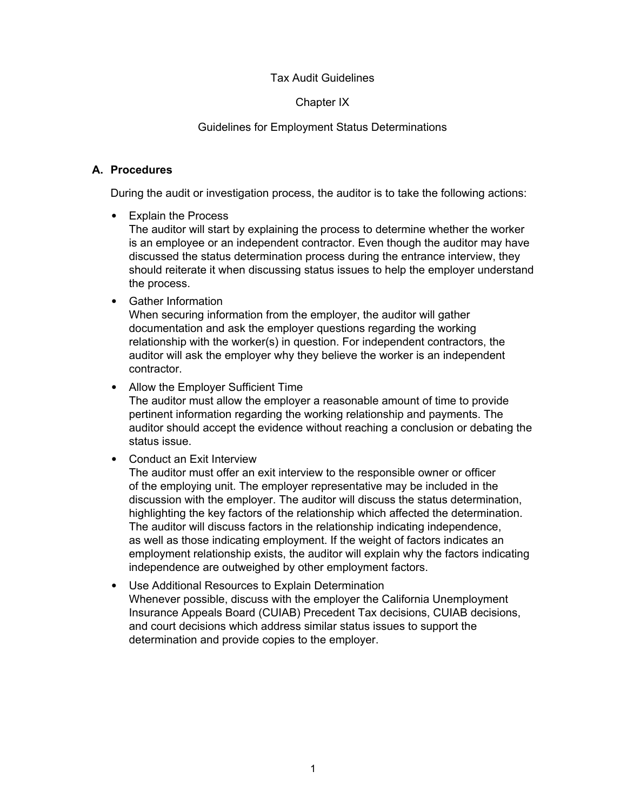#### Chapter IX

#### Guidelines for Employment Status Determinations

#### <span id="page-31-0"></span>**A. Procedures**

During the audit or investigation process, the auditor is to take the following actions:

• Explain the Process

The auditor will start by explaining the process to determine whether the worker is an employee or an independent contractor. Even though the auditor may have discussed the status determination process during the entrance interview, they should reiterate it when discussing status issues to help the employer understand the process.

• Gather Information

When securing information from the employer, the auditor will gather documentation and ask the employer questions regarding the working relationship with the worker(s) in question. For independent contractors, the auditor will ask the employer why they believe the worker is an independent contractor.

• Allow the Employer Sufficient Time

The auditor must allow the employer a reasonable amount of time to provide pertinent information regarding the working relationship and payments. The auditor should accept the evidence without reaching a conclusion or debating the status issue.

• Conduct an Exit Interview

The auditor must offer an exit interview to the responsible owner or officer of the employing unit. The employer representative may be included in the discussion with the employer. The auditor will discuss the status determination, highlighting the key factors of the relationship which affected the determination. The auditor will discuss factors in the relationship indicating independence, as well as those indicating employment. If the weight of factors indicates an employment relationship exists, the auditor will explain why the factors indicating independence are outweighed by other employment factors.

• Use Additional Resources to Explain Determination Whenever possible, discuss with the employer the California Unemployment Insurance Appeals Board (CUIAB) Precedent Tax decisions, CUIAB decisions, and court decisions which address similar status issues to support the determination and provide copies to the employer.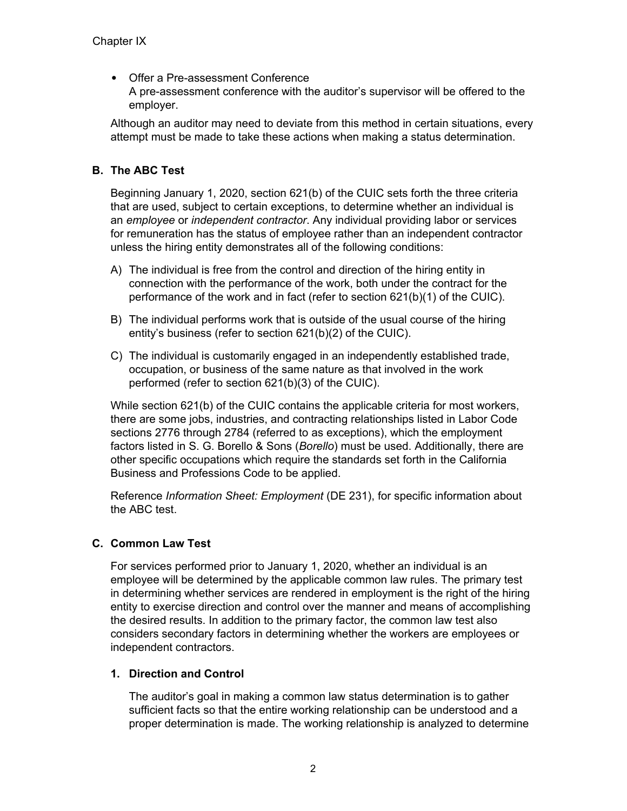<span id="page-32-0"></span>• Offer a Pre-assessment Conference A pre-assessment conference with the auditor's supervisor will be offered to the employer.

Although an auditor may need to deviate from this method in certain situations, every attempt must be made to take these actions when making a status determination.

## **B. The ABC Test**

Beginning January 1, 2020, section 621(b) of the CUIC sets forth the three criteria that are used, subject to certain exceptions, to determine whether an individual is an *employee* or *independent contractor*. Any individual providing labor or services for remuneration has the status of employee rather than an independent contractor unless the hiring entity demonstrates all of the following conditions:

- A) The individual is free from the control and direction of the hiring entity in connection with the performance of the work, both under the contract for the performance of the work and in fact (refer to section 621(b)(1) of the CUIC).
- B) The individual performs work that is outside of the usual course of the hiring entity's business (refer to section 621(b)(2) of the CUIC).
- C) The individual is customarily engaged in an independently established trade, occupation, or business of the same nature as that involved in the work performed (refer to section 621(b)(3) of the CUIC).

While section 621(b) of the CUIC contains the applicable criteria for most workers, there are some jobs, industries, and contracting relationships listed in Labor Code sections 2776 through 2784 (referred to as exceptions), which the employment factors listed in S. G. Borello & Sons (*Borello*) must be used. Additionally, there are other specific occupations which require the standards set forth in the California Business and Professions Code to be applied.

Reference *Information Sheet: Employment* (DE 231), for specific information about the ABC test.

## **C. Common Law Test**

For services performed prior to January 1, 2020, whether an individual is an employee will be determined by the applicable common law rules. The primary test in determining whether services are rendered in employment is the right of the hiring entity to exercise direction and control over the manner and means of accomplishing the desired results. In addition to the primary factor, the common law test also considers secondary factors in determining whether the workers are employees or independent contractors.

## **1. Direction and Control**

The auditor's goal in making a common law status determination is to gather sufficient facts so that the entire working relationship can be understood and a proper determination is made. The working relationship is analyzed to determine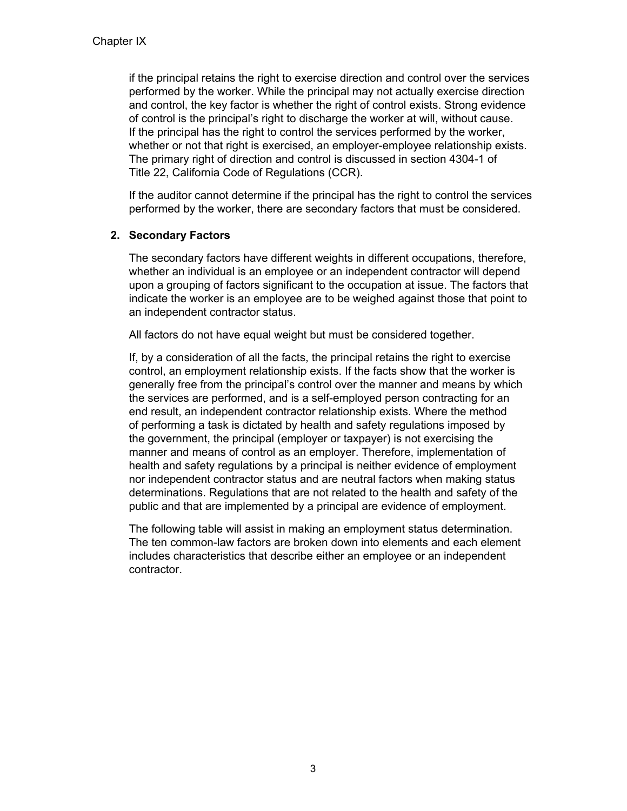if the principal retains the right to exercise direction and control over the services performed by the worker. While the principal may not actually exercise direction and control, the key factor is whether the right of control exists. Strong evidence of control is the principal's right to discharge the worker at will, without cause. If the principal has the right to control the services performed by the worker, whether or not that right is exercised, an employer-employee relationship exists. The primary right of direction and control is discussed in section 4304-1 of Title 22, California Code of Regulations (CCR).

If the auditor cannot determine if the principal has the right to control the services performed by the worker, there are secondary factors that must be considered.

## **2. Secondary Factors**

The secondary factors have different weights in different occupations, therefore, whether an individual is an employee or an independent contractor will depend upon a grouping of factors significant to the occupation at issue. The factors that indicate the worker is an employee are to be weighed against those that point to an independent contractor status.

All factors do not have equal weight but must be considered together.

If, by a consideration of all the facts, the principal retains the right to exercise control, an employment relationship exists. If the facts show that the worker is generally free from the principal's control over the manner and means by which the services are performed, and is a self-employed person contracting for an end result, an independent contractor relationship exists. Where the method of performing a task is dictated by health and safety regulations imposed by the government, the principal (employer or taxpayer) is not exercising the manner and means of control as an employer. Therefore, implementation of health and safety regulations by a principal is neither evidence of employment nor independent contractor status and are neutral factors when making status determinations. Regulations that are not related to the health and safety of the public and that are implemented by a principal are evidence of employment.

The following table will assist in making an employment status determination. The ten common-law factors are broken down into elements and each element includes characteristics that describe either an employee or an independent contractor.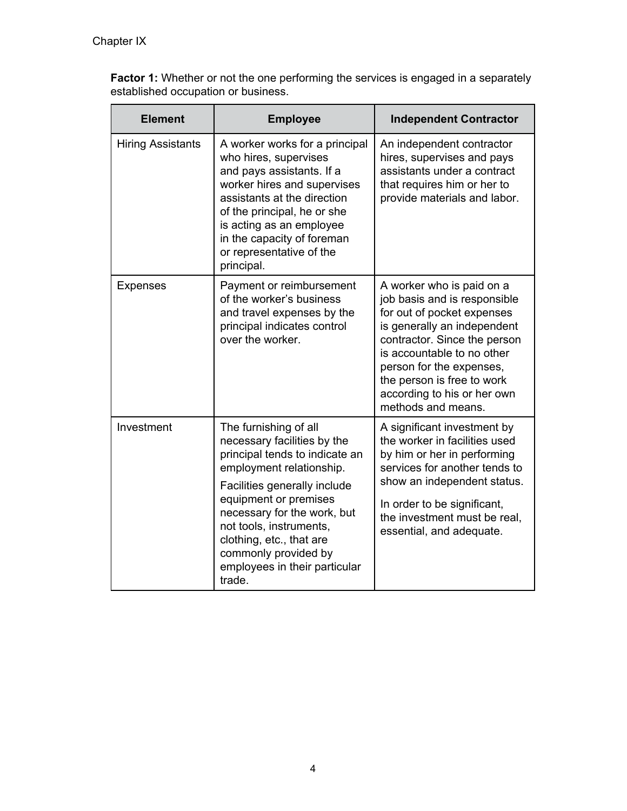**Factor 1:** Whether or not the one performing the services is engaged in a separately established occupation or business.

| <b>Element</b>           | <b>Employee</b>                                                                                                                                                                                                                                                                                                                      | <b>Independent Contractor</b>                                                                                                                                                                                                                                                                       |
|--------------------------|--------------------------------------------------------------------------------------------------------------------------------------------------------------------------------------------------------------------------------------------------------------------------------------------------------------------------------------|-----------------------------------------------------------------------------------------------------------------------------------------------------------------------------------------------------------------------------------------------------------------------------------------------------|
| <b>Hiring Assistants</b> | A worker works for a principal<br>who hires, supervises<br>and pays assistants. If a<br>worker hires and supervises<br>assistants at the direction<br>of the principal, he or she<br>is acting as an employee<br>in the capacity of foreman<br>or representative of the<br>principal.                                                | An independent contractor<br>hires, supervises and pays<br>assistants under a contract<br>that requires him or her to<br>provide materials and labor.                                                                                                                                               |
| <b>Expenses</b>          | Payment or reimbursement<br>of the worker's business<br>and travel expenses by the<br>principal indicates control<br>over the worker.                                                                                                                                                                                                | A worker who is paid on a<br>job basis and is responsible<br>for out of pocket expenses<br>is generally an independent<br>contractor. Since the person<br>is accountable to no other<br>person for the expenses,<br>the person is free to work<br>according to his or her own<br>methods and means. |
| Investment               | The furnishing of all<br>necessary facilities by the<br>principal tends to indicate an<br>employment relationship.<br>Facilities generally include<br>equipment or premises<br>necessary for the work, but<br>not tools, instruments,<br>clothing, etc., that are<br>commonly provided by<br>employees in their particular<br>trade. | A significant investment by<br>the worker in facilities used<br>by him or her in performing<br>services for another tends to<br>show an independent status.<br>In order to be significant,<br>the investment must be real,<br>essential, and adequate.                                              |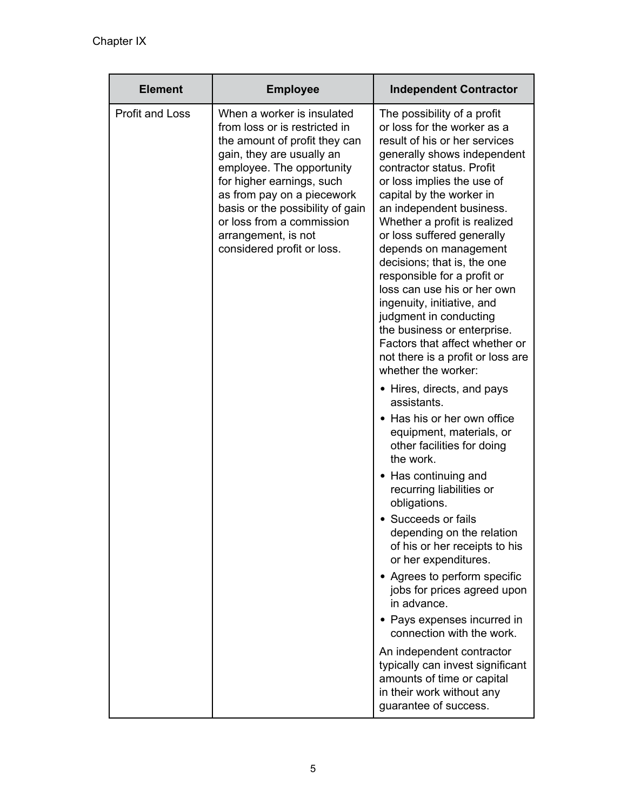| <b>Element</b>         | <b>Employee</b>                                                                                                                                                                                                                                                                                                                         | <b>Independent Contractor</b>                                                                                                                                                                                                                                                                                                                                                                                                                                                                                                                                                                                                                                                                                                                                                                                                                                                                                                                                                                                                                                                                                                                                                                                                                             |
|------------------------|-----------------------------------------------------------------------------------------------------------------------------------------------------------------------------------------------------------------------------------------------------------------------------------------------------------------------------------------|-----------------------------------------------------------------------------------------------------------------------------------------------------------------------------------------------------------------------------------------------------------------------------------------------------------------------------------------------------------------------------------------------------------------------------------------------------------------------------------------------------------------------------------------------------------------------------------------------------------------------------------------------------------------------------------------------------------------------------------------------------------------------------------------------------------------------------------------------------------------------------------------------------------------------------------------------------------------------------------------------------------------------------------------------------------------------------------------------------------------------------------------------------------------------------------------------------------------------------------------------------------|
| <b>Profit and Loss</b> | When a worker is insulated<br>from loss or is restricted in<br>the amount of profit they can<br>gain, they are usually an<br>employee. The opportunity<br>for higher earnings, such<br>as from pay on a piecework<br>basis or the possibility of gain<br>or loss from a commission<br>arrangement, is not<br>considered profit or loss. | The possibility of a profit<br>or loss for the worker as a<br>result of his or her services<br>generally shows independent<br>contractor status. Profit<br>or loss implies the use of<br>capital by the worker in<br>an independent business.<br>Whether a profit is realized<br>or loss suffered generally<br>depends on management<br>decisions; that is, the one<br>responsible for a profit or<br>loss can use his or her own<br>ingenuity, initiative, and<br>judgment in conducting<br>the business or enterprise.<br>Factors that affect whether or<br>not there is a profit or loss are<br>whether the worker:<br>• Hires, directs, and pays<br>assistants.<br>• Has his or her own office<br>equipment, materials, or<br>other facilities for doing<br>the work.<br>• Has continuing and<br>recurring liabilities or<br>obligations.<br>• Succeeds or fails<br>depending on the relation<br>of his or her receipts to his<br>or her expenditures.<br>• Agrees to perform specific<br>jobs for prices agreed upon<br>in advance.<br>• Pays expenses incurred in<br>connection with the work.<br>An independent contractor<br>typically can invest significant<br>amounts of time or capital<br>in their work without any<br>guarantee of success. |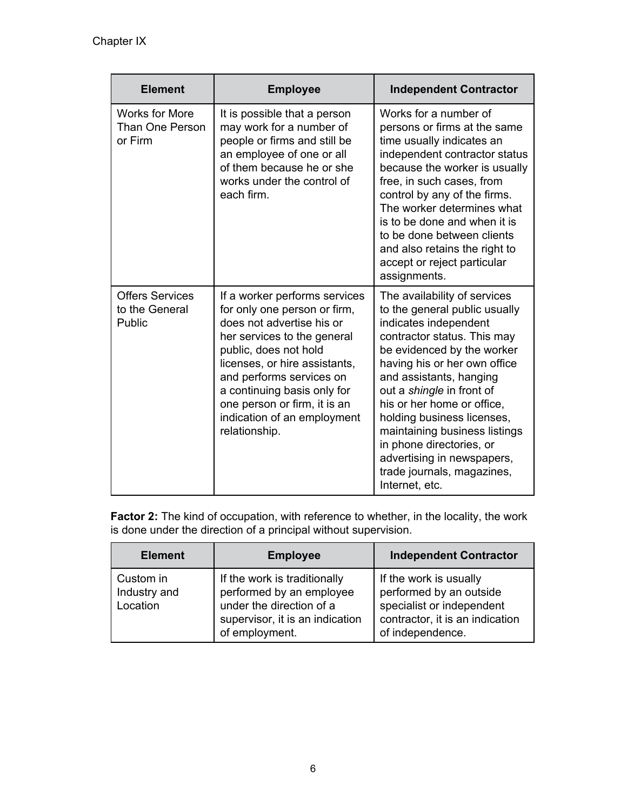| <b>Element</b>                                      | <b>Employee</b>                                                                                                                                                                                                                                                                                                                | <b>Independent Contractor</b>                                                                                                                                                                                                                                                                                                                                                                                                                      |
|-----------------------------------------------------|--------------------------------------------------------------------------------------------------------------------------------------------------------------------------------------------------------------------------------------------------------------------------------------------------------------------------------|----------------------------------------------------------------------------------------------------------------------------------------------------------------------------------------------------------------------------------------------------------------------------------------------------------------------------------------------------------------------------------------------------------------------------------------------------|
| <b>Works for More</b><br>Than One Person<br>or Firm | It is possible that a person<br>may work for a number of<br>people or firms and still be<br>an employee of one or all<br>of them because he or she<br>works under the control of<br>each firm.                                                                                                                                 | Works for a number of<br>persons or firms at the same<br>time usually indicates an<br>independent contractor status<br>because the worker is usually<br>free, in such cases, from<br>control by any of the firms.<br>The worker determines what<br>is to be done and when it is<br>to be done between clients<br>and also retains the right to<br>accept or reject particular<br>assignments.                                                      |
| <b>Offers Services</b><br>to the General<br>Public  | If a worker performs services<br>for only one person or firm,<br>does not advertise his or<br>her services to the general<br>public, does not hold<br>licenses, or hire assistants,<br>and performs services on<br>a continuing basis only for<br>one person or firm, it is an<br>indication of an employment<br>relationship. | The availability of services<br>to the general public usually<br>indicates independent<br>contractor status. This may<br>be evidenced by the worker<br>having his or her own office<br>and assistants, hanging<br>out a shingle in front of<br>his or her home or office,<br>holding business licenses,<br>maintaining business listings<br>in phone directories, or<br>advertising in newspapers,<br>trade journals, magazines,<br>Internet, etc. |

**Factor 2:** The kind of occupation, with reference to whether, in the locality, the work is done under the direction of a principal without supervision.

| <b>Element</b>                        | <b>Employee</b>                                                                                                                           | <b>Independent Contractor</b>                                                                                                         |
|---------------------------------------|-------------------------------------------------------------------------------------------------------------------------------------------|---------------------------------------------------------------------------------------------------------------------------------------|
| Custom in<br>Industry and<br>Location | If the work is traditionally<br>performed by an employee<br>under the direction of a<br>supervisor, it is an indication<br>of employment. | If the work is usually<br>performed by an outside<br>specialist or independent<br>contractor, it is an indication<br>of independence. |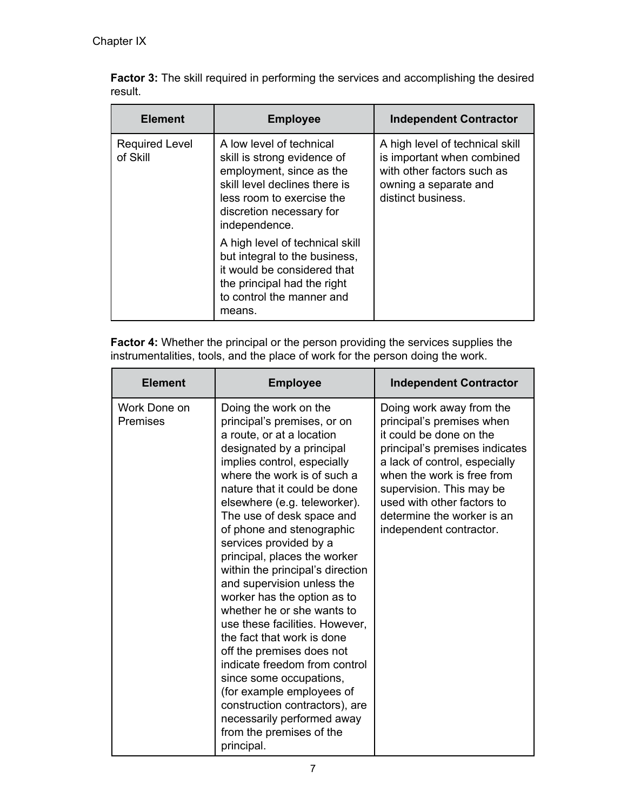|         |  |  |  |  | <b>Factor 3:</b> The skill required in performing the services and accomplishing the desired |  |
|---------|--|--|--|--|----------------------------------------------------------------------------------------------|--|
| result. |  |  |  |  |                                                                                              |  |

| <b>Element</b>                    | <b>Employee</b>                                                                                                                                                                                | <b>Independent Contractor</b>                                                                                                              |
|-----------------------------------|------------------------------------------------------------------------------------------------------------------------------------------------------------------------------------------------|--------------------------------------------------------------------------------------------------------------------------------------------|
| <b>Required Level</b><br>of Skill | A low level of technical<br>skill is strong evidence of<br>employment, since as the<br>skill level declines there is<br>less room to exercise the<br>discretion necessary for<br>independence. | A high level of technical skill<br>is important when combined<br>with other factors such as<br>owning a separate and<br>distinct business. |
|                                   | A high level of technical skill<br>but integral to the business,<br>it would be considered that<br>the principal had the right<br>to control the manner and<br>means.                          |                                                                                                                                            |

**Factor 4:** Whether the principal or the person providing the services supplies the instrumentalities, tools, and the place of work for the person doing the work.

| <b>Element</b>                  | <b>Employee</b>                                                                                                                                                                                                                                                                                                                                                                                                                                                                                                                                                                                                                                                                                                                                                                                 | <b>Independent Contractor</b>                                                                                                                                                                                                                                                                        |
|---------------------------------|-------------------------------------------------------------------------------------------------------------------------------------------------------------------------------------------------------------------------------------------------------------------------------------------------------------------------------------------------------------------------------------------------------------------------------------------------------------------------------------------------------------------------------------------------------------------------------------------------------------------------------------------------------------------------------------------------------------------------------------------------------------------------------------------------|------------------------------------------------------------------------------------------------------------------------------------------------------------------------------------------------------------------------------------------------------------------------------------------------------|
| Work Done on<br><b>Premises</b> | Doing the work on the<br>principal's premises, or on<br>a route, or at a location<br>designated by a principal<br>implies control, especially<br>where the work is of such a<br>nature that it could be done<br>elsewhere (e.g. teleworker).<br>The use of desk space and<br>of phone and stenographic<br>services provided by a<br>principal, places the worker<br>within the principal's direction<br>and supervision unless the<br>worker has the option as to<br>whether he or she wants to<br>use these facilities. However,<br>the fact that work is done<br>off the premises does not<br>indicate freedom from control<br>since some occupations,<br>(for example employees of<br>construction contractors), are<br>necessarily performed away<br>from the premises of the<br>principal. | Doing work away from the<br>principal's premises when<br>it could be done on the<br>principal's premises indicates<br>a lack of control, especially<br>when the work is free from<br>supervision. This may be<br>used with other factors to<br>determine the worker is an<br>independent contractor. |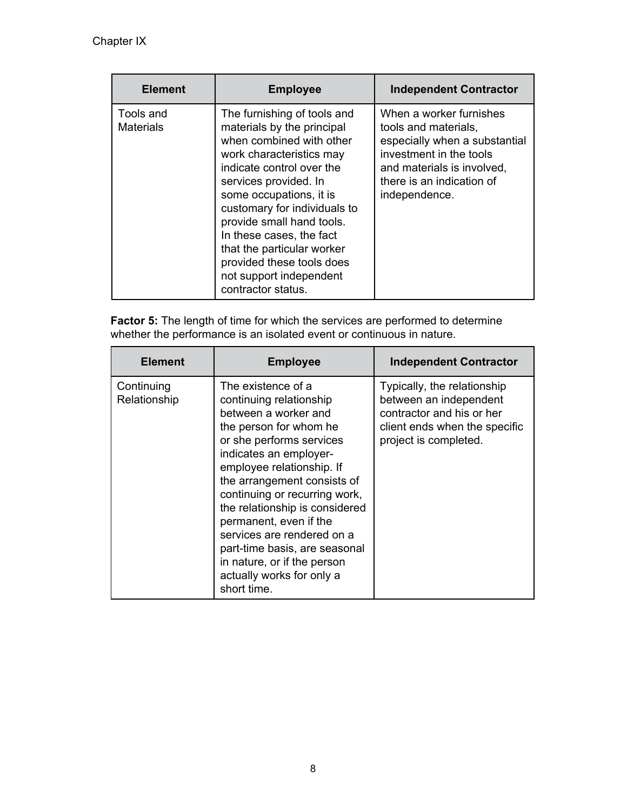| <b>Element</b>                | <b>Employee</b>                                                                                                                                                                                                                                                                                                                                                                                         | <b>Independent Contractor</b>                                                                                                                                                           |
|-------------------------------|---------------------------------------------------------------------------------------------------------------------------------------------------------------------------------------------------------------------------------------------------------------------------------------------------------------------------------------------------------------------------------------------------------|-----------------------------------------------------------------------------------------------------------------------------------------------------------------------------------------|
| Tools and<br><b>Materials</b> | The furnishing of tools and<br>materials by the principal<br>when combined with other<br>work characteristics may<br>indicate control over the<br>services provided. In<br>some occupations, it is<br>customary for individuals to<br>provide small hand tools.<br>In these cases, the fact<br>that the particular worker<br>provided these tools does<br>not support independent<br>contractor status. | When a worker furnishes<br>tools and materials,<br>especially when a substantial<br>investment in the tools<br>and materials is involved,<br>there is an indication of<br>independence. |

**Factor 5:** The length of time for which the services are performed to determine whether the performance is an isolated event or continuous in nature.

| <b>Element</b>             | <b>Employee</b>                                                                                                                                                                                                                                                                                                                                                                                                                                          | <b>Independent Contractor</b>                                                                                                                |
|----------------------------|----------------------------------------------------------------------------------------------------------------------------------------------------------------------------------------------------------------------------------------------------------------------------------------------------------------------------------------------------------------------------------------------------------------------------------------------------------|----------------------------------------------------------------------------------------------------------------------------------------------|
| Continuing<br>Relationship | The existence of a<br>continuing relationship<br>between a worker and<br>the person for whom he<br>or she performs services<br>indicates an employer-<br>employee relationship. If<br>the arrangement consists of<br>continuing or recurring work,<br>the relationship is considered<br>permanent, even if the<br>services are rendered on a<br>part-time basis, are seasonal<br>in nature, or if the person<br>actually works for only a<br>short time. | Typically, the relationship<br>between an independent<br>contractor and his or her<br>client ends when the specific<br>project is completed. |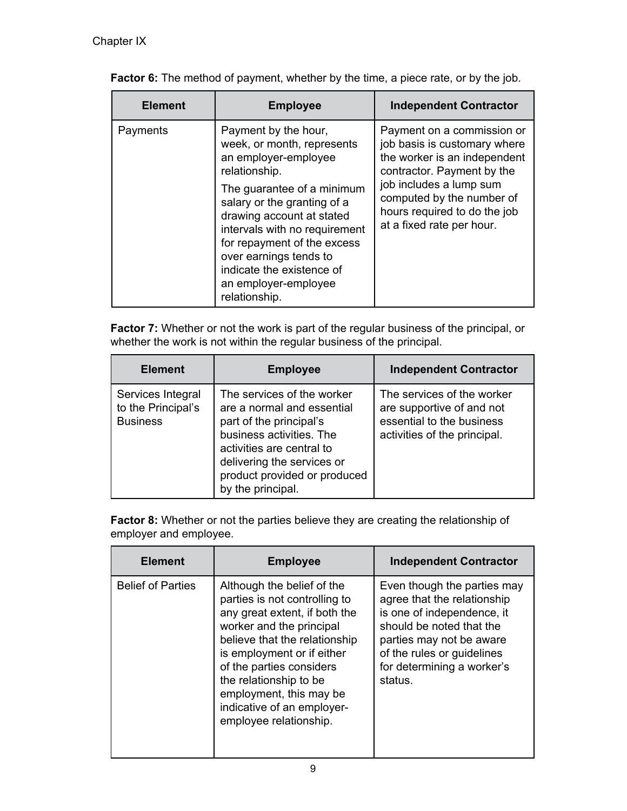| <b>Element</b> | <b>Employee</b>                                                                                                                                                                                                                                                                                                                                       | <b>Independent Contractor</b>                                                                                                                                                                                                                 |
|----------------|-------------------------------------------------------------------------------------------------------------------------------------------------------------------------------------------------------------------------------------------------------------------------------------------------------------------------------------------------------|-----------------------------------------------------------------------------------------------------------------------------------------------------------------------------------------------------------------------------------------------|
| Payments       | Payment by the hour,<br>week, or month, represents<br>an employer-employee<br>relationship.<br>The guarantee of a minimum<br>salary or the granting of a<br>drawing account at stated<br>intervals with no requirement<br>for repayment of the excess<br>over earnings tends to<br>indicate the existence of<br>an employer-employee<br>relationship. | Payment on a commission or<br>job basis is customary where<br>the worker is an independent<br>contractor. Payment by the<br>job includes a lump sum<br>computed by the number of<br>hours required to do the job<br>at a fixed rate per hour. |

Factor 6: The method of payment, whether by the time, a piece rate, or by the job.

**Factor 7:** Whether or not the work is part of the regular business of the principal, or whether the work is not within the regular business of the principal.

| <b>Element</b>                                             | <b>Employee</b>                                                                                                                                                                                                                 | <b>Independent Contractor</b>                                                                                        |
|------------------------------------------------------------|---------------------------------------------------------------------------------------------------------------------------------------------------------------------------------------------------------------------------------|----------------------------------------------------------------------------------------------------------------------|
| Services Integral<br>to the Principal's<br><b>Business</b> | The services of the worker<br>are a normal and essential<br>part of the principal's<br>business activities. The<br>activities are central to<br>delivering the services or<br>product provided or produced<br>by the principal. | The services of the worker<br>are supportive of and not<br>essential to the business<br>activities of the principal. |

| <b>Factor 8:</b> Whether or not the parties believe they are creating the relationship of |
|-------------------------------------------------------------------------------------------|
| employer and employee.                                                                    |

| <b>Element</b>           | <b>Employee</b>                                                                                                                                                                                                                                                                                                                  | <b>Independent Contractor</b>                                                                                                                                                                                           |
|--------------------------|----------------------------------------------------------------------------------------------------------------------------------------------------------------------------------------------------------------------------------------------------------------------------------------------------------------------------------|-------------------------------------------------------------------------------------------------------------------------------------------------------------------------------------------------------------------------|
| <b>Belief of Parties</b> | Although the belief of the<br>parties is not controlling to<br>any great extent, if both the<br>worker and the principal<br>believe that the relationship<br>is employment or if either<br>of the parties considers<br>the relationship to be<br>employment, this may be<br>indicative of an employer-<br>employee relationship. | Even though the parties may<br>agree that the relationship<br>is one of independence, it<br>should be noted that the<br>parties may not be aware<br>of the rules or guidelines<br>for determining a worker's<br>status. |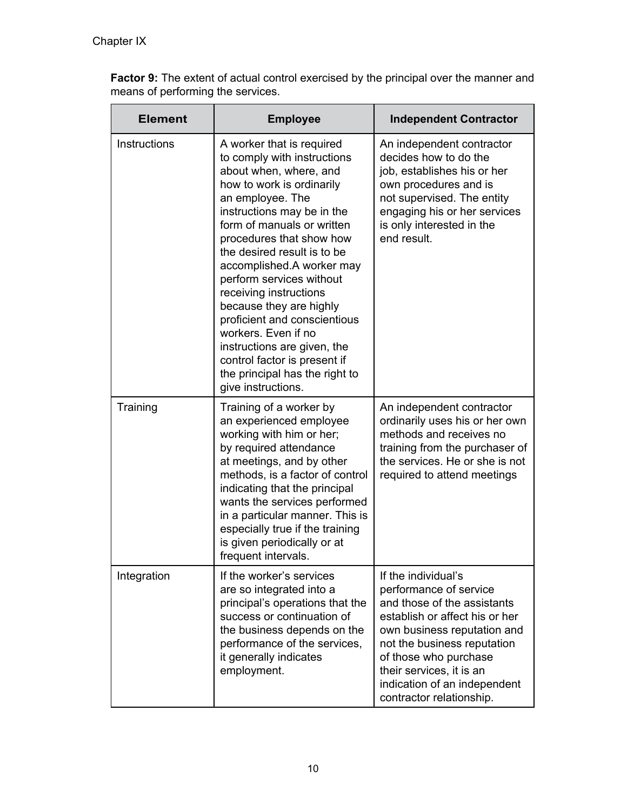**Factor 9:** The extent of actual control exercised by the principal over the manner and means of performing the services.

| <b>Element</b> | <b>Employee</b>                                                                                                                                                                                                                                                                                                                                                                                                                                                                                                                                        | <b>Independent Contractor</b>                                                                                                                                                                                                                                                                 |
|----------------|--------------------------------------------------------------------------------------------------------------------------------------------------------------------------------------------------------------------------------------------------------------------------------------------------------------------------------------------------------------------------------------------------------------------------------------------------------------------------------------------------------------------------------------------------------|-----------------------------------------------------------------------------------------------------------------------------------------------------------------------------------------------------------------------------------------------------------------------------------------------|
| Instructions   | A worker that is required<br>to comply with instructions<br>about when, where, and<br>how to work is ordinarily<br>an employee. The<br>instructions may be in the<br>form of manuals or written<br>procedures that show how<br>the desired result is to be<br>accomplished.A worker may<br>perform services without<br>receiving instructions<br>because they are highly<br>proficient and conscientious<br>workers. Even if no<br>instructions are given, the<br>control factor is present if<br>the principal has the right to<br>give instructions. | An independent contractor<br>decides how to do the<br>job, establishes his or her<br>own procedures and is<br>not supervised. The entity<br>engaging his or her services<br>is only interested in the<br>end result.                                                                          |
| Training       | Training of a worker by<br>an experienced employee<br>working with him or her;<br>by required attendance<br>at meetings, and by other<br>methods, is a factor of control<br>indicating that the principal<br>wants the services performed<br>in a particular manner. This is<br>especially true if the training<br>is given periodically or at<br>frequent intervals.                                                                                                                                                                                  | An independent contractor<br>ordinarily uses his or her own<br>methods and receives no<br>training from the purchaser of<br>the services. He or she is not<br>required to attend meetings                                                                                                     |
| Integration    | If the worker's services<br>are so integrated into a<br>principal's operations that the<br>success or continuation of<br>the business depends on the<br>performance of the services,<br>it generally indicates<br>employment.                                                                                                                                                                                                                                                                                                                          | If the individual's<br>performance of service<br>and those of the assistants<br>establish or affect his or her<br>own business reputation and<br>not the business reputation<br>of those who purchase<br>their services, it is an<br>indication of an independent<br>contractor relationship. |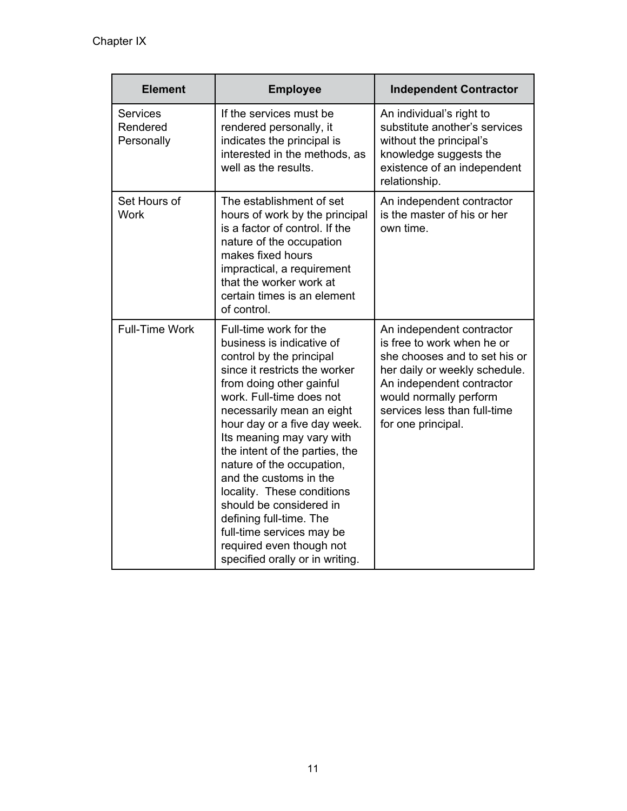| <b>Element</b>                            | <b>Employee</b>                                                                                                                                                                                                                                                                                                                                                                                                                                                                                                                             | <b>Independent Contractor</b>                                                                                                                                                                                                          |
|-------------------------------------------|---------------------------------------------------------------------------------------------------------------------------------------------------------------------------------------------------------------------------------------------------------------------------------------------------------------------------------------------------------------------------------------------------------------------------------------------------------------------------------------------------------------------------------------------|----------------------------------------------------------------------------------------------------------------------------------------------------------------------------------------------------------------------------------------|
| <b>Services</b><br>Rendered<br>Personally | If the services must be<br>rendered personally, it<br>indicates the principal is<br>interested in the methods, as<br>well as the results.                                                                                                                                                                                                                                                                                                                                                                                                   | An individual's right to<br>substitute another's services<br>without the principal's<br>knowledge suggests the<br>existence of an independent<br>relationship.                                                                         |
| Set Hours of<br><b>Work</b>               | The establishment of set<br>hours of work by the principal<br>is a factor of control. If the<br>nature of the occupation<br>makes fixed hours<br>impractical, a requirement<br>that the worker work at<br>certain times is an element<br>of control.                                                                                                                                                                                                                                                                                        | An independent contractor<br>is the master of his or her<br>own time.                                                                                                                                                                  |
| <b>Full-Time Work</b>                     | Full-time work for the<br>business is indicative of<br>control by the principal<br>since it restricts the worker<br>from doing other gainful<br>work. Full-time does not<br>necessarily mean an eight<br>hour day or a five day week.<br>Its meaning may vary with<br>the intent of the parties, the<br>nature of the occupation,<br>and the customs in the<br>locality. These conditions<br>should be considered in<br>defining full-time. The<br>full-time services may be<br>required even though not<br>specified orally or in writing. | An independent contractor<br>is free to work when he or<br>she chooses and to set his or<br>her daily or weekly schedule.<br>An independent contractor<br>would normally perform<br>services less than full-time<br>for one principal. |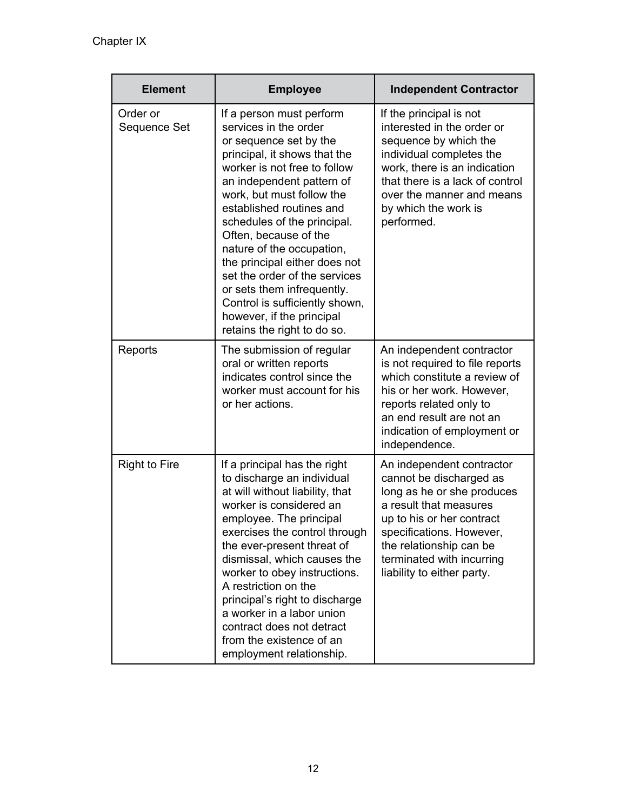| <b>Element</b>           | <b>Employee</b>                                                                                                                                                                                                                                                                                                                                                                                                                                                                                                      | <b>Independent Contractor</b>                                                                                                                                                                                                                               |
|--------------------------|----------------------------------------------------------------------------------------------------------------------------------------------------------------------------------------------------------------------------------------------------------------------------------------------------------------------------------------------------------------------------------------------------------------------------------------------------------------------------------------------------------------------|-------------------------------------------------------------------------------------------------------------------------------------------------------------------------------------------------------------------------------------------------------------|
| Order or<br>Sequence Set | If a person must perform<br>services in the order<br>or sequence set by the<br>principal, it shows that the<br>worker is not free to follow<br>an independent pattern of<br>work, but must follow the<br>established routines and<br>schedules of the principal.<br>Often, because of the<br>nature of the occupation,<br>the principal either does not<br>set the order of the services<br>or sets them infrequently.<br>Control is sufficiently shown,<br>however, if the principal<br>retains the right to do so. | If the principal is not<br>interested in the order or<br>sequence by which the<br>individual completes the<br>work, there is an indication<br>that there is a lack of control<br>over the manner and means<br>by which the work is<br>performed.            |
| Reports                  | The submission of regular<br>oral or written reports<br>indicates control since the<br>worker must account for his<br>or her actions.                                                                                                                                                                                                                                                                                                                                                                                | An independent contractor<br>is not required to file reports<br>which constitute a review of<br>his or her work. However,<br>reports related only to<br>an end result are not an<br>indication of employment or<br>independence.                            |
| <b>Right to Fire</b>     | If a principal has the right<br>to discharge an individual<br>at will without liability, that<br>worker is considered an<br>employee. The principal<br>exercises the control through<br>the ever-present threat of<br>dismissal, which causes the<br>worker to obey instructions.<br>A restriction on the<br>principal's right to discharge<br>a worker in a labor union<br>contract does not detract<br>from the existence of an<br>employment relationship.                                                        | An independent contractor<br>cannot be discharged as<br>long as he or she produces<br>a result that measures<br>up to his or her contract<br>specifications. However,<br>the relationship can be<br>terminated with incurring<br>liability to either party. |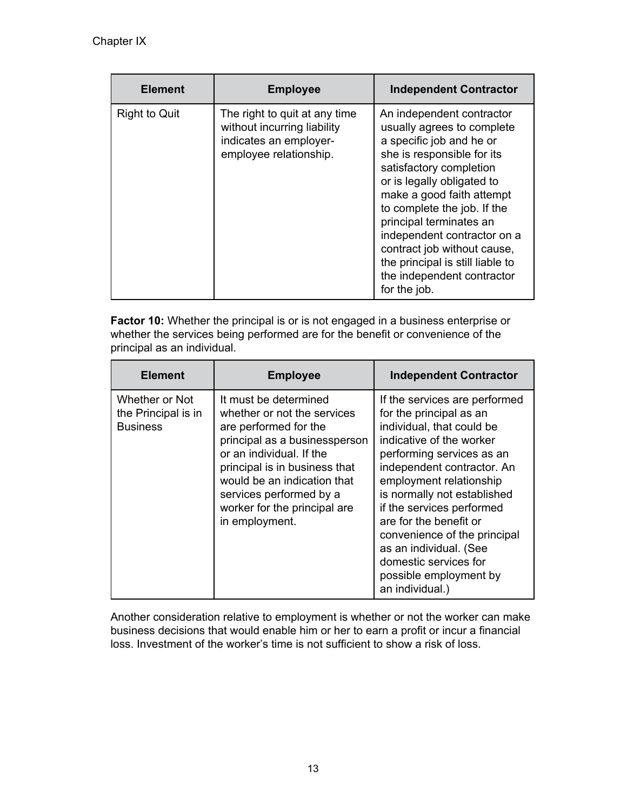| <b>Element</b>       | <b>Employee</b>                                                                                                  | <b>Independent Contractor</b>                                                                                                                                                                                                                                                                                                                                                                                     |
|----------------------|------------------------------------------------------------------------------------------------------------------|-------------------------------------------------------------------------------------------------------------------------------------------------------------------------------------------------------------------------------------------------------------------------------------------------------------------------------------------------------------------------------------------------------------------|
| <b>Right to Quit</b> | The right to quit at any time<br>without incurring liability<br>indicates an employer-<br>employee relationship. | An independent contractor<br>usually agrees to complete<br>a specific job and he or<br>she is responsible for its<br>satisfactory completion<br>or is legally obligated to<br>make a good faith attempt<br>to complete the job. If the<br>principal terminates an<br>independent contractor on a<br>contract job without cause,<br>the principal is still liable to<br>the independent contractor<br>for the job. |

**Factor 10:** Whether the principal is or is not engaged in a business enterprise or whether the services being performed are for the benefit or convenience of the principal as an individual.

| <b>Element</b>                                           | <b>Employee</b>                                                                                                                                                                                                                                                                         | <b>Independent Contractor</b>                                                                                                                                                                                                                                                                                                                                                                                                 |
|----------------------------------------------------------|-----------------------------------------------------------------------------------------------------------------------------------------------------------------------------------------------------------------------------------------------------------------------------------------|-------------------------------------------------------------------------------------------------------------------------------------------------------------------------------------------------------------------------------------------------------------------------------------------------------------------------------------------------------------------------------------------------------------------------------|
| Whether or Not<br>the Principal is in<br><b>Business</b> | It must be determined<br>whether or not the services<br>are performed for the<br>principal as a businessperson<br>or an individual. If the<br>principal is in business that<br>would be an indication that<br>services performed by a<br>worker for the principal are<br>in employment. | If the services are performed<br>for the principal as an<br>individual, that could be<br>indicative of the worker<br>performing services as an<br>independent contractor. An<br>employment relationship<br>is normally not established<br>if the services performed<br>are for the benefit or<br>convenience of the principal<br>as an individual. (See<br>domestic services for<br>possible employment by<br>an individual.) |

Another consideration relative to employment is whether or not the worker can make business decisions that would enable him or her to earn a profit or incur a financial loss. Investment of the worker's time is not sufficient to show a risk of loss.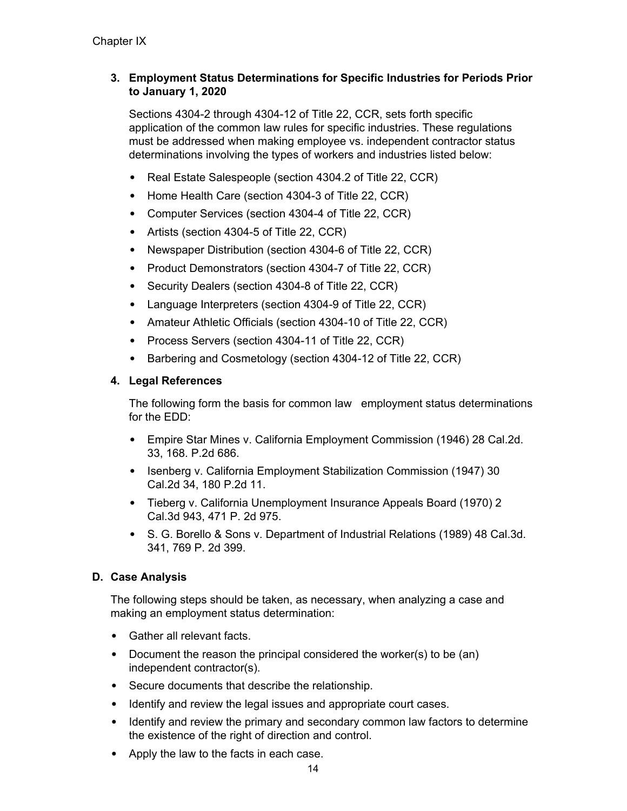### **3. Employment Status Determinations for Specific Industries for Periods Prior to January 1, 2020**

Sections 4304-2 through 4304-12 of Title 22, CCR, sets forth specific application of the common law rules for specific industries. These regulations must be addressed when making employee vs. independent contractor status determinations involving the types of workers and industries listed below:

- Real Estate Salespeople (section 4304.2 of Title 22, CCR)
- Home Health Care (section 4304-3 of Title 22, CCR)
- Computer Services (section 4304-4 of Title 22, CCR)
- Artists (section 4304-5 of Title 22, CCR)
- Newspaper Distribution (section 4304-6 of Title 22, CCR)
- Product Demonstrators (section 4304-7 of Title 22, CCR)
- Security Dealers (section 4304-8 of Title 22, CCR)
- Language Interpreters (section 4304-9 of Title 22, CCR)
- Amateur Athletic Officials (section 4304-10 of Title 22, CCR)
- Process Servers (section 4304-11 of Title 22, CCR)
- Barbering and Cosmetology (section 4304-12 of Title 22, CCR)

### **4. Legal References**

The following form the basis for common law employment status determinations for the EDD:

- Empire Star Mines v. California Employment Commission (1946) 28 Cal.2d. 33, 168. P.2d 686.
- Isenberg v. California Employment Stabilization Commission (1947) 30 Cal.2d 34, 180 P.2d 11.
- Tieberg v. California Unemployment Insurance Appeals Board (1970) 2 Cal.3d 943, 471 P. 2d 975.
- S. G. Borello & Sons v. Department of Industrial Relations (1989) 48 Cal.3d. 341, 769 P. 2d 399.

### **D. Case Analysis**

The following steps should be taken, as necessary, when analyzing a case and making an employment status determination:

- Gather all relevant facts.
- Document the reason the principal considered the worker(s) to be (an) independent contractor(s).
- Secure documents that describe the relationship.
- Identify and review the legal issues and appropriate court cases.
- Identify and review the primary and secondary common law factors to determine the existence of the right of direction and control.
- Apply the law to the facts in each case.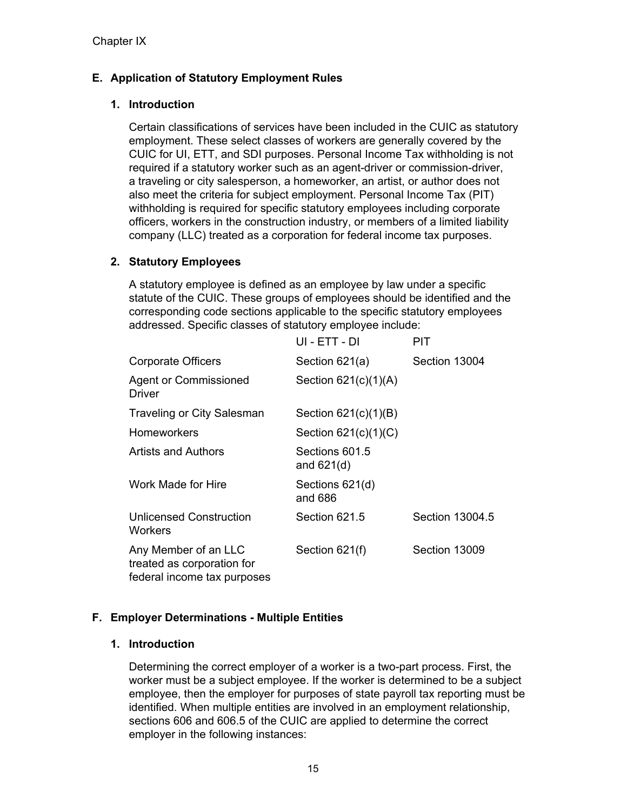# **E. Application of Statutory Employment Rules**

### **1. Introduction**

Certain classifications of services have been included in the CUIC as statutory employment. These select classes of workers are generally covered by the CUIC for UI, ETT, and SDI purposes. Personal Income Tax withholding is not required if a statutory worker such as an agent-driver or commission-driver, a traveling or city salesperson, a homeworker, an artist, or author does not also meet the criteria for subject employment. Personal Income Tax (PIT) withholding is required for specific statutory employees including corporate officers, workers in the construction industry, or members of a limited liability company (LLC) treated as a corporation for federal income tax purposes.

### **2. Statutory Employees**

A statutory employee is defined as an employee by law under a specific statute of the CUIC. These groups of employees should be identified and the corresponding code sections applicable to the specific statutory employees addressed. Specific classes of statutory employee include:

|                                                                                   | UI - ETT - DI                  | PIT             |
|-----------------------------------------------------------------------------------|--------------------------------|-----------------|
| <b>Corporate Officers</b>                                                         | Section $621(a)$               | Section 13004   |
| Agent or Commissioned<br>Driver                                                   | Section $621(c)(1)(A)$         |                 |
| Traveling or City Salesman                                                        | Section $621(c)(1)(B)$         |                 |
| Homeworkers                                                                       | Section $621(c)(1)(C)$         |                 |
| Artists and Authors                                                               | Sections 601.5<br>and $621(d)$ |                 |
| Work Made for Hire                                                                | Sections 621(d)<br>and 686     |                 |
| Unlicensed Construction<br>Workers                                                | Section 621.5                  | Section 13004.5 |
| Any Member of an LLC<br>treated as corporation for<br>federal income tax purposes | Section 621(f)                 | Section 13009   |

# **F. Employer Determinations - Multiple Entities**

### **1. Introduction**

Determining the correct employer of a worker is a two-part process. First, the worker must be a subject employee. If the worker is determined to be a subject employee, then the employer for purposes of state payroll tax reporting must be identified. When multiple entities are involved in an employment relationship, sections 606 and 606.5 of the CUIC are applied to determine the correct employer in the following instances: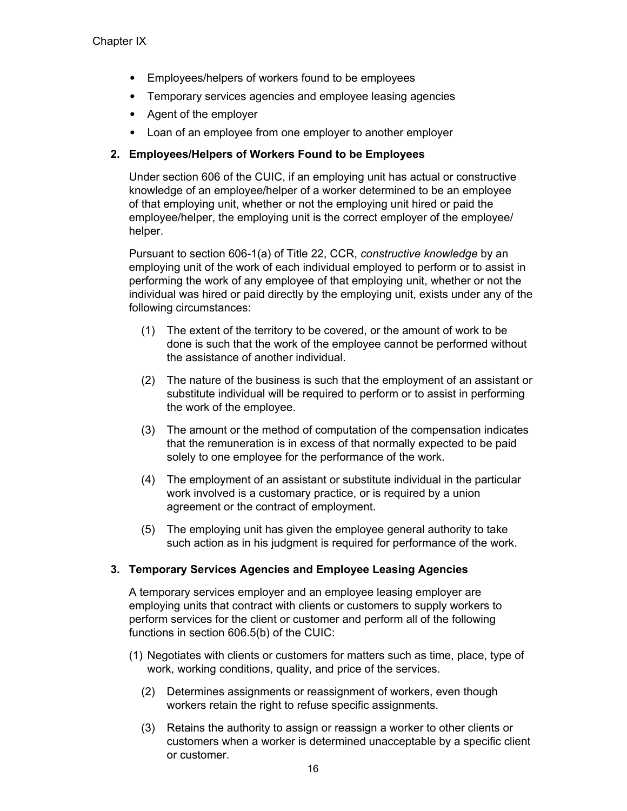- Employees/helpers of workers found to be employees
- Temporary services agencies and employee leasing agencies
- Agent of the employer
- Loan of an employee from one employer to another employer

### **2. Employees/Helpers of Workers Found to be Employees**

Under section 606 of the CUIC, if an employing unit has actual or constructive knowledge of an employee/helper of a worker determined to be an employee of that employing unit, whether or not the employing unit hired or paid the employee/helper, the employing unit is the correct employer of the employee/ helper.

Pursuant to section 606-1(a) of Title 22, CCR, *constructive knowledge* by an employing unit of the work of each individual employed to perform or to assist in performing the work of any employee of that employing unit, whether or not the individual was hired or paid directly by the employing unit, exists under any of the following circumstances:

- (1) The extent of the territory to be covered, or the amount of work to be done is such that the work of the employee cannot be performed without the assistance of another individual.
- (2) The nature of the business is such that the employment of an assistant or substitute individual will be required to perform or to assist in performing the work of the employee.
- (3) The amount or the method of computation of the compensation indicates that the remuneration is in excess of that normally expected to be paid solely to one employee for the performance of the work.
- (4) The employment of an assistant or substitute individual in the particular work involved is a customary practice, or is required by a union agreement or the contract of employment.
- (5) The employing unit has given the employee general authority to take such action as in his judgment is required for performance of the work.

### **3. Temporary Services Agencies and Employee Leasing Agencies**

A temporary services employer and an employee leasing employer are employing units that contract with clients or customers to supply workers to perform services for the client or customer and perform all of the following functions in section 606.5(b) of the CUIC:

- (1) Negotiates with clients or customers for matters such as time, place, type of work, working conditions, quality, and price of the services.
	- (2) Determines assignments or reassignment of workers, even though workers retain the right to refuse specific assignments.
	- (3) Retains the authority to assign or reassign a worker to other clients or customers when a worker is determined unacceptable by a specific client or customer.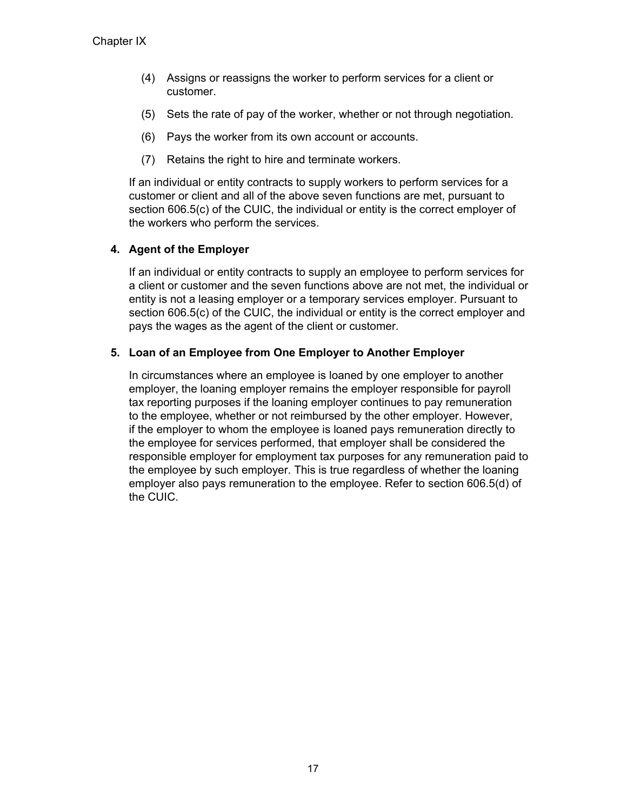- (4) Assigns or reassigns the worker to perform services for a client or customer.
- (5) Sets the rate of pay of the worker, whether or not through negotiation.
- (6) Pays the worker from its own account or accounts.
- (7) Retains the right to hire and terminate workers.

If an individual or entity contracts to supply workers to perform services for a customer or client and all of the above seven functions are met, pursuant to section 606.5(c) of the CUIC, the individual or entity is the correct employer of the workers who perform the services.

### **4. Agent of the Employer**

If an individual or entity contracts to supply an employee to perform services for a client or customer and the seven functions above are not met, the individual or entity is not a leasing employer or a temporary services employer. Pursuant to section 606.5(c) of the CUIC, the individual or entity is the correct employer and pays the wages as the agent of the client or customer.

### **5. Loan of an Employee from One Employer to Another Employer**

In circumstances where an employee is loaned by one employer to another employer, the loaning employer remains the employer responsible for payroll tax reporting purposes if the loaning employer continues to pay remuneration to the employee, whether or not reimbursed by the other employer. However, if the employer to whom the employee is loaned pays remuneration directly to the employee for services performed, that employer shall be considered the responsible employer for employment tax purposes for any remuneration paid to the employee by such employer. This is true regardless of whether the loaning employer also pays remuneration to the employee. Refer to section 606.5(d) of the CUIC.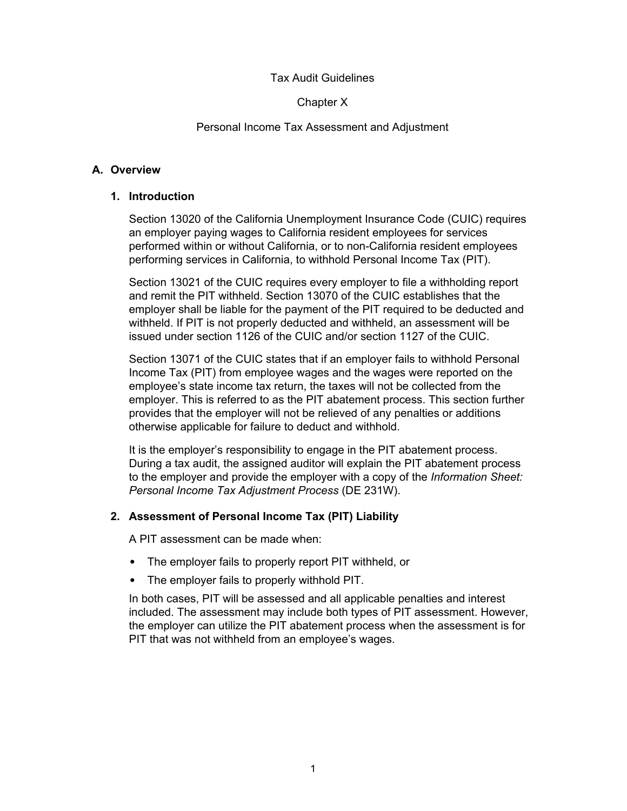### Tax Audit Guidelines

#### Chapter X

#### Personal Income Tax Assessment and Adjustment

#### **A. Overview**

#### **1. Introduction**

Section 13020 of the California Unemployment Insurance Code (CUIC) requires an employer paying wages to California resident employees for services performed within or without California, or to non-California resident employees performing services in California, to withhold Personal Income Tax (PIT).

Section 13021 of the CUIC requires every employer to file a withholding report and remit the PIT withheld. Section 13070 of the CUIC establishes that the employer shall be liable for the payment of the PIT required to be deducted and withheld. If PIT is not properly deducted and withheld, an assessment will be issued under section 1126 of the CUIC and/or section 1127 of the CUIC.

Section 13071 of the CUIC states that if an employer fails to withhold Personal Income Tax (PIT) from employee wages and the wages were reported on the employee's state income tax return, the taxes will not be collected from the employer. This is referred to as the PIT abatement process. This section further provides that the employer will not be relieved of any penalties or additions otherwise applicable for failure to deduct and withhold.

It is the employer's responsibility to engage in the PIT abatement process. During a tax audit, the assigned auditor will explain the PIT abatement process to the employer and provide the employer with a copy of the *Information Sheet: Personal Income Tax Adjustment Process* (DE 231W).

### **2. Assessment of Personal Income Tax (PIT) Liability**

A PIT assessment can be made when:

- The employer fails to properly report PIT withheld, or
- The employer fails to properly withhold PIT.

In both cases, PIT will be assessed and all applicable penalties and interest included. The assessment may include both types of PIT assessment. However, the employer can utilize the PIT abatement process when the assessment is for PIT that was not withheld from an employee's wages.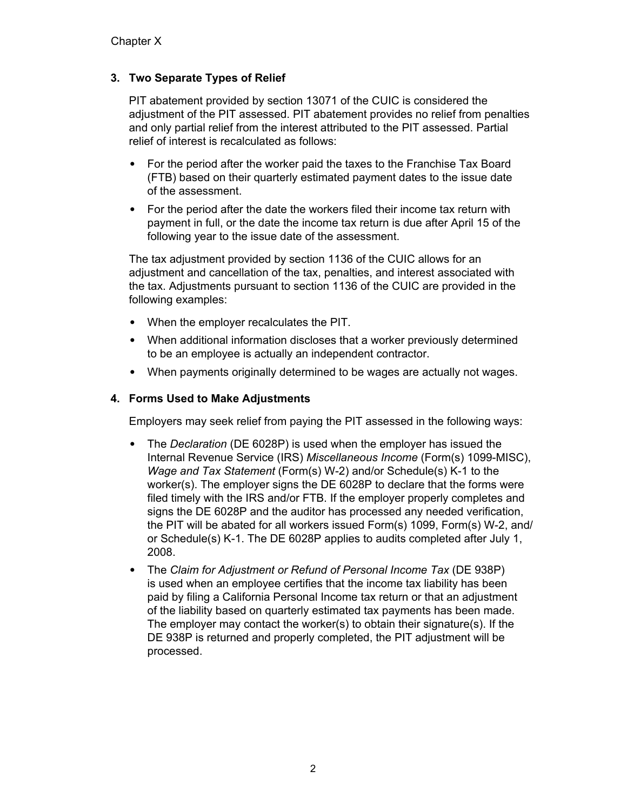## **3. Two Separate Types of Relief**

PIT abatement provided by section 13071 of the CUIC is considered the adjustment of the PIT assessed. PIT abatement provides no relief from penalties and only partial relief from the interest attributed to the PIT assessed. Partial relief of interest is recalculated as follows:

- For the period after the worker paid the taxes to the Franchise Tax Board (FTB) based on their quarterly estimated payment dates to the issue date of the assessment.
- For the period after the date the workers filed their income tax return with payment in full, or the date the income tax return is due after April 15 of the following year to the issue date of the assessment.

The tax adjustment provided by section 1136 of the CUIC allows for an adjustment and cancellation of the tax, penalties, and interest associated with the tax. Adjustments pursuant to section 1136 of the CUIC are provided in the following examples:

- When the employer recalculates the PIT.
- When additional information discloses that a worker previously determined to be an employee is actually an independent contractor.
- When payments originally determined to be wages are actually not wages.

#### **4. Forms Used to Make Adjustments**

Employers may seek relief from paying the PIT assessed in the following ways:

- The *Declaration* (DE 6028P) is used when the employer has issued the Internal Revenue Service (IRS) *Miscellaneous Income* (Form(s) 1099-MISC), *Wage and Tax Statement* (Form(s) W-2) and/or Schedule(s) K-1 to the worker(s). The employer signs the DE 6028P to declare that the forms were filed timely with the IRS and/or FTB. If the employer properly completes and signs the DE 6028P and the auditor has processed any needed verification, the PIT will be abated for all workers issued Form(s) 1099, Form(s) W-2, and/ or Schedule(s) K-1. The DE 6028P applies to audits completed after July 1, 2008.
- The *Claim for Adjustment or Refund of Personal Income Tax* (DE 938P) is used when an employee certifies that the income tax liability has been paid by filing a California Personal Income tax return or that an adjustment of the liability based on quarterly estimated tax payments has been made. The employer may contact the worker(s) to obtain their signature(s). If the DE 938P is returned and properly completed, the PIT adjustment will be processed.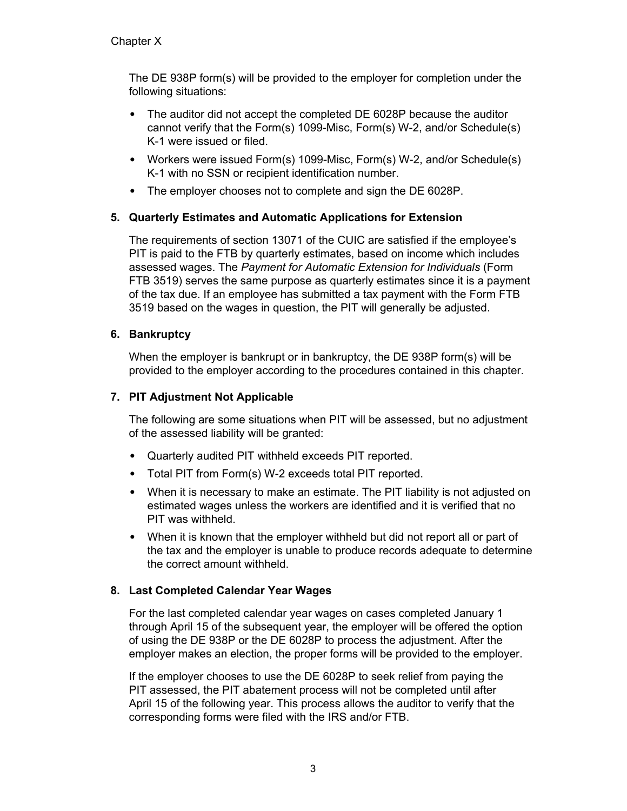The DE 938P form(s) will be provided to the employer for completion under the following situations:

- The auditor did not accept the completed DE 6028P because the auditor cannot verify that the Form(s) 1099-Misc, Form(s) W-2, and/or Schedule(s) K-1 were issued or filed.
- Workers were issued Form(s) 1099-Misc, Form(s) W-2, and/or Schedule(s) K-1 with no SSN or recipient identification number.
- The employer chooses not to complete and sign the DE 6028P.

# **5. Quarterly Estimates and Automatic Applications for Extension**

The requirements of section 13071 of the CUIC are satisfied if the employee's PIT is paid to the FTB by quarterly estimates, based on income which includes assessed wages. The *Payment for Automatic Extension for Individuals* (Form FTB 3519) serves the same purpose as quarterly estimates since it is a payment of the tax due. If an employee has submitted a tax payment with the Form FTB 3519 based on the wages in question, the PIT will generally be adjusted.

### **6. Bankruptcy**

When the employer is bankrupt or in bankruptcy, the DE 938P form(s) will be provided to the employer according to the procedures contained in this chapter.

### **7. PIT Adjustment Not Applicable**

The following are some situations when PIT will be assessed, but no adjustment of the assessed liability will be granted:

- Quarterly audited PIT withheld exceeds PIT reported.
- Total PIT from Form(s) W-2 exceeds total PIT reported.
- When it is necessary to make an estimate. The PIT liability is not adjusted on estimated wages unless the workers are identified and it is verified that no PIT was withheld.
- When it is known that the employer withheld but did not report all or part of the tax and the employer is unable to produce records adequate to determine the correct amount withheld.

# **8. Last Completed Calendar Year Wages**

For the last completed calendar year wages on cases completed January 1 through April 15 of the subsequent year, the employer will be offered the option of using the DE 938P or the DE 6028P to process the adjustment. After the employer makes an election, the proper forms will be provided to the employer.

If the employer chooses to use the DE 6028P to seek relief from paying the PIT assessed, the PIT abatement process will not be completed until after April 15 of the following year. This process allows the auditor to verify that the corresponding forms were filed with the IRS and/or FTB.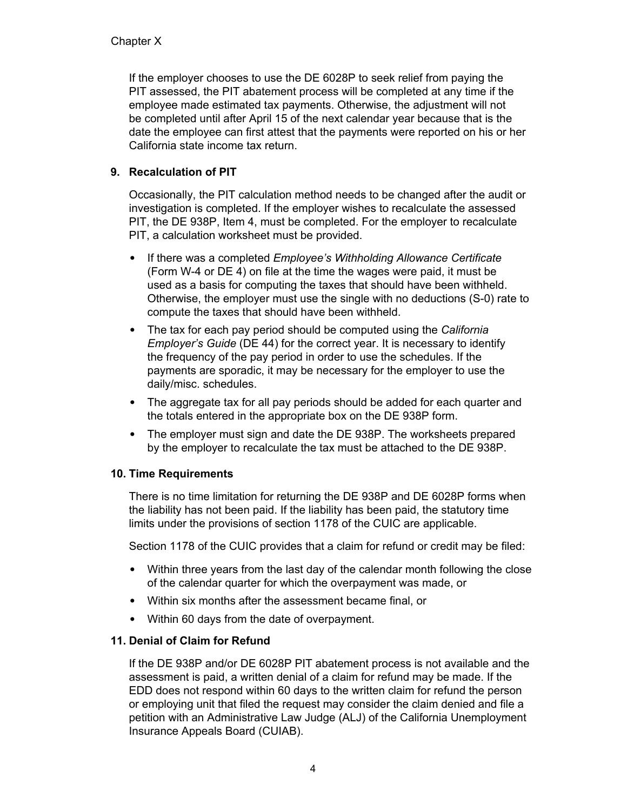If the employer chooses to use the DE 6028P to seek relief from paying the PIT assessed, the PIT abatement process will be completed at any time if the employee made estimated tax payments. Otherwise, the adjustment will not be completed until after April 15 of the next calendar year because that is the date the employee can first attest that the payments were reported on his or her California state income tax return.

# **9. Recalculation of PIT**

Occasionally, the PIT calculation method needs to be changed after the audit or investigation is completed. If the employer wishes to recalculate the assessed PIT, the DE 938P, Item 4, must be completed. For the employer to recalculate PIT, a calculation worksheet must be provided.

- If there was a completed *Employee's Withholding Allowance Certificate* (Form W-4 or DE 4) on file at the time the wages were paid, it must be used as a basis for computing the taxes that should have been withheld. Otherwise, the employer must use the single with no deductions (S-0) rate to compute the taxes that should have been withheld.
- The tax for each pay period should be computed using the *California Employer's Guide* (DE 44) for the correct year. It is necessary to identify the frequency of the pay period in order to use the schedules. If the payments are sporadic, it may be necessary for the employer to use the daily/misc. schedules.
- The aggregate tax for all pay periods should be added for each quarter and the totals entered in the appropriate box on the DE 938P form.
- The employer must sign and date the DE 938P. The worksheets prepared by the employer to recalculate the tax must be attached to the DE 938P.

### **10. Time Requirements**

There is no time limitation for returning the DE 938P and DE 6028P forms when the liability has not been paid. If the liability has been paid, the statutory time limits under the provisions of section 1178 of the CUIC are applicable.

Section 1178 of the CUIC provides that a claim for refund or credit may be filed:

- Within three years from the last day of the calendar month following the close of the calendar quarter for which the overpayment was made, or
- Within six months after the assessment became final, or
- Within 60 days from the date of overpayment.

### **11. Denial of Claim for Refund**

If the DE 938P and/or DE 6028P PIT abatement process is not available and the assessment is paid, a written denial of a claim for refund may be made. If the EDD does not respond within 60 days to the written claim for refund the person or employing unit that filed the request may consider the claim denied and file a petition with an Administrative Law Judge (ALJ) of the California Unemployment Insurance Appeals Board (CUIAB).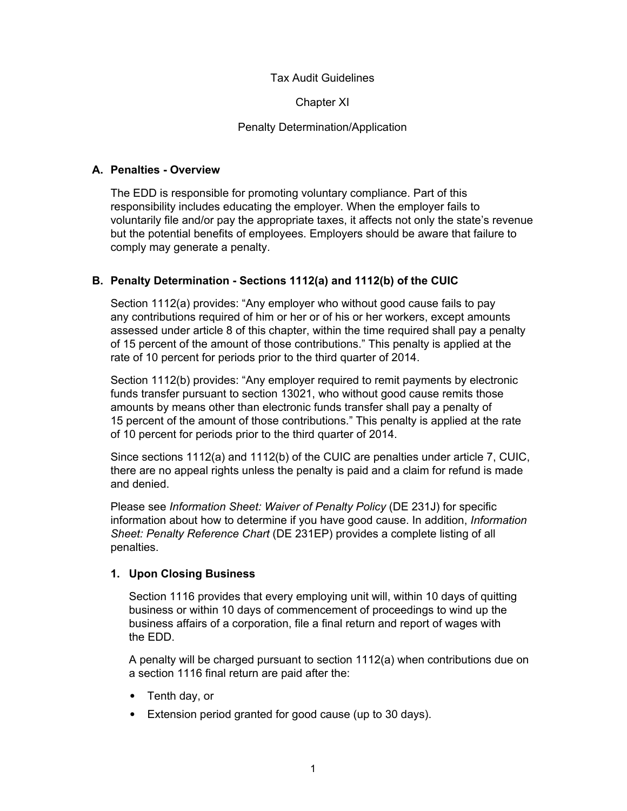#### Tax Audit Guidelines

Chapter XI

#### Penalty Determination/Application

#### **A. Penalties - Overview**

The EDD is responsible for promoting voluntary compliance. Part of this responsibility includes educating the employer. When the employer fails to voluntarily file and/or pay the appropriate taxes, it affects not only the state's revenue but the potential benefits of employees. Employers should be aware that failure to comply may generate a penalty.

### **B. Penalty Determination - Sections 1112(a) and 1112(b) of the CUIC**

Section 1112(a) provides: "Any employer who without good cause fails to pay any contributions required of him or her or of his or her workers, except amounts assessed under article 8 of this chapter, within the time required shall pay a penalty of 15 percent of the amount of those contributions." This penalty is applied at the rate of 10 percent for periods prior to the third quarter of 2014.

Section 1112(b) provides: "Any employer required to remit payments by electronic funds transfer pursuant to section 13021, who without good cause remits those amounts by means other than electronic funds transfer shall pay a penalty of 15 percent of the amount of those contributions." This penalty is applied at the rate of 10 percent for periods prior to the third quarter of 2014.

Since sections 1112(a) and 1112(b) of the CUIC are penalties under article 7, CUIC, there are no appeal rights unless the penalty is paid and a claim for refund is made and denied.

Please see *Information Sheet: Waiver of Penalty Policy* (DE 231J) for specific information about how to determine if you have good cause. In addition, *Information Sheet: Penalty Reference Chart* (DE 231EP) provides a complete listing of all penalties.

### **1. Upon Closing Business**

Section 1116 provides that every employing unit will, within 10 days of quitting business or within 10 days of commencement of proceedings to wind up the business affairs of a corporation, file a final return and report of wages with the EDD.

A penalty will be charged pursuant to section 1112(a) when contributions due on a section 1116 final return are paid after the:

- Tenth day, or
- Extension period granted for good cause (up to 30 days).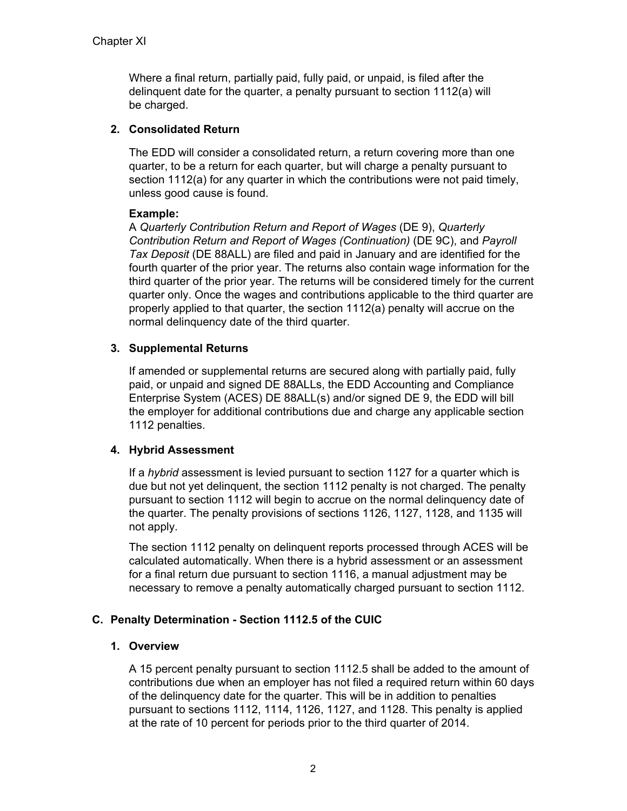Where a final return, partially paid, fully paid, or unpaid, is filed after the delinquent date for the quarter, a penalty pursuant to section 1112(a) will be charged.

### **2. Consolidated Return**

The EDD will consider a consolidated return, a return covering more than one quarter, to be a return for each quarter, but will charge a penalty pursuant to section 1112(a) for any quarter in which the contributions were not paid timely, unless good cause is found.

### **Example:**

A *Quarterly Contribution Return and Report of Wages* (DE 9), *Quarterly Contribution Return and Report of Wages (Continuation)* (DE 9C), and *Payroll Tax Deposit* (DE 88ALL) are filed and paid in January and are identified for the fourth quarter of the prior year. The returns also contain wage information for the third quarter of the prior year. The returns will be considered timely for the current quarter only. Once the wages and contributions applicable to the third quarter are properly applied to that quarter, the section 1112(a) penalty will accrue on the normal delinquency date of the third quarter.

### **3. Supplemental Returns**

If amended or supplemental returns are secured along with partially paid, fully paid, or unpaid and signed DE 88ALLs, the EDD Accounting and Compliance Enterprise System (ACES) DE 88ALL(s) and/or signed DE 9, the EDD will bill the employer for additional contributions due and charge any applicable section 1112 penalties.

### **4. Hybrid Assessment**

If a *hybrid* assessment is levied pursuant to section 1127 for a quarter which is due but not yet delinquent, the section 1112 penalty is not charged. The penalty pursuant to section 1112 will begin to accrue on the normal delinquency date of the quarter. The penalty provisions of sections 1126, 1127, 1128, and 1135 will not apply.

The section 1112 penalty on delinquent reports processed through ACES will be calculated automatically. When there is a hybrid assessment or an assessment for a final return due pursuant to section 1116, a manual adjustment may be necessary to remove a penalty automatically charged pursuant to section 1112.

### **C. Penalty Determination - Section 1112.5 of the CUIC**

#### **1. Overview**

A 15 percent penalty pursuant to section 1112.5 shall be added to the amount of contributions due when an employer has not filed a required return within 60 days of the delinquency date for the quarter. This will be in addition to penalties pursuant to sections 1112, 1114, 1126, 1127, and 1128. This penalty is applied at the rate of 10 percent for periods prior to the third quarter of 2014.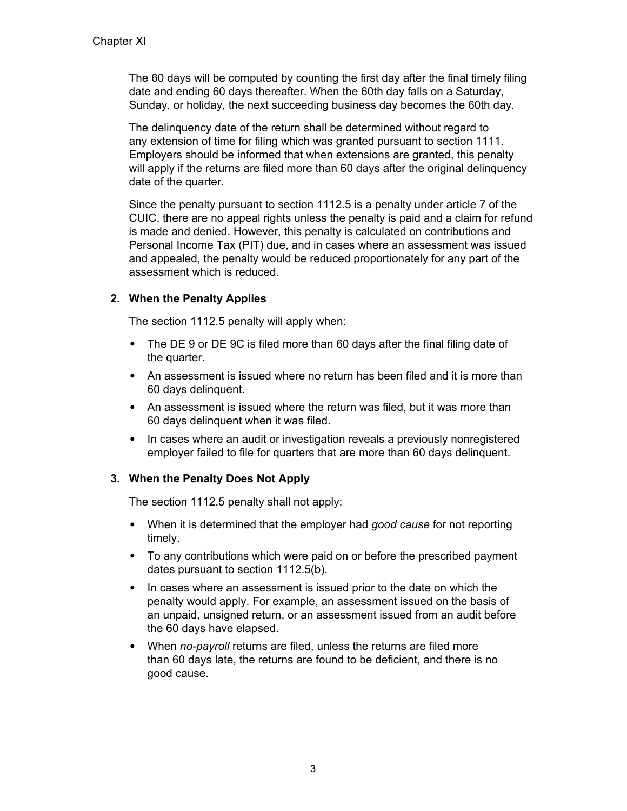The 60 days will be computed by counting the first day after the final timely filing date and ending 60 days thereafter. When the 60th day falls on a Saturday, Sunday, or holiday, the next succeeding business day becomes the 60th day.

The delinquency date of the return shall be determined without regard to any extension of time for filing which was granted pursuant to section 1111. Employers should be informed that when extensions are granted, this penalty will apply if the returns are filed more than 60 days after the original delinquency date of the quarter.

Since the penalty pursuant to section 1112.5 is a penalty under article 7 of the CUIC, there are no appeal rights unless the penalty is paid and a claim for refund is made and denied. However, this penalty is calculated on contributions and Personal Income Tax (PIT) due, and in cases where an assessment was issued and appealed, the penalty would be reduced proportionately for any part of the assessment which is reduced.

### **2. When the Penalty Applies**

The section 1112.5 penalty will apply when:

- The DE 9 or DE 9C is filed more than 60 days after the final filing date of the quarter.
- An assessment is issued where no return has been filed and it is more than 60 days delinquent.
- An assessment is issued where the return was filed, but it was more than 60 days delinquent when it was filed.
- In cases where an audit or investigation reveals a previously nonregistered employer failed to file for quarters that are more than 60 days delinquent.

### **3. When the Penalty Does Not Apply**

The section 1112.5 penalty shall not apply:

- When it is determined that the employer had *good cause* for not reporting timely.
- To any contributions which were paid on or before the prescribed payment dates pursuant to section 1112.5(b).
- In cases where an assessment is issued prior to the date on which the penalty would apply. For example, an assessment issued on the basis of an unpaid, unsigned return, or an assessment issued from an audit before the 60 days have elapsed.
- When *no-payroll* returns are filed, unless the returns are filed more than 60 days late, the returns are found to be deficient, and there is no good cause.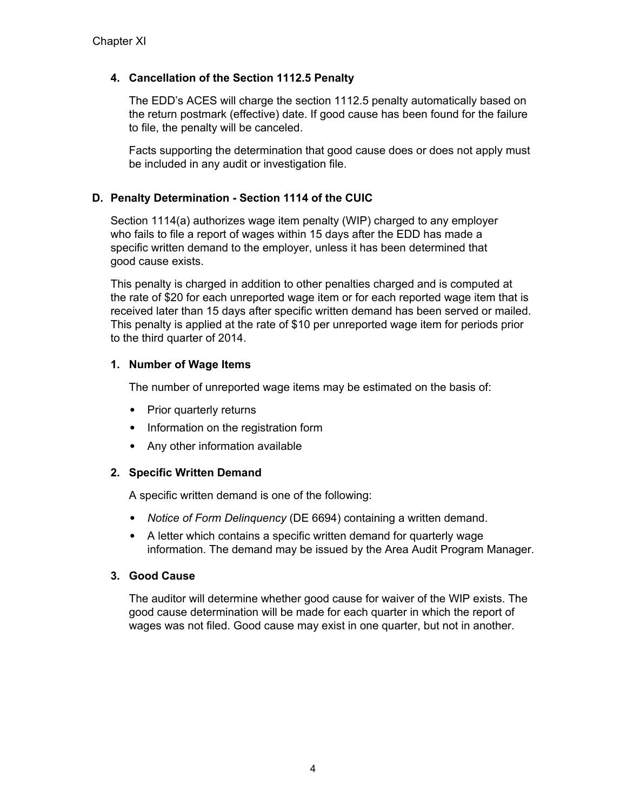## **4. Cancellation of the Section 1112.5 Penalty**

The EDD's ACES will charge the section 1112.5 penalty automatically based on the return postmark (effective) date. If good cause has been found for the failure to file, the penalty will be canceled.

Facts supporting the determination that good cause does or does not apply must be included in any audit or investigation file.

### **D. Penalty Determination - Section 1114 of the CUIC**

Section 1114(a) authorizes wage item penalty (WIP) charged to any employer who fails to file a report of wages within 15 days after the EDD has made a specific written demand to the employer, unless it has been determined that good cause exists.

This penalty is charged in addition to other penalties charged and is computed at the rate of \$20 for each unreported wage item or for each reported wage item that is received later than 15 days after specific written demand has been served or mailed. This penalty is applied at the rate of \$10 per unreported wage item for periods prior to the third quarter of 2014.

### **1. Number of Wage Items**

The number of unreported wage items may be estimated on the basis of:

- Prior quarterly returns
- Information on the registration form
- Any other information available

# **2. Specific Written Demand**

A specific written demand is one of the following:

- *Notice of Form Delinquency* (DE 6694) containing a written demand.
- A letter which contains a specific written demand for quarterly wage information. The demand may be issued by the Area Audit Program Manager.

### **3. Good Cause**

The auditor will determine whether good cause for waiver of the WIP exists. The good cause determination will be made for each quarter in which the report of wages was not filed. Good cause may exist in one quarter, but not in another.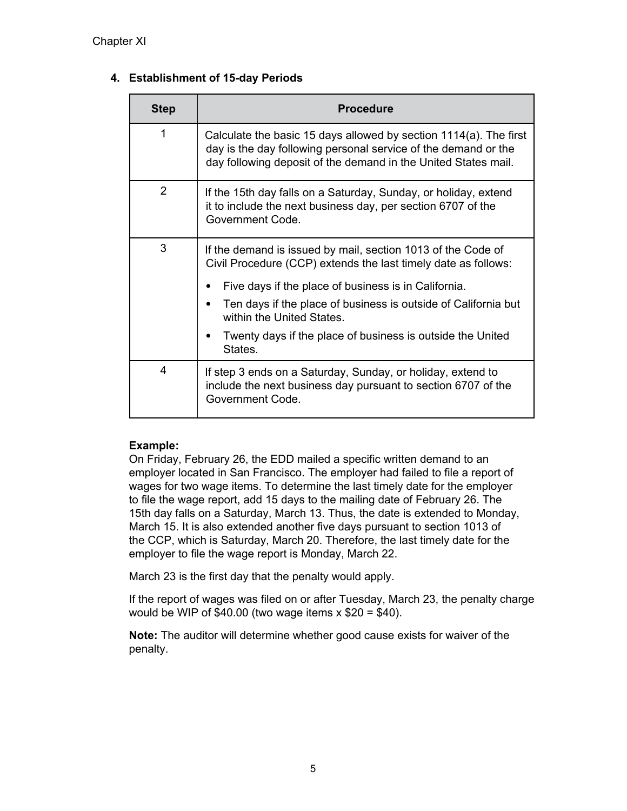# **4. Establishment of 15-day Periods**

| Step           | <b>Procedure</b>                                                                                                                                                                                      |
|----------------|-------------------------------------------------------------------------------------------------------------------------------------------------------------------------------------------------------|
| 1              | Calculate the basic 15 days allowed by section 1114(a). The first<br>day is the day following personal service of the demand or the<br>day following deposit of the demand in the United States mail. |
| $\overline{2}$ | If the 15th day falls on a Saturday, Sunday, or holiday, extend<br>it to include the next business day, per section 6707 of the<br>Government Code.                                                   |
| 3              | If the demand is issued by mail, section 1013 of the Code of<br>Civil Procedure (CCP) extends the last timely date as follows:                                                                        |
|                | Five days if the place of business is in California.                                                                                                                                                  |
|                | Ten days if the place of business is outside of California but<br>within the United States.                                                                                                           |
|                | Twenty days if the place of business is outside the United<br>States.                                                                                                                                 |
| 4              | If step 3 ends on a Saturday, Sunday, or holiday, extend to<br>include the next business day pursuant to section 6707 of the<br>Government Code.                                                      |

# **Example:**

On Friday, February 26, the EDD mailed a specific written demand to an employer located in San Francisco. The employer had failed to file a report of wages for two wage items. To determine the last timely date for the employer to file the wage report, add 15 days to the mailing date of February 26. The 15th day falls on a Saturday, March 13. Thus, the date is extended to Monday, March 15. It is also extended another five days pursuant to section 1013 of the CCP, which is Saturday, March 20. Therefore, the last timely date for the employer to file the wage report is Monday, March 22.

March 23 is the first day that the penalty would apply.

If the report of wages was filed on or after Tuesday, March 23, the penalty charge would be WIP of  $$40.00$  (two wage items x  $$20 = $40$ ).

**Note:** The auditor will determine whether good cause exists for waiver of the penalty.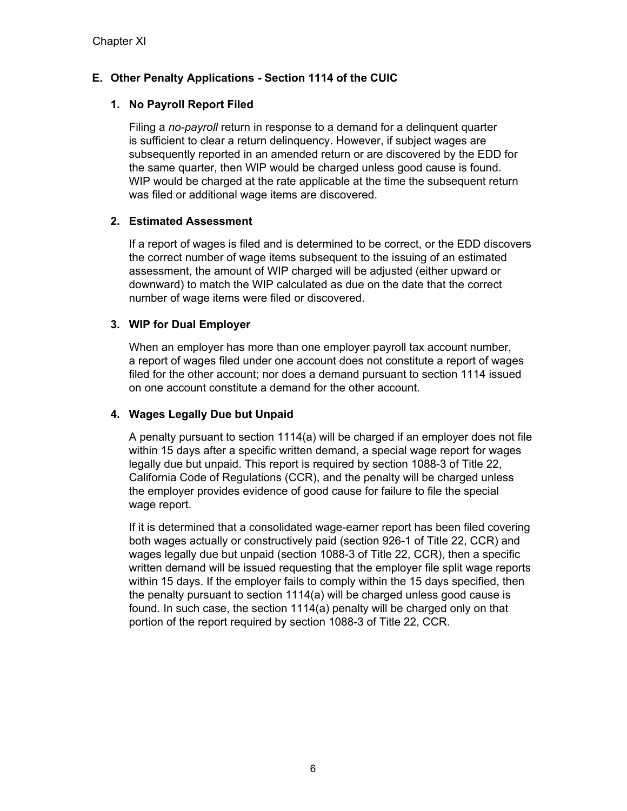# **E. Other Penalty Applications - Section 1114 of the CUIC**

# **1. No Payroll Report Filed**

Filing a *no-payroll* return in response to a demand for a delinquent quarter is sufficient to clear a return delinquency. However, if subject wages are subsequently reported in an amended return or are discovered by the EDD for the same quarter, then WIP would be charged unless good cause is found. WIP would be charged at the rate applicable at the time the subsequent return was filed or additional wage items are discovered.

### **2. Estimated Assessment**

If a report of wages is filed and is determined to be correct, or the EDD discovers the correct number of wage items subsequent to the issuing of an estimated assessment, the amount of WIP charged will be adjusted (either upward or downward) to match the WIP calculated as due on the date that the correct number of wage items were filed or discovered.

### **3. WIP for Dual Employer**

When an employer has more than one employer payroll tax account number, a report of wages filed under one account does not constitute a report of wages filed for the other account; nor does a demand pursuant to section 1114 issued on one account constitute a demand for the other account.

### **4. Wages Legally Due but Unpaid**

A penalty pursuant to section 1114(a) will be charged if an employer does not file within 15 days after a specific written demand, a special wage report for wages legally due but unpaid. This report is required by section 1088-3 of Title 22, California Code of Regulations (CCR), and the penalty will be charged unless the employer provides evidence of good cause for failure to file the special wage report.

If it is determined that a consolidated wage-earner report has been filed covering both wages actually or constructively paid (section 926-1 of Title 22, CCR) and wages legally due but unpaid (section 1088-3 of Title 22, CCR), then a specific written demand will be issued requesting that the employer file split wage reports within 15 days. If the employer fails to comply within the 15 days specified, then the penalty pursuant to section 1114(a) will be charged unless good cause is found. In such case, the section 1114(a) penalty will be charged only on that portion of the report required by section 1088-3 of Title 22, CCR.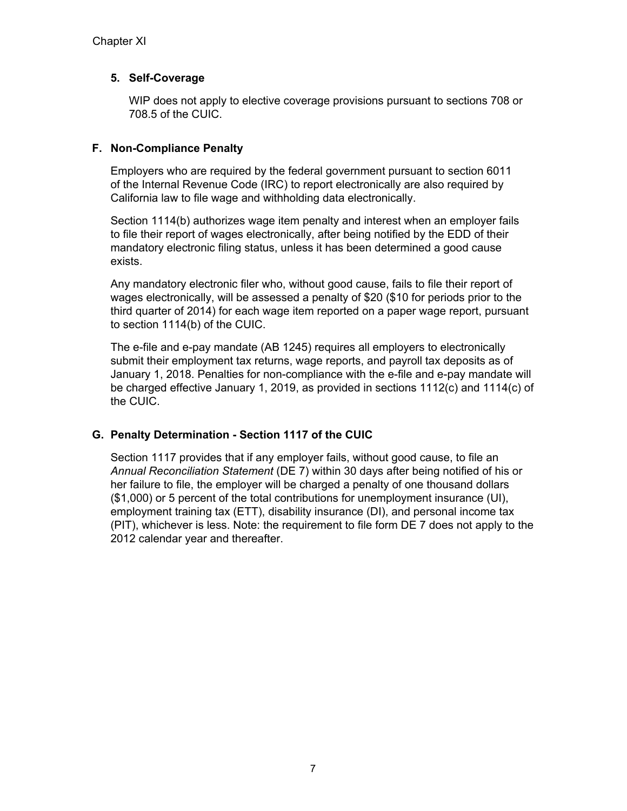### **5. Self-Coverage**

WIP does not apply to elective coverage provisions pursuant to sections 708 or 708.5 of the CUIC.

### **F. Non-Compliance Penalty**

Employers who are required by the federal government pursuant to section 6011 of the Internal Revenue Code (IRC) to report electronically are also required by California law to file wage and withholding data electronically.

Section 1114(b) authorizes wage item penalty and interest when an employer fails to file their report of wages electronically, after being notified by the EDD of their mandatory electronic filing status, unless it has been determined a good cause exists.

Any mandatory electronic filer who, without good cause, fails to file their report of wages electronically, will be assessed a penalty of \$20 (\$10 for periods prior to the third quarter of 2014) for each wage item reported on a paper wage report, pursuant to section 1114(b) of the CUIC.

The e-file and e-pay mandate (AB 1245) requires all employers to electronically submit their employment tax returns, wage reports, and payroll tax deposits as of January 1, 2018. Penalties for non-compliance with the e-file and e-pay mandate will be charged effective January 1, 2019, as provided in sections 1112(c) and 1114(c) of the CUIC.

# **G. Penalty Determination - Section 1117 of the CUIC**

Section 1117 provides that if any employer fails, without good cause, to file an *Annual Reconciliation Statement* (DE 7) within 30 days after being notified of his or her failure to file, the employer will be charged a penalty of one thousand dollars (\$1,000) or 5 percent of the total contributions for unemployment insurance (UI), employment training tax (ETT), disability insurance (DI), and personal income tax (PIT), whichever is less. Note: the requirement to file form DE 7 does not apply to the 2012 calendar year and thereafter.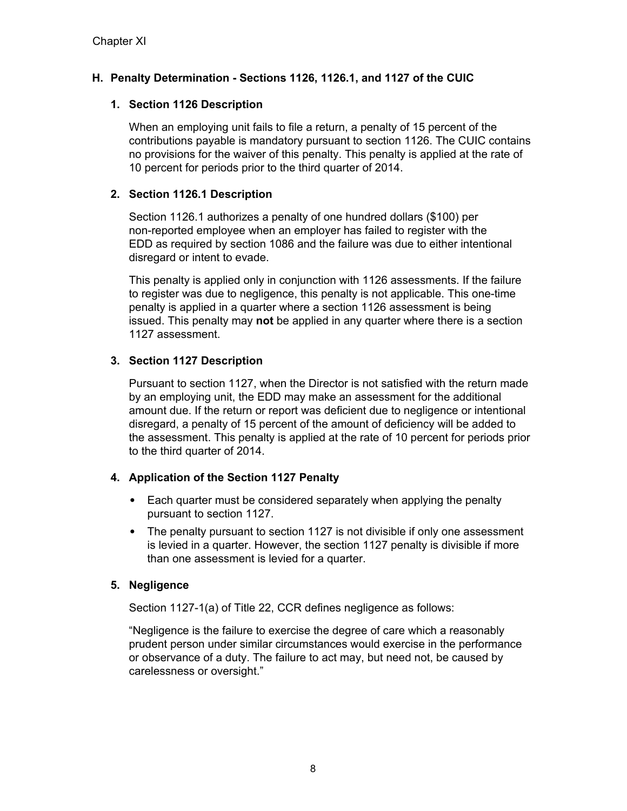# **H. Penalty Determination - Sections 1126, 1126.1, and 1127 of the CUIC**

### **1. Section 1126 Description**

When an employing unit fails to file a return, a penalty of 15 percent of the contributions payable is mandatory pursuant to section 1126. The CUIC contains no provisions for the waiver of this penalty. This penalty is applied at the rate of 10 percent for periods prior to the third quarter of 2014.

### **2. Section 1126.1 Description**

Section 1126.1 authorizes a penalty of one hundred dollars (\$100) per non-reported employee when an employer has failed to register with the EDD as required by section 1086 and the failure was due to either intentional disregard or intent to evade.

This penalty is applied only in conjunction with 1126 assessments. If the failure to register was due to negligence, this penalty is not applicable. This one-time penalty is applied in a quarter where a section 1126 assessment is being issued. This penalty may **not** be applied in any quarter where there is a section 1127 assessment.

# **3. Section 1127 Description**

Pursuant to section 1127, when the Director is not satisfied with the return made by an employing unit, the EDD may make an assessment for the additional amount due. If the return or report was deficient due to negligence or intentional disregard, a penalty of 15 percent of the amount of deficiency will be added to the assessment. This penalty is applied at the rate of 10 percent for periods prior to the third quarter of 2014.

# **4. Application of the Section 1127 Penalty**

- Each quarter must be considered separately when applying the penalty pursuant to section 1127.
- The penalty pursuant to section 1127 is not divisible if only one assessment is levied in a quarter. However, the section 1127 penalty is divisible if more than one assessment is levied for a quarter.

# **5. Negligence**

Section 1127-1(a) of Title 22, CCR defines negligence as follows:

"Negligence is the failure to exercise the degree of care which a reasonably prudent person under similar circumstances would exercise in the performance or observance of a duty. The failure to act may, but need not, be caused by carelessness or oversight."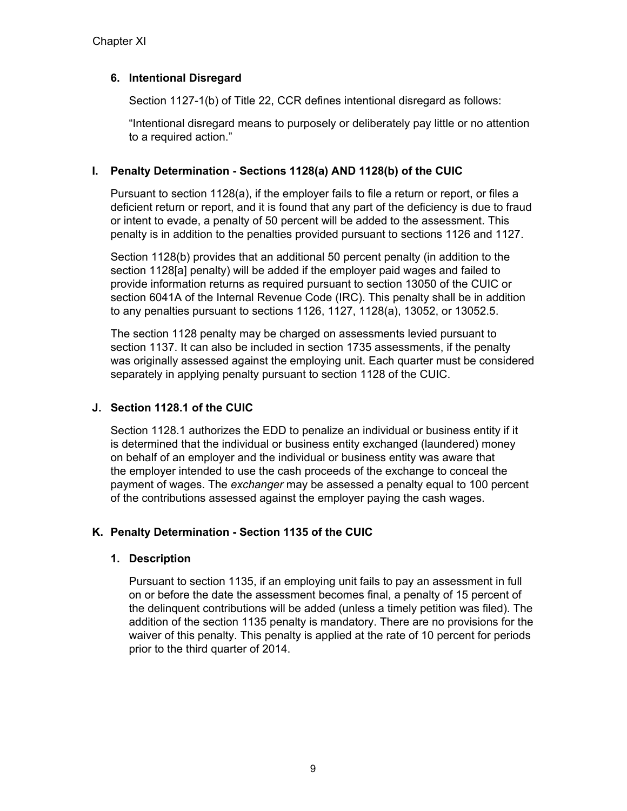### **6. Intentional Disregard**

Section 1127-1(b) of Title 22, CCR defines intentional disregard as follows:

"Intentional disregard means to purposely or deliberately pay little or no attention to a required action."

### **I. Penalty Determination - Sections 1128(a) AND 1128(b) of the CUIC**

Pursuant to section 1128(a), if the employer fails to file a return or report, or files a deficient return or report, and it is found that any part of the deficiency is due to fraud or intent to evade, a penalty of 50 percent will be added to the assessment. This penalty is in addition to the penalties provided pursuant to sections 1126 and 1127.

Section 1128(b) provides that an additional 50 percent penalty (in addition to the section 1128[a] penalty) will be added if the employer paid wages and failed to provide information returns as required pursuant to section 13050 of the CUIC or section 6041A of the Internal Revenue Code (IRC). This penalty shall be in addition to any penalties pursuant to sections 1126, 1127, 1128(a), 13052, or 13052.5.

The section 1128 penalty may be charged on assessments levied pursuant to section 1137. It can also be included in section 1735 assessments, if the penalty was originally assessed against the employing unit. Each quarter must be considered separately in applying penalty pursuant to section 1128 of the CUIC.

### **J. Section 1128.1 of the CUIC**

Section 1128.1 authorizes the EDD to penalize an individual or business entity if it is determined that the individual or business entity exchanged (laundered) money on behalf of an employer and the individual or business entity was aware that the employer intended to use the cash proceeds of the exchange to conceal the payment of wages. The *exchanger* may be assessed a penalty equal to 100 percent of the contributions assessed against the employer paying the cash wages.

# **K. Penalty Determination - Section 1135 of the CUIC**

### **1. Description**

Pursuant to section 1135, if an employing unit fails to pay an assessment in full on or before the date the assessment becomes final, a penalty of 15 percent of the delinquent contributions will be added (unless a timely petition was filed). The addition of the section 1135 penalty is mandatory. There are no provisions for the waiver of this penalty. This penalty is applied at the rate of 10 percent for periods prior to the third quarter of 2014.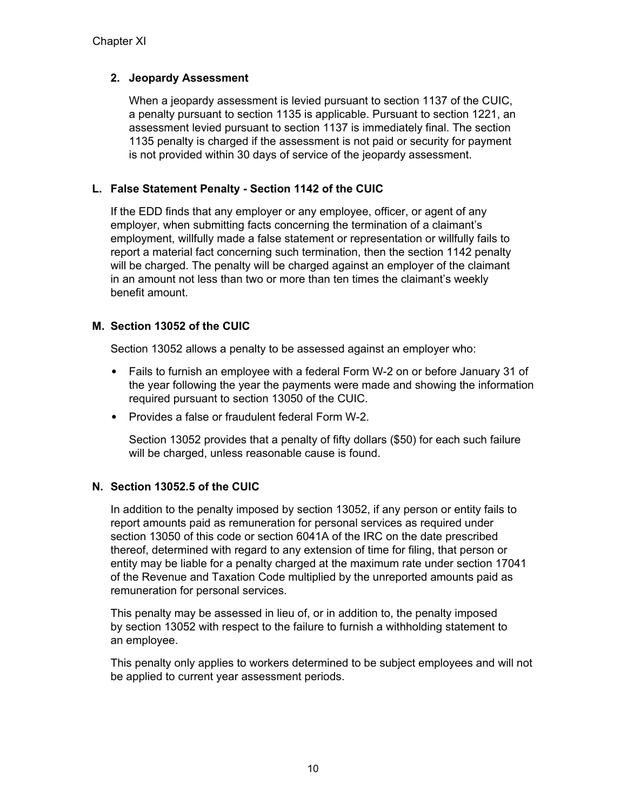### **2. Jeopardy Assessment**

When a jeopardy assessment is levied pursuant to section 1137 of the CUIC, a penalty pursuant to section 1135 is applicable. Pursuant to section 1221, an assessment levied pursuant to section 1137 is immediately final. The section 1135 penalty is charged if the assessment is not paid or security for payment is not provided within 30 days of service of the jeopardy assessment.

### **L. False Statement Penalty - Section 1142 of the CUIC**

If the EDD finds that any employer or any employee, officer, or agent of any employer, when submitting facts concerning the termination of a claimant's employment, willfully made a false statement or representation or willfully fails to report a material fact concerning such termination, then the section 1142 penalty will be charged. The penalty will be charged against an employer of the claimant in an amount not less than two or more than ten times the claimant's weekly benefit amount.

### **M. Section 13052 of the CUIC**

Section 13052 allows a penalty to be assessed against an employer who:

- Fails to furnish an employee with a federal Form W-2 on or before January 31 of the year following the year the payments were made and showing the information required pursuant to section 13050 of the CUIC.
- Provides a false or fraudulent federal Form W-2.

Section 13052 provides that a penalty of fifty dollars (\$50) for each such failure will be charged, unless reasonable cause is found.

### **N. Section 13052.5 of the CUIC**

In addition to the penalty imposed by section 13052, if any person or entity fails to report amounts paid as remuneration for personal services as required under section 13050 of this code or section 6041A of the IRC on the date prescribed thereof, determined with regard to any extension of time for filing, that person or entity may be liable for a penalty charged at the maximum rate under section 17041 of the Revenue and Taxation Code multiplied by the unreported amounts paid as remuneration for personal services.

This penalty may be assessed in lieu of, or in addition to, the penalty imposed by section 13052 with respect to the failure to furnish a withholding statement to an employee.

This penalty only applies to workers determined to be subject employees and will not be applied to current year assessment periods.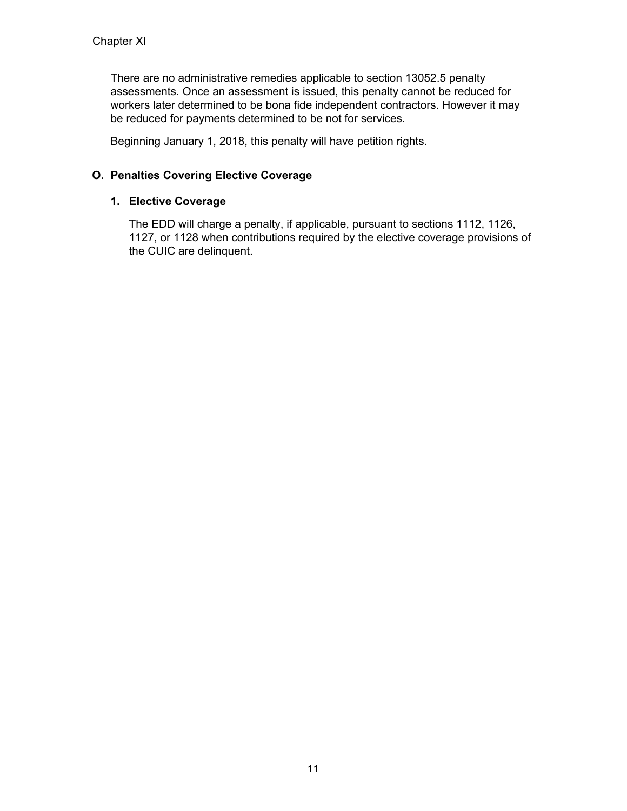There are no administrative remedies applicable to section 13052.5 penalty assessments. Once an assessment is issued, this penalty cannot be reduced for workers later determined to be bona fide independent contractors. However it may be reduced for payments determined to be not for services.

Beginning January 1, 2018, this penalty will have petition rights.

### **O. Penalties Covering Elective Coverage**

### **1. Elective Coverage**

The EDD will charge a penalty, if applicable, pursuant to sections 1112, 1126, 1127, or 1128 when contributions required by the elective coverage provisions of the CUIC are delinquent.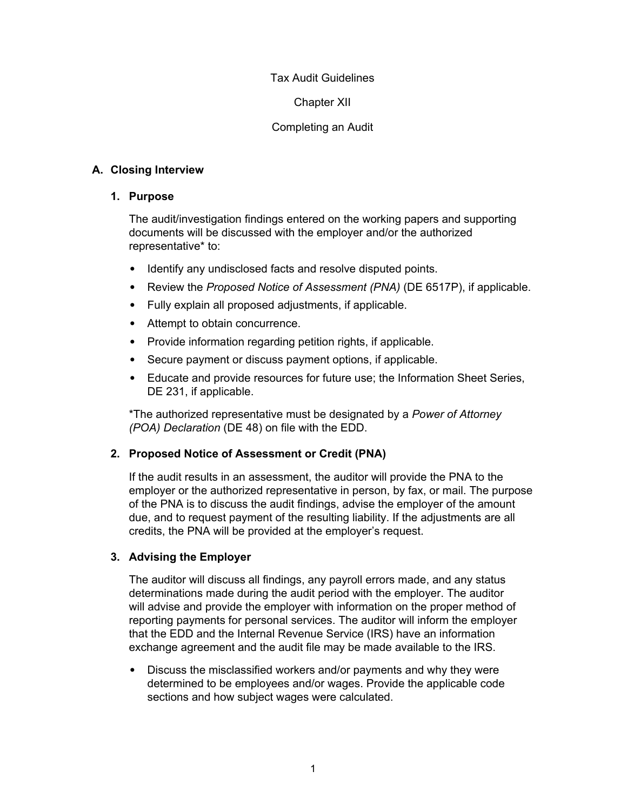#### Tax Audit Guidelines

Chapter XII

### Completing an Audit

### **A. Closing Interview**

#### **1. Purpose**

The audit/investigation findings entered on the working papers and supporting documents will be discussed with the employer and/or the authorized representative\* to:

- Identify any undisclosed facts and resolve disputed points.
- Review the *Proposed Notice of Assessment (PNA)* (DE 6517P), if applicable.
- Fully explain all proposed adjustments, if applicable.
- Attempt to obtain concurrence.
- Provide information regarding petition rights, if applicable.
- Secure payment or discuss payment options, if applicable.
- Educate and provide resources for future use; the Information Sheet Series, DE 231, if applicable.

\*The authorized representative must be designated by a *Power of Attorney (POA) Declaration* (DE 48) on file with the EDD.

### **2. Proposed Notice of Assessment or Credit (PNA)**

If the audit results in an assessment, the auditor will provide the PNA to the employer or the authorized representative in person, by fax, or mail. The purpose of the PNA is to discuss the audit findings, advise the employer of the amount due, and to request payment of the resulting liability. If the adjustments are all credits, the PNA will be provided at the employer's request.

### **3. Advising the Employer**

The auditor will discuss all findings, any payroll errors made, and any status determinations made during the audit period with the employer. The auditor will advise and provide the employer with information on the proper method of reporting payments for personal services. The auditor will inform the employer that the EDD and the Internal Revenue Service (IRS) have an information exchange agreement and the audit file may be made available to the IRS.

• Discuss the misclassified workers and/or payments and why they were determined to be employees and/or wages. Provide the applicable code sections and how subject wages were calculated.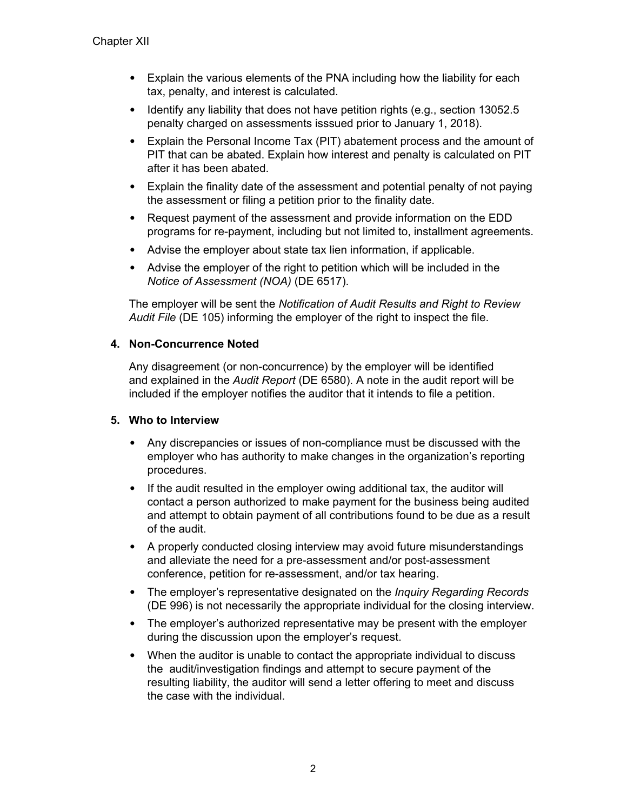- Explain the various elements of the PNA including how the liability for each tax, penalty, and interest is calculated.
- Identify any liability that does not have petition rights (e.g., section 13052.5 penalty charged on assessments isssued prior to January 1, 2018).
- Explain the Personal Income Tax (PIT) abatement process and the amount of PIT that can be abated. Explain how interest and penalty is calculated on PIT after it has been abated.
- Explain the finality date of the assessment and potential penalty of not paying the assessment or filing a petition prior to the finality date.
- Request payment of the assessment and provide information on the EDD programs for re-payment, including but not limited to, installment agreements.
- Advise the employer about state tax lien information, if applicable.
- Advise the employer of the right to petition which will be included in the *Notice of Assessment (NOA)* (DE 6517).

The employer will be sent the *Notification of Audit Results and Right to Review Audit File* (DE 105) informing the employer of the right to inspect the file.

### **4. Non-Concurrence Noted**

Any disagreement (or non-concurrence) by the employer will be identified and explained in the *Audit Report* (DE 6580). A note in the audit report will be included if the employer notifies the auditor that it intends to file a petition.

### **5. Who to Interview**

- Any discrepancies or issues of non-compliance must be discussed with the employer who has authority to make changes in the organization's reporting procedures.
- If the audit resulted in the employer owing additional tax, the auditor will contact a person authorized to make payment for the business being audited and attempt to obtain payment of all contributions found to be due as a result of the audit.
- A properly conducted closing interview may avoid future misunderstandings and alleviate the need for a pre-assessment and/or post-assessment conference, petition for re-assessment, and/or tax hearing.
- The employer's representative designated on the *Inquiry Regarding Records* (DE 996) is not necessarily the appropriate individual for the closing interview.
- The employer's authorized representative may be present with the employer during the discussion upon the employer's request.
- When the auditor is unable to contact the appropriate individual to discuss the audit/investigation findings and attempt to secure payment of the resulting liability, the auditor will send a letter offering to meet and discuss the case with the individual.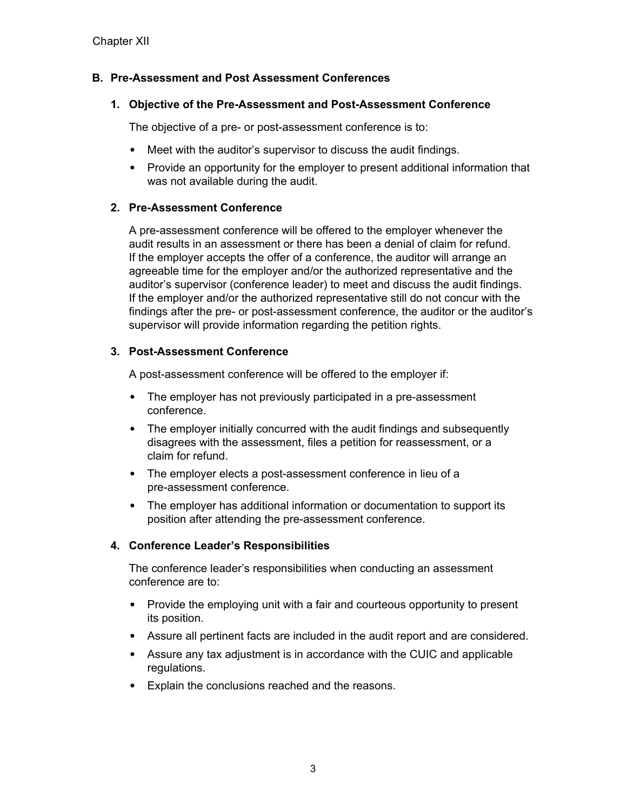### **B. Pre-Assessment and Post Assessment Conferences**

#### **1. Objective of the Pre-Assessment and Post-Assessment Conference**

The objective of a pre- or post-assessment conference is to:

- Meet with the auditor's supervisor to discuss the audit findings.
- Provide an opportunity for the employer to present additional information that was not available during the audit.

### **2. Pre-Assessment Conference**

A pre-assessment conference will be offered to the employer whenever the audit results in an assessment or there has been a denial of claim for refund. If the employer accepts the offer of a conference, the auditor will arrange an agreeable time for the employer and/or the authorized representative and the auditor's supervisor (conference leader) to meet and discuss the audit findings. If the employer and/or the authorized representative still do not concur with the findings after the pre- or post-assessment conference, the auditor or the auditor's supervisor will provide information regarding the petition rights.

### **3. Post-Assessment Conference**

A post-assessment conference will be offered to the employer if:

- The employer has not previously participated in a pre-assessment conference.
- The employer initially concurred with the audit findings and subsequently disagrees with the assessment, files a petition for reassessment, or a claim for refund.
- The employer elects a post-assessment conference in lieu of a pre-assessment conference.
- The employer has additional information or documentation to support its position after attending the pre-assessment conference.

### **4. Conference Leader's Responsibilities**

The conference leader's responsibilities when conducting an assessment conference are to:

- Provide the employing unit with a fair and courteous opportunity to present its position.
- Assure all pertinent facts are included in the audit report and are considered.
- Assure any tax adjustment is in accordance with the CUIC and applicable regulations.
- Explain the conclusions reached and the reasons.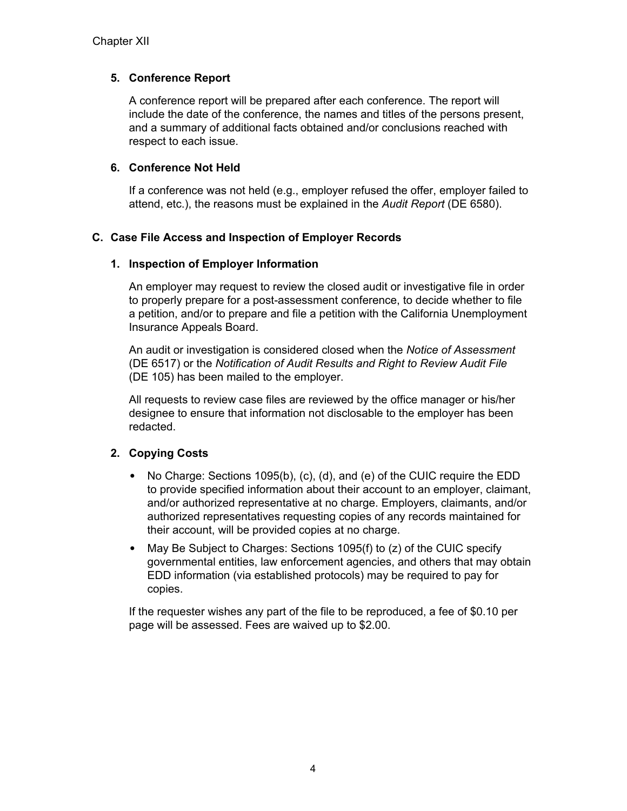### **5. Conference Report**

A conference report will be prepared after each conference. The report will include the date of the conference, the names and titles of the persons present, and a summary of additional facts obtained and/or conclusions reached with respect to each issue.

### **6. Conference Not Held**

If a conference was not held (e.g., employer refused the offer, employer failed to attend, etc.), the reasons must be explained in the *Audit Report* (DE 6580).

### **C. Case File Access and Inspection of Employer Records**

### **1. Inspection of Employer Information**

An employer may request to review the closed audit or investigative file in order to properly prepare for a post-assessment conference, to decide whether to file a petition, and/or to prepare and file a petition with the California Unemployment Insurance Appeals Board.

An audit or investigation is considered closed when the *Notice of Assessment* (DE 6517) or the *Notification of Audit Results and Right to Review Audit File* (DE 105) has been mailed to the employer.

All requests to review case files are reviewed by the office manager or his/her designee to ensure that information not disclosable to the employer has been redacted.

# **2. Copying Costs**

- No Charge: Sections 1095(b), (c), (d), and (e) of the CUIC require the EDD to provide specified information about their account to an employer, claimant, and/or authorized representative at no charge. Employers, claimants, and/or authorized representatives requesting copies of any records maintained for their account, will be provided copies at no charge.
- May Be Subject to Charges: Sections 1095(f) to (z) of the CUIC specify governmental entities, law enforcement agencies, and others that may obtain EDD information (via established protocols) may be required to pay for copies.

If the requester wishes any part of the file to be reproduced, a fee of \$0.10 per page will be assessed. Fees are waived up to \$2.00.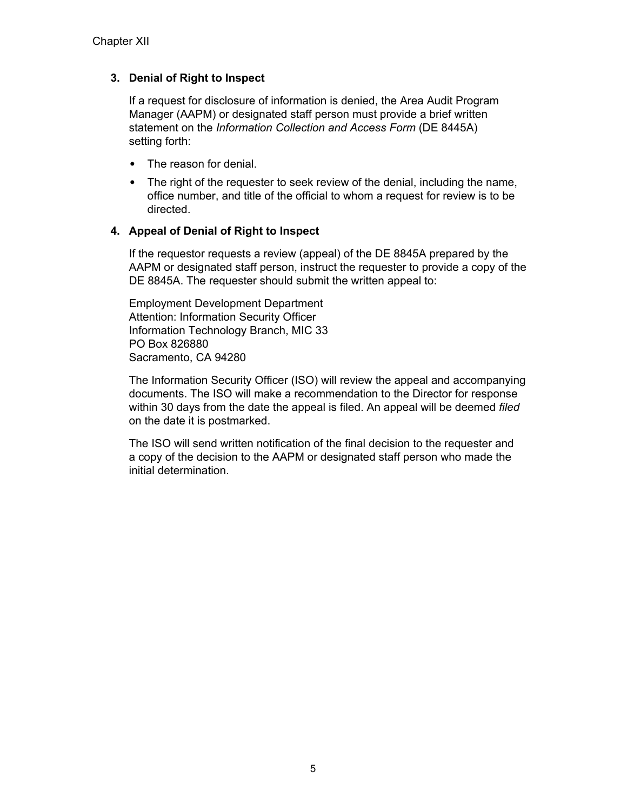### **3. Denial of Right to Inspect**

If a request for disclosure of information is denied, the Area Audit Program Manager (AAPM) or designated staff person must provide a brief written statement on the *Information Collection and Access Form* (DE 8445A) setting forth:

- The reason for denial.
- The right of the requester to seek review of the denial, including the name, office number, and title of the official to whom a request for review is to be directed.

### **4. Appeal of Denial of Right to Inspect**

If the requestor requests a review (appeal) of the DE 8845A prepared by the AAPM or designated staff person, instruct the requester to provide a copy of the DE 8845A. The requester should submit the written appeal to:

Employment Development Department Attention: Information Security Officer Information Technology Branch, MIC 33 PO Box 826880 Sacramento, CA 94280

The Information Security Officer (ISO) will review the appeal and accompanying documents. The ISO will make a recommendation to the Director for response within 30 days from the date the appeal is filed. An appeal will be deemed *filed* on the date it is postmarked.

The ISO will send written notification of the final decision to the requester and a copy of the decision to the AAPM or designated staff person who made the initial determination.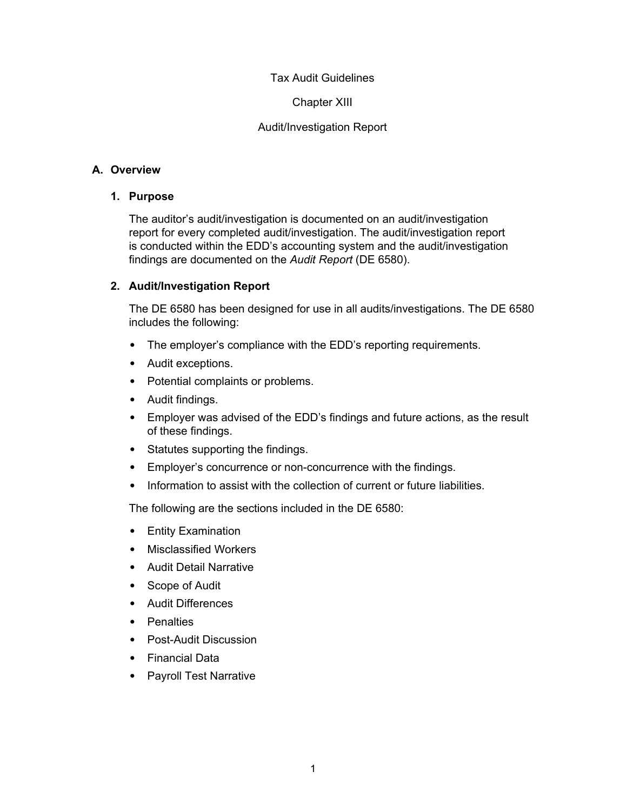### Tax Audit Guidelines

### Chapter XIII

### Audit/Investigation Report

### **A. Overview**

### **1. Purpose**

The auditor's audit/investigation is documented on an audit/investigation report for every completed audit/investigation. The audit/investigation report is conducted within the EDD's accounting system and the audit/investigation findings are documented on the *Audit Report* (DE 6580).

### **2. Audit/Investigation Report**

The DE 6580 has been designed for use in all audits/investigations. The DE 6580 includes the following:

- The employer's compliance with the EDD's reporting requirements.
- Audit exceptions.
- Potential complaints or problems.
- Audit findings.
- Employer was advised of the EDD's findings and future actions, as the result of these findings.
- Statutes supporting the findings.
- Employer's concurrence or non-concurrence with the findings.
- Information to assist with the collection of current or future liabilities.

The following are the sections included in the DE 6580:

- Entity Examination
- Misclassified Workers
- Audit Detail Narrative
- Scope of Audit
- Audit Differences
- Penalties
- Post-Audit Discussion
- Financial Data
- Payroll Test Narrative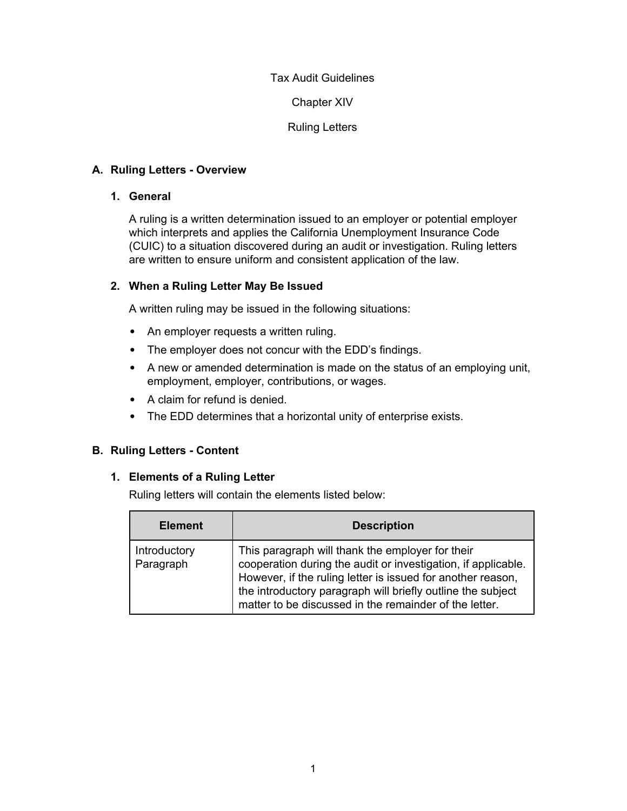### Tax Audit Guidelines

Chapter XIV

Ruling Letters

### **A. Ruling Letters - Overview**

### **1. General**

A ruling is a written determination issued to an employer or potential employer which interprets and applies the California Unemployment Insurance Code (CUIC) to a situation discovered during an audit or investigation. Ruling letters are written to ensure uniform and consistent application of the law.

### **2. When a Ruling Letter May Be Issued**

A written ruling may be issued in the following situations:

- An employer requests a written ruling.
- The employer does not concur with the EDD's findings.
- A new or amended determination is made on the status of an employing unit, employment, employer, contributions, or wages.
- A claim for refund is denied.
- The EDD determines that a horizontal unity of enterprise exists.

# **B. Ruling Letters - Content**

### **1. Elements of a Ruling Letter**

Ruling letters will contain the elements listed below:

| <b>Element</b>            | <b>Description</b>                                                                                                                                                                                                                                                                                        |
|---------------------------|-----------------------------------------------------------------------------------------------------------------------------------------------------------------------------------------------------------------------------------------------------------------------------------------------------------|
| Introductory<br>Paragraph | This paragraph will thank the employer for their<br>cooperation during the audit or investigation, if applicable.<br>However, if the ruling letter is issued for another reason,<br>the introductory paragraph will briefly outline the subject<br>matter to be discussed in the remainder of the letter. |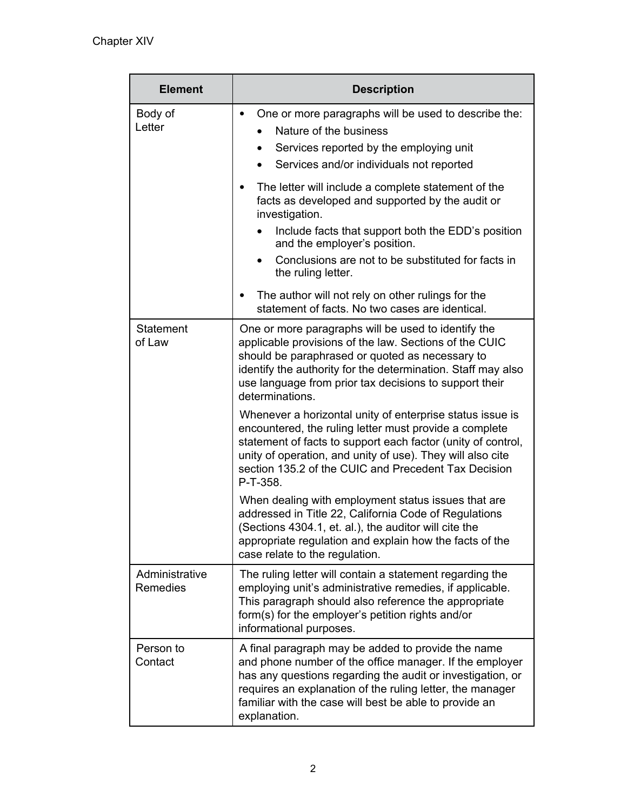| <b>Element</b>                    | <b>Description</b>                                                                                                                                                                                                                                                                                                    |  |
|-----------------------------------|-----------------------------------------------------------------------------------------------------------------------------------------------------------------------------------------------------------------------------------------------------------------------------------------------------------------------|--|
| Body of<br>Letter                 | One or more paragraphs will be used to describe the:<br>Nature of the business<br>Services reported by the employing unit<br>$\bullet$<br>Services and/or individuals not reported                                                                                                                                    |  |
|                                   | The letter will include a complete statement of the<br>facts as developed and supported by the audit or<br>investigation.                                                                                                                                                                                             |  |
|                                   | Include facts that support both the EDD's position<br>and the employer's position.                                                                                                                                                                                                                                    |  |
|                                   | Conclusions are not to be substituted for facts in<br>the ruling letter.                                                                                                                                                                                                                                              |  |
|                                   | The author will not rely on other rulings for the<br>٠<br>statement of facts. No two cases are identical.                                                                                                                                                                                                             |  |
| <b>Statement</b><br>of Law        | One or more paragraphs will be used to identify the<br>applicable provisions of the law. Sections of the CUIC<br>should be paraphrased or quoted as necessary to<br>identify the authority for the determination. Staff may also<br>use language from prior tax decisions to support their<br>determinations.         |  |
|                                   | Whenever a horizontal unity of enterprise status issue is<br>encountered, the ruling letter must provide a complete<br>statement of facts to support each factor (unity of control,<br>unity of operation, and unity of use). They will also cite<br>section 135.2 of the CUIC and Precedent Tax Decision<br>P-T-358. |  |
|                                   | When dealing with employment status issues that are<br>addressed in Title 22, California Code of Regulations<br>Sections 4304.1, et. al.), the auditor will cite the<br>appropriate regulation and explain how the facts of the<br>case relate to the regulation.                                                     |  |
| Administrative<br><b>Remedies</b> | The ruling letter will contain a statement regarding the<br>employing unit's administrative remedies, if applicable.<br>This paragraph should also reference the appropriate<br>form(s) for the employer's petition rights and/or<br>informational purposes.                                                          |  |
| Person to<br>Contact              | A final paragraph may be added to provide the name<br>and phone number of the office manager. If the employer<br>has any questions regarding the audit or investigation, or<br>requires an explanation of the ruling letter, the manager<br>familiar with the case will best be able to provide an<br>explanation.    |  |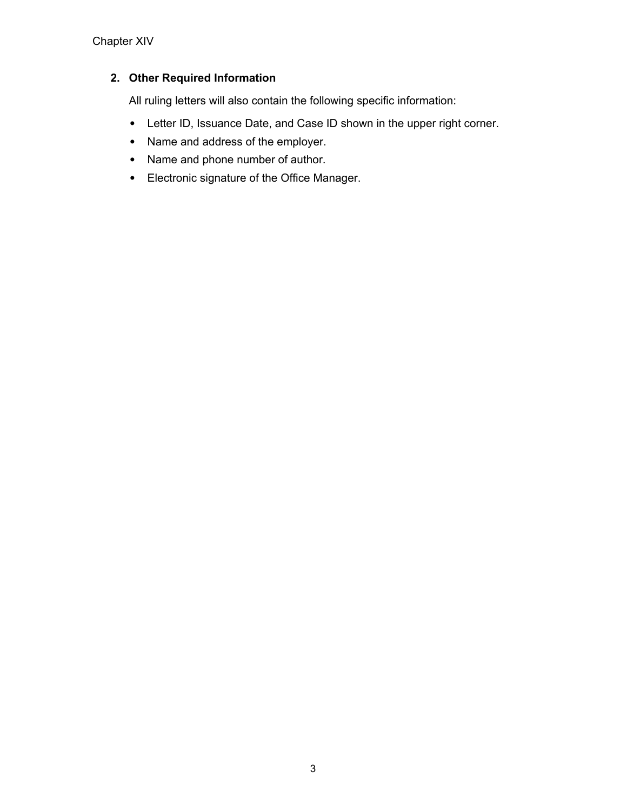# **2. Other Required Information**

All ruling letters will also contain the following specific information:

- Letter ID, Issuance Date, and Case ID shown in the upper right corner.
- Name and address of the employer.
- Name and phone number of author.
- Electronic signature of the Office Manager.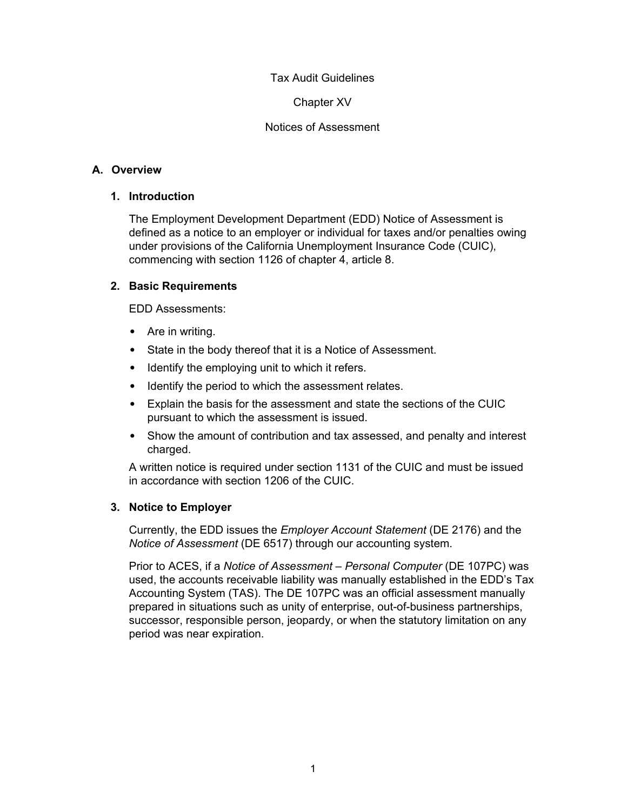#### Chapter XV

### Notices of Assessment

### **A. Overview**

#### **1. Introduction**

The Employment Development Department (EDD) Notice of Assessment is defined as a notice to an employer or individual for taxes and/or penalties owing under provisions of the California Unemployment Insurance Code (CUIC), commencing with section 1126 of chapter 4, article 8.

### **2. Basic Requirements**

EDD Assessments:

- Are in writing.
- State in the body thereof that it is a Notice of Assessment.
- Identify the employing unit to which it refers.
- Identify the period to which the assessment relates.
- Explain the basis for the assessment and state the sections of the CUIC pursuant to which the assessment is issued.
- Show the amount of contribution and tax assessed, and penalty and interest charged.

A written notice is required under section 1131 of the CUIC and must be issued in accordance with section 1206 of the CUIC.

### **3. Notice to Employer**

Currently, the EDD issues the *Employer Account Statement* (DE 2176) and the *Notice of Assessment* (DE 6517) through our accounting system.

Prior to ACES, if a *Notice of Assessment – Personal Computer* (DE 107PC) was used, the accounts receivable liability was manually established in the EDD's Tax Accounting System (TAS). The DE 107PC was an official assessment manually prepared in situations such as unity of enterprise, out-of-business partnerships, successor, responsible person, jeopardy, or when the statutory limitation on any period was near expiration.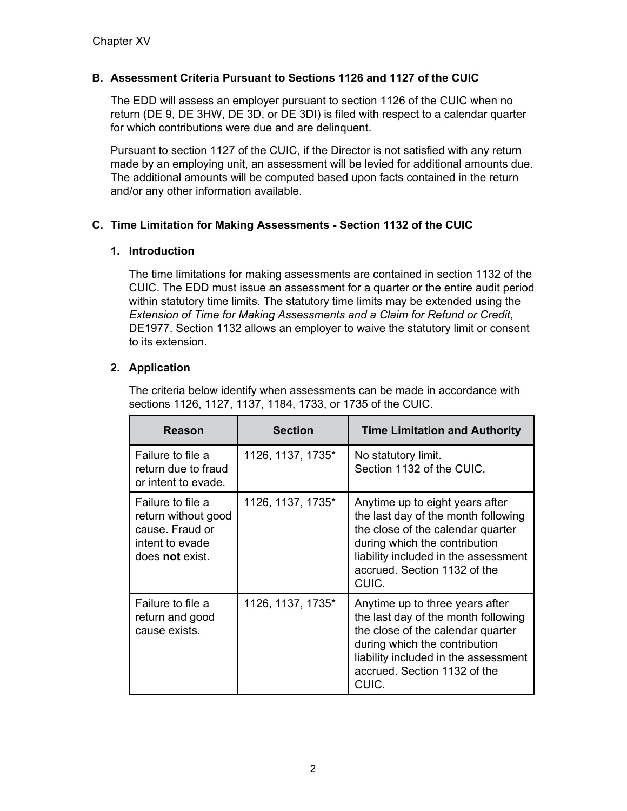# **B. Assessment Criteria Pursuant to Sections 1126 and 1127 of the CUIC**

The EDD will assess an employer pursuant to section 1126 of the CUIC when no return (DE 9, DE 3HW, DE 3D, or DE 3DI) is filed with respect to a calendar quarter for which contributions were due and are delinquent.

Pursuant to section 1127 of the CUIC, if the Director is not satisfied with any return made by an employing unit, an assessment will be levied for additional amounts due. The additional amounts will be computed based upon facts contained in the return and/or any other information available.

# **C. Time Limitation for Making Assessments - Section 1132 of the CUIC**

### **1. Introduction**

The time limitations for making assessments are contained in section 1132 of the CUIC. The EDD must issue an assessment for a quarter or the entire audit period within statutory time limits. The statutory time limits may be extended using the *Extension of Time for Making Assessments and a Claim for Refund or Credit*, DE1977. Section 1132 allows an employer to waive the statutory limit or consent to its extension.

### **2. Application**

The criteria below identify when assessments can be made in accordance with sections 1126, 1127, 1137, 1184, 1733, or 1735 of the CUIC.

| Reason                                                                                            | <b>Section</b>    | <b>Time Limitation and Authority</b>                                                                                                                                                                                          |  |
|---------------------------------------------------------------------------------------------------|-------------------|-------------------------------------------------------------------------------------------------------------------------------------------------------------------------------------------------------------------------------|--|
| Failure to file a<br>return due to fraud<br>or intent to evade.                                   | 1126, 1137, 1735* | No statutory limit.<br>Section 1132 of the CUIC.                                                                                                                                                                              |  |
| Failure to file a<br>return without good<br>cause. Fraud or<br>intent to evade<br>does not exist. | 1126, 1137, 1735* | Anytime up to eight years after<br>the last day of the month following<br>the close of the calendar quarter<br>during which the contribution<br>liability included in the assessment<br>accrued. Section 1132 of the<br>CUIC. |  |
| Failure to file a<br>return and good<br>cause exists.                                             | 1126, 1137, 1735* | Anytime up to three years after<br>the last day of the month following<br>the close of the calendar quarter<br>during which the contribution<br>liability included in the assessment<br>accrued. Section 1132 of the<br>CUIC. |  |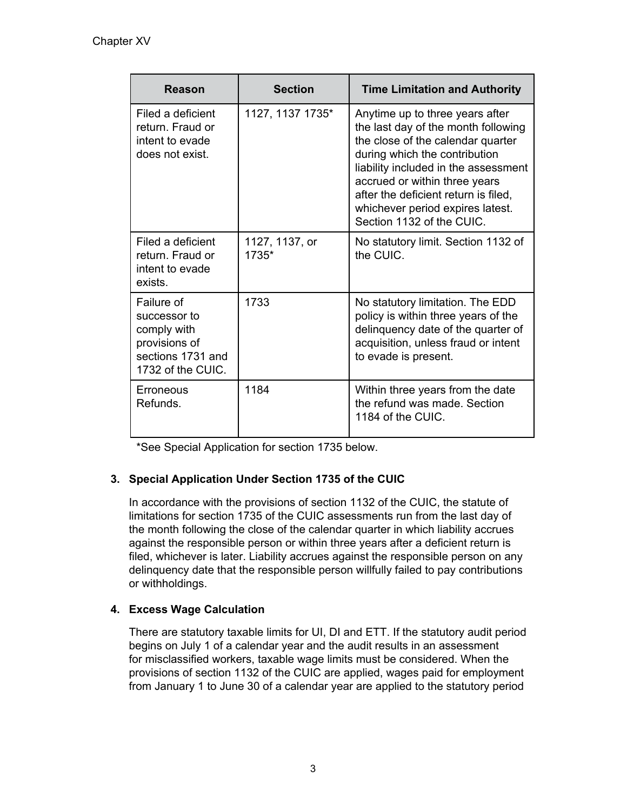| Reason                                                                                               | <b>Section</b>          | <b>Time Limitation and Authority</b>                                                                                                                                                                                                                                                                                           |  |
|------------------------------------------------------------------------------------------------------|-------------------------|--------------------------------------------------------------------------------------------------------------------------------------------------------------------------------------------------------------------------------------------------------------------------------------------------------------------------------|--|
| Filed a deficient<br>return. Fraud or<br>intent to evade<br>does not exist.                          | 1127, 1137 1735*        | Anytime up to three years after<br>the last day of the month following<br>the close of the calendar quarter<br>during which the contribution<br>liability included in the assessment<br>accrued or within three years<br>after the deficient return is filed,<br>whichever period expires latest.<br>Section 1132 of the CUIC. |  |
| Filed a deficient<br>return. Fraud or<br>intent to evade<br>exists.                                  | 1127, 1137, or<br>1735* | No statutory limit. Section 1132 of<br>the CUIC.                                                                                                                                                                                                                                                                               |  |
| Failure of<br>successor to<br>comply with<br>provisions of<br>sections 1731 and<br>1732 of the CUIC. | 1733                    | No statutory limitation. The EDD<br>policy is within three years of the<br>delinquency date of the quarter of<br>acquisition, unless fraud or intent<br>to evade is present.                                                                                                                                                   |  |
| Erroneous<br>Refunds.                                                                                | 1184                    | Within three years from the date<br>the refund was made. Section<br>1184 of the CUIC.                                                                                                                                                                                                                                          |  |

\*See Special Application for section 1735 below.

# **3. Special Application Under Section 1735 of the CUIC**

In accordance with the provisions of section 1132 of the CUIC, the statute of limitations for section 1735 of the CUIC assessments run from the last day of the month following the close of the calendar quarter in which liability accrues against the responsible person or within three years after a deficient return is filed, whichever is later. Liability accrues against the responsible person on any delinquency date that the responsible person willfully failed to pay contributions or withholdings.

# **4. Excess Wage Calculation**

There are statutory taxable limits for UI, DI and ETT. If the statutory audit period begins on July 1 of a calendar year and the audit results in an assessment for misclassified workers, taxable wage limits must be considered. When the provisions of section 1132 of the CUIC are applied, wages paid for employment from January 1 to June 30 of a calendar year are applied to the statutory period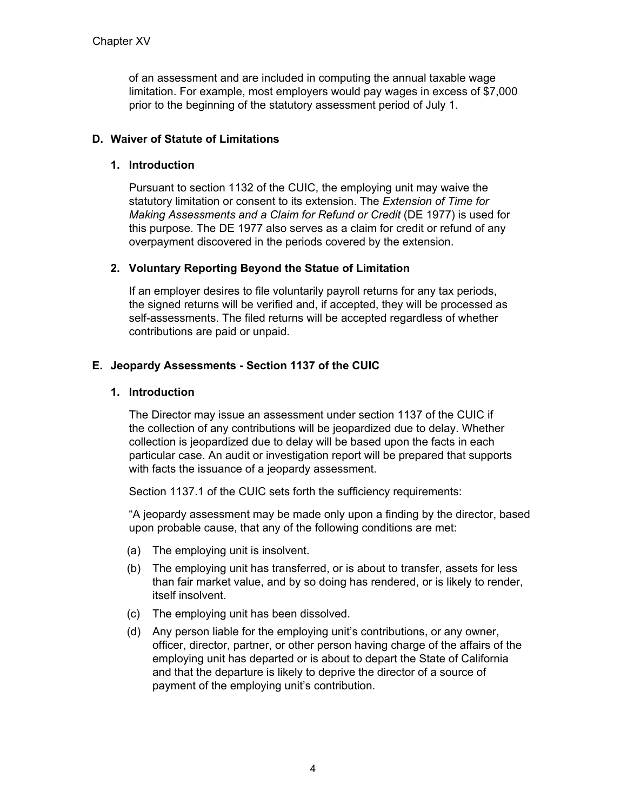of an assessment and are included in computing the annual taxable wage limitation. For example, most employers would pay wages in excess of \$7,000 prior to the beginning of the statutory assessment period of July 1.

## **D. Waiver of Statute of Limitations**

### **1. Introduction**

Pursuant to section 1132 of the CUIC, the employing unit may waive the statutory limitation or consent to its extension. The *Extension of Time for Making Assessments and a Claim for Refund or Credit* (DE 1977) is used for this purpose. The DE 1977 also serves as a claim for credit or refund of any overpayment discovered in the periods covered by the extension.

### **2. Voluntary Reporting Beyond the Statue of Limitation**

If an employer desires to file voluntarily payroll returns for any tax periods, the signed returns will be verified and, if accepted, they will be processed as self-assessments. The filed returns will be accepted regardless of whether contributions are paid or unpaid.

# **E. Jeopardy Assessments - Section 1137 of the CUIC**

### **1. Introduction**

The Director may issue an assessment under section 1137 of the CUIC if the collection of any contributions will be jeopardized due to delay. Whether collection is jeopardized due to delay will be based upon the facts in each particular case. An audit or investigation report will be prepared that supports with facts the issuance of a jeopardy assessment.

Section 1137.1 of the CUIC sets forth the sufficiency requirements:

"A jeopardy assessment may be made only upon a finding by the director, based upon probable cause, that any of the following conditions are met:

- (a) The employing unit is insolvent.
- (b) The employing unit has transferred, or is about to transfer, assets for less than fair market value, and by so doing has rendered, or is likely to render, itself insolvent.
- (c) The employing unit has been dissolved.
- (d) Any person liable for the employing unit's contributions, or any owner, officer, director, partner, or other person having charge of the affairs of the employing unit has departed or is about to depart the State of California and that the departure is likely to deprive the director of a source of payment of the employing unit's contribution.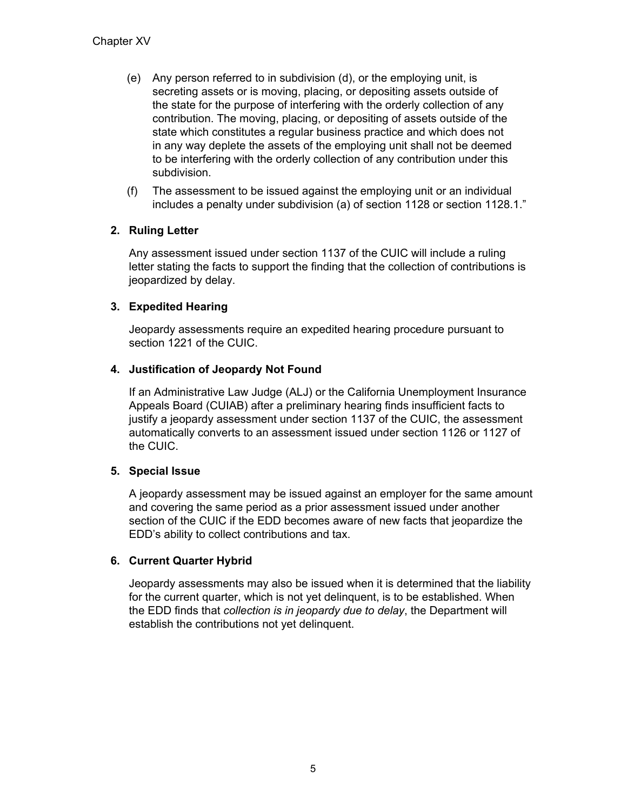- (e) Any person referred to in subdivision (d), or the employing unit, is secreting assets or is moving, placing, or depositing assets outside of the state for the purpose of interfering with the orderly collection of any contribution. The moving, placing, or depositing of assets outside of the state which constitutes a regular business practice and which does not in any way deplete the assets of the employing unit shall not be deemed to be interfering with the orderly collection of any contribution under this subdivision.
- (f) The assessment to be issued against the employing unit or an individual includes a penalty under subdivision (a) of section 1128 or section 1128.1."

# **2. Ruling Letter**

Any assessment issued under section 1137 of the CUIC will include a ruling letter stating the facts to support the finding that the collection of contributions is jeopardized by delay.

# **3. Expedited Hearing**

Jeopardy assessments require an expedited hearing procedure pursuant to section 1221 of the CUIC.

# **4. Justification of Jeopardy Not Found**

If an Administrative Law Judge (ALJ) or the California Unemployment Insurance Appeals Board (CUIAB) after a preliminary hearing finds insufficient facts to justify a jeopardy assessment under section 1137 of the CUIC, the assessment automatically converts to an assessment issued under section 1126 or 1127 of the CUIC.

# **5. Special Issue**

A jeopardy assessment may be issued against an employer for the same amount and covering the same period as a prior assessment issued under another section of the CUIC if the EDD becomes aware of new facts that jeopardize the EDD's ability to collect contributions and tax.

### **6. Current Quarter Hybrid**

Jeopardy assessments may also be issued when it is determined that the liability for the current quarter, which is not yet delinquent, is to be established. When the EDD finds that *collection is in jeopardy due to delay*, the Department will establish the contributions not yet delinquent.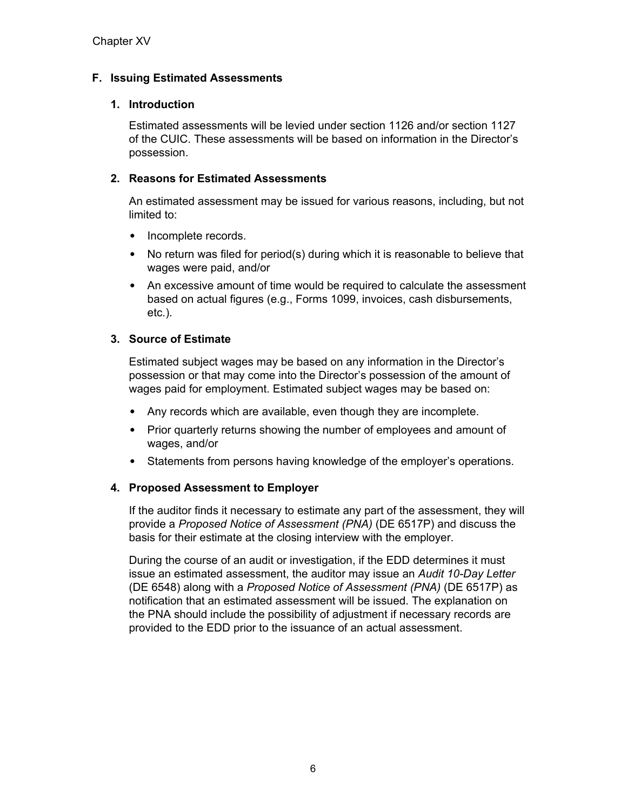# **F. Issuing Estimated Assessments**

### **1. Introduction**

Estimated assessments will be levied under section 1126 and/or section 1127 of the CUIC. These assessments will be based on information in the Director's possession.

### **2. Reasons for Estimated Assessments**

An estimated assessment may be issued for various reasons, including, but not limited to:

- Incomplete records.
- No return was filed for period(s) during which it is reasonable to believe that wages were paid, and/or
- An excessive amount of time would be required to calculate the assessment based on actual figures (e.g., Forms 1099, invoices, cash disbursements, etc.).

### **3. Source of Estimate**

Estimated subject wages may be based on any information in the Director's possession or that may come into the Director's possession of the amount of wages paid for employment. Estimated subject wages may be based on:

- Any records which are available, even though they are incomplete.
- Prior quarterly returns showing the number of employees and amount of wages, and/or
- Statements from persons having knowledge of the employer's operations.

### **4. Proposed Assessment to Employer**

If the auditor finds it necessary to estimate any part of the assessment, they will provide a *Proposed Notice of Assessment (PNA)* (DE 6517P) and discuss the basis for their estimate at the closing interview with the employer.

During the course of an audit or investigation, if the EDD determines it must issue an estimated assessment, the auditor may issue an *Audit 10-Day Letter* (DE 6548) along with a *Proposed Notice of Assessment (PNA)* (DE 6517P) as notification that an estimated assessment will be issued. The explanation on the PNA should include the possibility of adjustment if necessary records are provided to the EDD prior to the issuance of an actual assessment.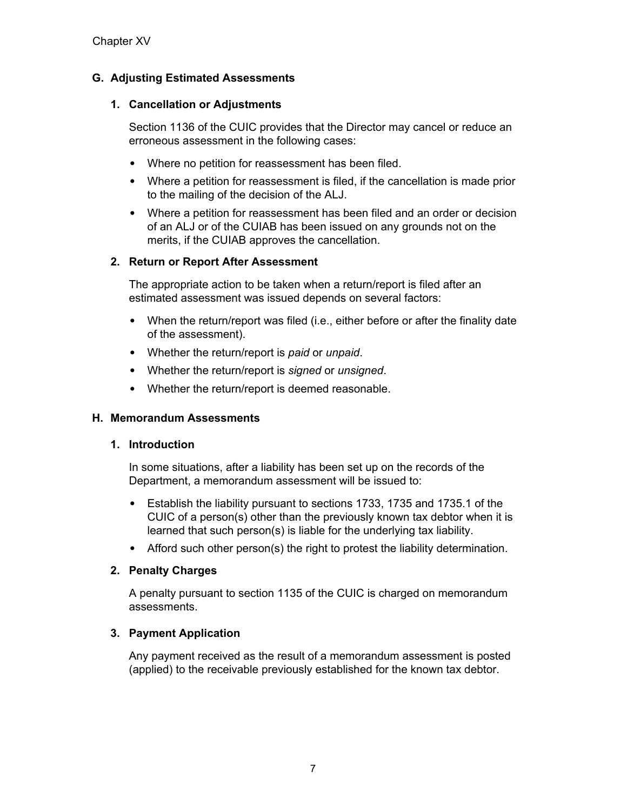# **G. Adjusting Estimated Assessments**

### **1. Cancellation or Adjustments**

Section 1136 of the CUIC provides that the Director may cancel or reduce an erroneous assessment in the following cases:

- Where no petition for reassessment has been filed.
- Where a petition for reassessment is filed, if the cancellation is made prior to the mailing of the decision of the ALJ.
- Where a petition for reassessment has been filed and an order or decision of an ALJ or of the CUIAB has been issued on any grounds not on the merits, if the CUIAB approves the cancellation.

### **2. Return or Report After Assessment**

The appropriate action to be taken when a return/report is filed after an estimated assessment was issued depends on several factors:

- When the return/report was filed (i.e., either before or after the finality date of the assessment).
- Whether the return/report is *paid* or *unpaid*.
- Whether the return/report is *signed* or *unsigned*.
- Whether the return/report is deemed reasonable.

### **H. Memorandum Assessments**

#### **1. Introduction**

In some situations, after a liability has been set up on the records of the Department, a memorandum assessment will be issued to:

- Establish the liability pursuant to sections 1733, 1735 and 1735.1 of the CUIC of a person(s) other than the previously known tax debtor when it is learned that such person(s) is liable for the underlying tax liability.
- Afford such other person(s) the right to protest the liability determination.

#### **2. Penalty Charges**

A penalty pursuant to section 1135 of the CUIC is charged on memorandum assessments.

### **3. Payment Application**

Any payment received as the result of a memorandum assessment is posted (applied) to the receivable previously established for the known tax debtor.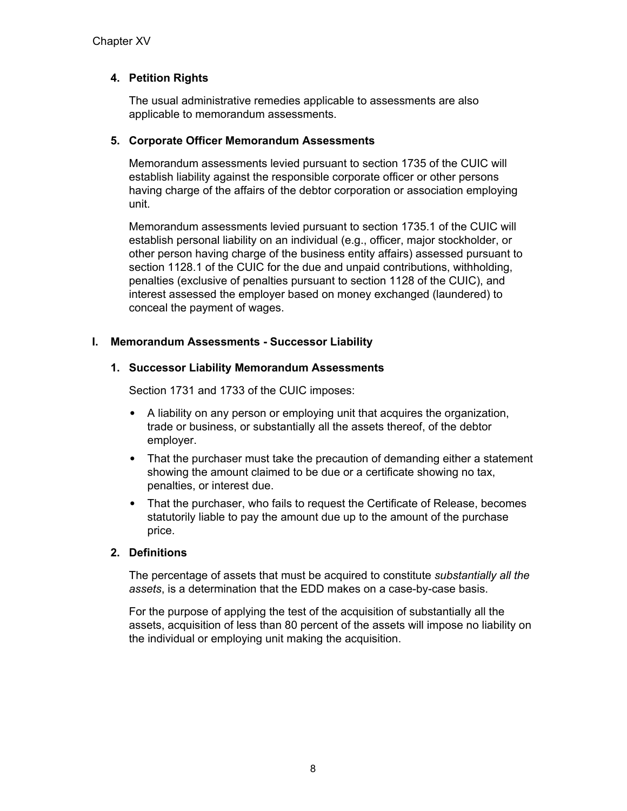# **4. Petition Rights**

The usual administrative remedies applicable to assessments are also applicable to memorandum assessments.

#### **5. Corporate Officer Memorandum Assessments**

Memorandum assessments levied pursuant to section 1735 of the CUIC will establish liability against the responsible corporate officer or other persons having charge of the affairs of the debtor corporation or association employing unit.

Memorandum assessments levied pursuant to section 1735.1 of the CUIC will establish personal liability on an individual (e.g., officer, major stockholder, or other person having charge of the business entity affairs) assessed pursuant to section 1128.1 of the CUIC for the due and unpaid contributions, withholding, penalties (exclusive of penalties pursuant to section 1128 of the CUIC), and interest assessed the employer based on money exchanged (laundered) to conceal the payment of wages.

### **I. Memorandum Assessments - Successor Liability**

#### **1. Successor Liability Memorandum Assessments**

Section 1731 and 1733 of the CUIC imposes:

- A liability on any person or employing unit that acquires the organization, trade or business, or substantially all the assets thereof, of the debtor employer.
- That the purchaser must take the precaution of demanding either a statement showing the amount claimed to be due or a certificate showing no tax, penalties, or interest due.
- That the purchaser, who fails to request the Certificate of Release, becomes statutorily liable to pay the amount due up to the amount of the purchase price.

### **2. Definitions**

The percentage of assets that must be acquired to constitute *substantially all the assets*, is a determination that the EDD makes on a case-by-case basis.

For the purpose of applying the test of the acquisition of substantially all the assets, acquisition of less than 80 percent of the assets will impose no liability on the individual or employing unit making the acquisition.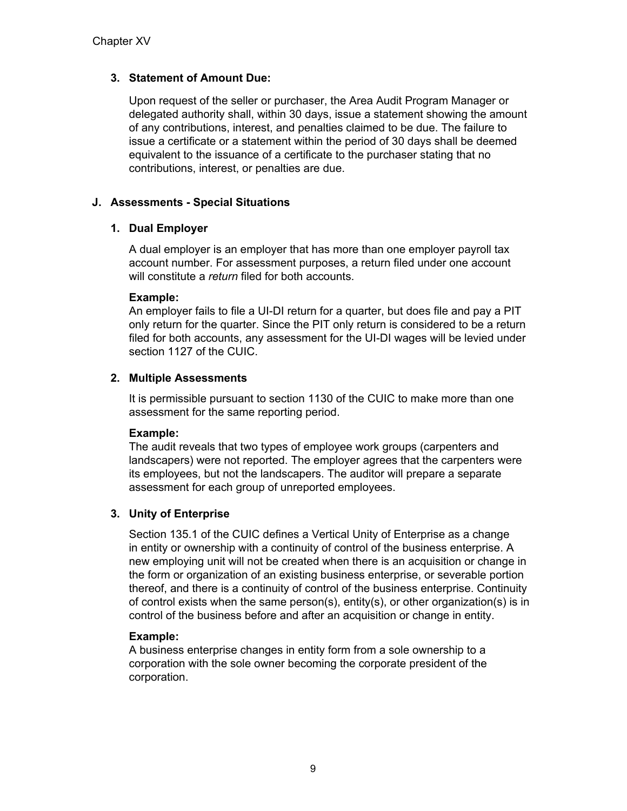# **3. Statement of Amount Due:**

Upon request of the seller or purchaser, the Area Audit Program Manager or delegated authority shall, within 30 days, issue a statement showing the amount of any contributions, interest, and penalties claimed to be due. The failure to issue a certificate or a statement within the period of 30 days shall be deemed equivalent to the issuance of a certificate to the purchaser stating that no contributions, interest, or penalties are due.

# **J. Assessments - Special Situations**

# **1. Dual Employer**

A dual employer is an employer that has more than one employer payroll tax account number. For assessment purposes, a return filed under one account will constitute a *return* filed for both accounts.

### **Example:**

An employer fails to file a UI-DI return for a quarter, but does file and pay a PIT only return for the quarter. Since the PIT only return is considered to be a return filed for both accounts, any assessment for the UI-DI wages will be levied under section 1127 of the CUIC.

# **2. Multiple Assessments**

It is permissible pursuant to section 1130 of the CUIC to make more than one assessment for the same reporting period.

### **Example:**

The audit reveals that two types of employee work groups (carpenters and landscapers) were not reported. The employer agrees that the carpenters were its employees, but not the landscapers. The auditor will prepare a separate assessment for each group of unreported employees.

### **3. Unity of Enterprise**

Section 135.1 of the CUIC defines a Vertical Unity of Enterprise as a change in entity or ownership with a continuity of control of the business enterprise. A new employing unit will not be created when there is an acquisition or change in the form or organization of an existing business enterprise, or severable portion thereof, and there is a continuity of control of the business enterprise. Continuity of control exists when the same person(s), entity(s), or other organization(s) is in control of the business before and after an acquisition or change in entity.

### **Example:**

A business enterprise changes in entity form from a sole ownership to a corporation with the sole owner becoming the corporate president of the corporation.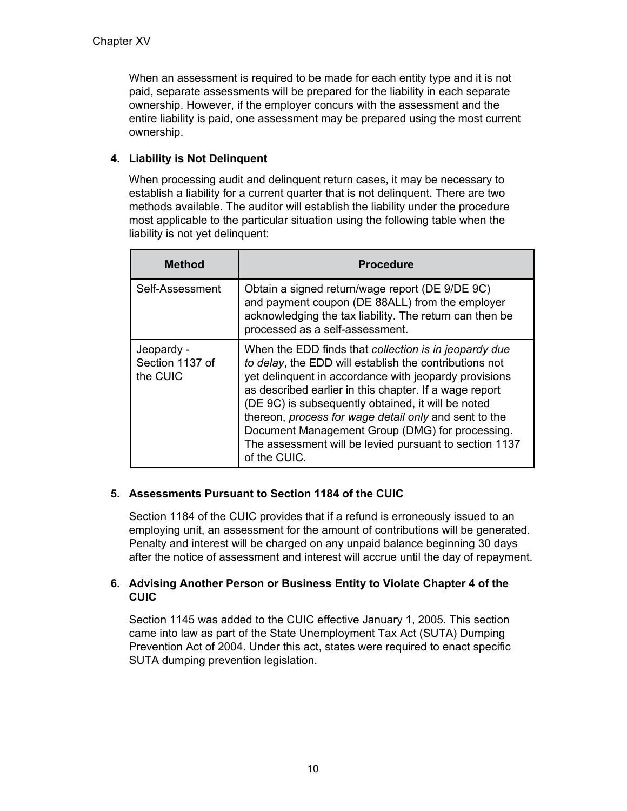When an assessment is required to be made for each entity type and it is not paid, separate assessments will be prepared for the liability in each separate ownership. However, if the employer concurs with the assessment and the entire liability is paid, one assessment may be prepared using the most current ownership.

# **4. Liability is Not Delinquent**

When processing audit and delinquent return cases, it may be necessary to establish a liability for a current quarter that is not delinquent. There are two methods available. The auditor will establish the liability under the procedure most applicable to the particular situation using the following table when the liability is not yet delinquent:

| Method                                    | <b>Procedure</b>                                                                                                                                                                                                                                                                                                                                                                                                                                                               |
|-------------------------------------------|--------------------------------------------------------------------------------------------------------------------------------------------------------------------------------------------------------------------------------------------------------------------------------------------------------------------------------------------------------------------------------------------------------------------------------------------------------------------------------|
| Self-Assessment                           | Obtain a signed return/wage report (DE 9/DE 9C)<br>and payment coupon (DE 88ALL) from the employer<br>acknowledging the tax liability. The return can then be<br>processed as a self-assessment.                                                                                                                                                                                                                                                                               |
| Jeopardy -<br>Section 1137 of<br>the CUIC | When the EDD finds that collection is in jeopardy due<br>to delay, the EDD will establish the contributions not<br>yet delinquent in accordance with jeopardy provisions<br>as described earlier in this chapter. If a wage report<br>(DE 9C) is subsequently obtained, it will be noted<br>thereon, process for wage detail only and sent to the<br>Document Management Group (DMG) for processing.<br>The assessment will be levied pursuant to section 1137<br>of the CUIC. |

### **5. Assessments Pursuant to Section 1184 of the CUIC**

Section 1184 of the CUIC provides that if a refund is erroneously issued to an employing unit, an assessment for the amount of contributions will be generated. Penalty and interest will be charged on any unpaid balance beginning 30 days after the notice of assessment and interest will accrue until the day of repayment.

### **6. Advising Another Person or Business Entity to Violate Chapter 4 of the CUIC**

Section 1145 was added to the CUIC effective January 1, 2005. This section came into law as part of the State Unemployment Tax Act (SUTA) Dumping Prevention Act of 2004. Under this act, states were required to enact specific SUTA dumping prevention legislation.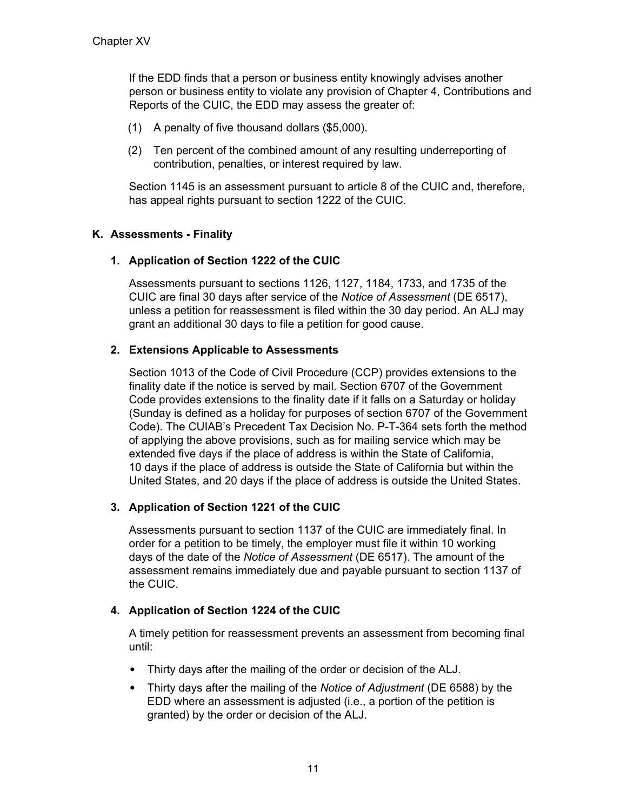If the EDD finds that a person or business entity knowingly advises another person or business entity to violate any provision of Chapter 4, Contributions and Reports of the CUIC, the EDD may assess the greater of:

- (1) A penalty of five thousand dollars (\$5,000).
- (2) Ten percent of the combined amount of any resulting underreporting of contribution, penalties, or interest required by law.

Section 1145 is an assessment pursuant to article 8 of the CUIC and, therefore, has appeal rights pursuant to section 1222 of the CUIC.

### **K. Assessments - Finality**

#### **1. Application of Section 1222 of the CUIC**

Assessments pursuant to sections 1126, 1127, 1184, 1733, and 1735 of the CUIC are final 30 days after service of the *Notice of Assessment* (DE 6517), unless a petition for reassessment is filed within the 30 day period. An ALJ may grant an additional 30 days to file a petition for good cause.

#### **2. Extensions Applicable to Assessments**

Section 1013 of the Code of Civil Procedure (CCP) provides extensions to the finality date if the notice is served by mail. Section 6707 of the Government Code provides extensions to the finality date if it falls on a Saturday or holiday (Sunday is defined as a holiday for purposes of section 6707 of the Government Code). The CUIAB's Precedent Tax Decision No. P-T-364 sets forth the method of applying the above provisions, such as for mailing service which may be extended five days if the place of address is within the State of California, 10 days if the place of address is outside the State of California but within the United States, and 20 days if the place of address is outside the United States.

### **3. Application of Section 1221 of the CUIC**

Assessments pursuant to section 1137 of the CUIC are immediately final. In order for a petition to be timely, the employer must file it within 10 working days of the date of the *Notice of Assessment* (DE 6517). The amount of the assessment remains immediately due and payable pursuant to section 1137 of the CUIC.

#### **4. Application of Section 1224 of the CUIC**

A timely petition for reassessment prevents an assessment from becoming final until:

- Thirty days after the mailing of the order or decision of the ALJ.
- Thirty days after the mailing of the *Notice of Adjustment* (DE 6588) by the EDD where an assessment is adjusted (i.e., a portion of the petition is granted) by the order or decision of the ALJ.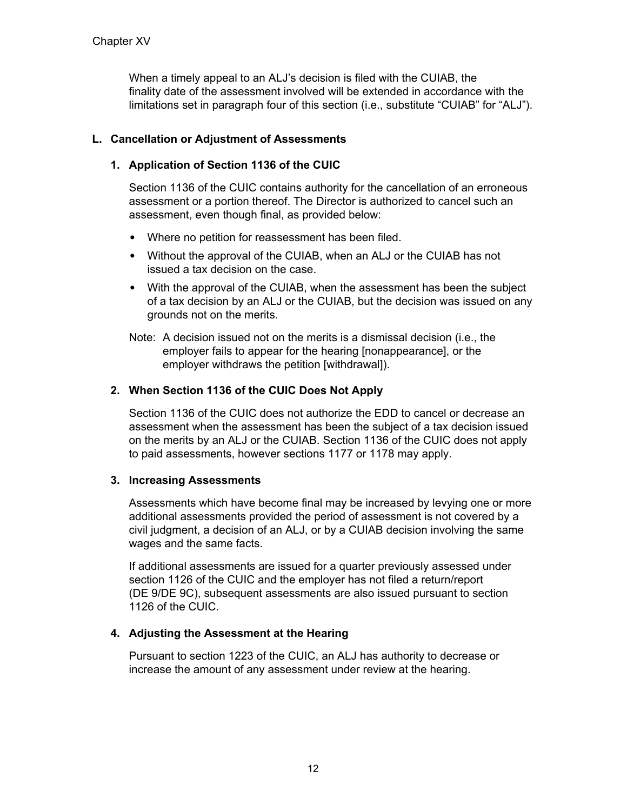When a timely appeal to an ALJ's decision is filed with the CUIAB, the finality date of the assessment involved will be extended in accordance with the limitations set in paragraph four of this section (i.e., substitute "CUIAB" for "ALJ").

# **L. Cancellation or Adjustment of Assessments**

## **1. Application of Section 1136 of the CUIC**

Section 1136 of the CUIC contains authority for the cancellation of an erroneous assessment or a portion thereof. The Director is authorized to cancel such an assessment, even though final, as provided below:

- Where no petition for reassessment has been filed.
- Without the approval of the CUIAB, when an ALJ or the CUIAB has not issued a tax decision on the case.
- With the approval of the CUIAB, when the assessment has been the subject of a tax decision by an ALJ or the CUIAB, but the decision was issued on any grounds not on the merits.
- Note: A decision issued not on the merits is a dismissal decision (i.e., the employer fails to appear for the hearing [nonappearance], or the employer withdraws the petition [withdrawal]).

# **2. When Section 1136 of the CUIC Does Not Apply**

Section 1136 of the CUIC does not authorize the EDD to cancel or decrease an assessment when the assessment has been the subject of a tax decision issued on the merits by an ALJ or the CUIAB. Section 1136 of the CUIC does not apply to paid assessments, however sections 1177 or 1178 may apply.

### **3. Increasing Assessments**

Assessments which have become final may be increased by levying one or more additional assessments provided the period of assessment is not covered by a civil judgment, a decision of an ALJ, or by a CUIAB decision involving the same wages and the same facts.

If additional assessments are issued for a quarter previously assessed under section 1126 of the CUIC and the employer has not filed a return/report (DE 9/DE 9C), subsequent assessments are also issued pursuant to section 1126 of the CUIC.

# **4. Adjusting the Assessment at the Hearing**

Pursuant to section 1223 of the CUIC, an ALJ has authority to decrease or increase the amount of any assessment under review at the hearing.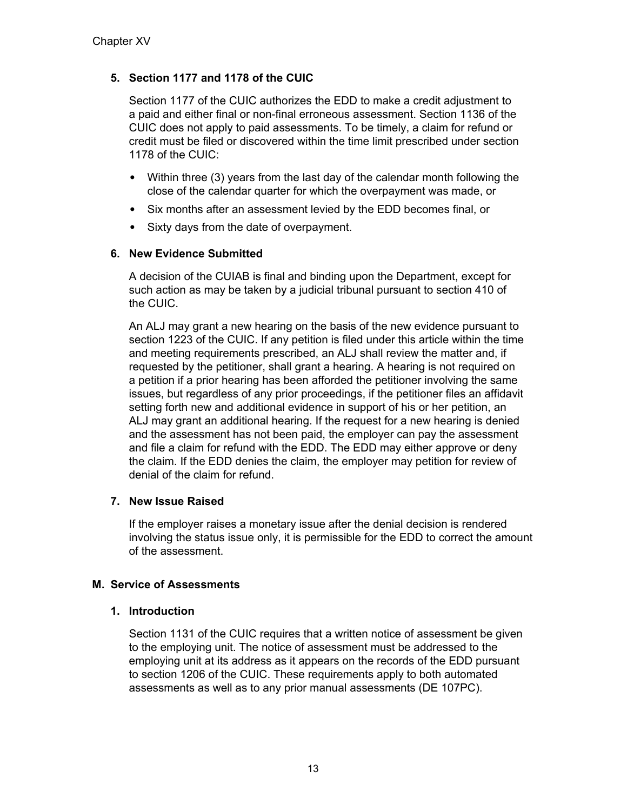# **5. Section 1177 and 1178 of the CUIC**

Section 1177 of the CUIC authorizes the EDD to make a credit adjustment to a paid and either final or non-final erroneous assessment. Section 1136 of the CUIC does not apply to paid assessments. To be timely, a claim for refund or credit must be filed or discovered within the time limit prescribed under section 1178 of the CUIC:

- Within three (3) years from the last day of the calendar month following the close of the calendar quarter for which the overpayment was made, or
- Six months after an assessment levied by the EDD becomes final, or
- Sixty days from the date of overpayment.

# **6. New Evidence Submitted**

A decision of the CUIAB is final and binding upon the Department, except for such action as may be taken by a judicial tribunal pursuant to section 410 of the CUIC.

An ALJ may grant a new hearing on the basis of the new evidence pursuant to section 1223 of the CUIC. If any petition is filed under this article within the time and meeting requirements prescribed, an ALJ shall review the matter and, if requested by the petitioner, shall grant a hearing. A hearing is not required on a petition if a prior hearing has been afforded the petitioner involving the same issues, but regardless of any prior proceedings, if the petitioner files an affidavit setting forth new and additional evidence in support of his or her petition, an ALJ may grant an additional hearing. If the request for a new hearing is denied and the assessment has not been paid, the employer can pay the assessment and file a claim for refund with the EDD. The EDD may either approve or deny the claim. If the EDD denies the claim, the employer may petition for review of denial of the claim for refund.

# **7. New Issue Raised**

If the employer raises a monetary issue after the denial decision is rendered involving the status issue only, it is permissible for the EDD to correct the amount of the assessment.

### **M. Service of Assessments**

### **1. Introduction**

Section 1131 of the CUIC requires that a written notice of assessment be given to the employing unit. The notice of assessment must be addressed to the employing unit at its address as it appears on the records of the EDD pursuant to section 1206 of the CUIC. These requirements apply to both automated assessments as well as to any prior manual assessments (DE 107PC).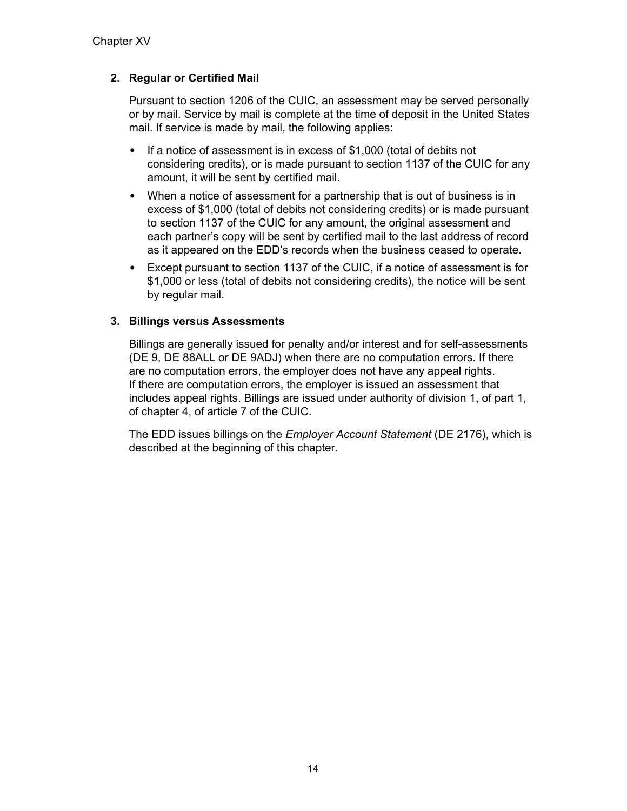# **2. Regular or Certified Mail**

Pursuant to section 1206 of the CUIC, an assessment may be served personally or by mail. Service by mail is complete at the time of deposit in the United States mail. If service is made by mail, the following applies:

- If a notice of assessment is in excess of \$1,000 (total of debits not considering credits), or is made pursuant to section 1137 of the CUIC for any amount, it will be sent by certified mail.
- When a notice of assessment for a partnership that is out of business is in excess of \$1,000 (total of debits not considering credits) or is made pursuant to section 1137 of the CUIC for any amount, the original assessment and each partner's copy will be sent by certified mail to the last address of record as it appeared on the EDD's records when the business ceased to operate.
- Except pursuant to section 1137 of the CUIC, if a notice of assessment is for \$1,000 or less (total of debits not considering credits), the notice will be sent by regular mail.

### **3. Billings versus Assessments**

Billings are generally issued for penalty and/or interest and for self-assessments (DE 9, DE 88ALL or DE 9ADJ) when there are no computation errors. If there are no computation errors, the employer does not have any appeal rights. If there are computation errors, the employer is issued an assessment that includes appeal rights. Billings are issued under authority of division 1, of part 1, of chapter 4, of article 7 of the CUIC.

The EDD issues billings on the *Employer Account Statement* (DE 2176), which is described at the beginning of this chapter.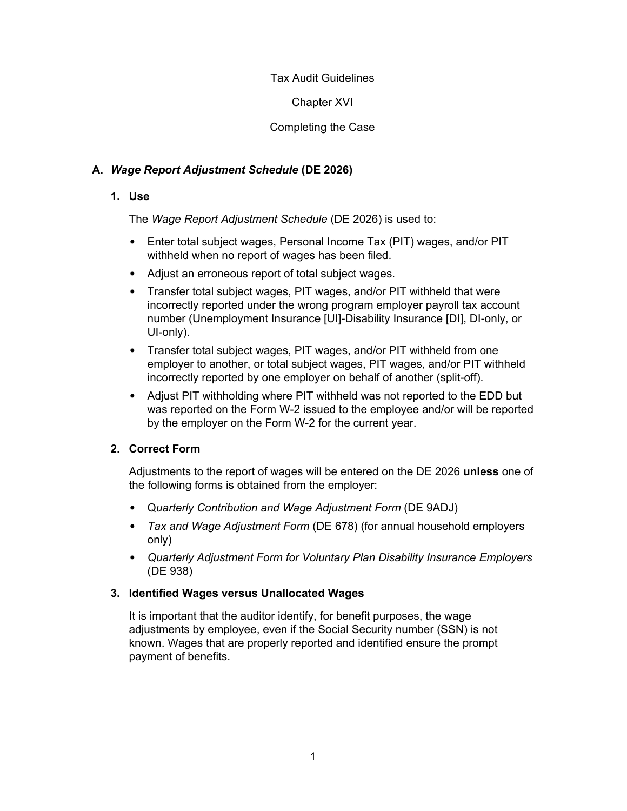Chapter XVI

Completing the Case

# **A.** *Wage Report Adjustment Schedule* **(DE 2026)**

## **1. Use**

The *Wage Report Adjustment Schedule* (DE 2026) is used to:

- Enter total subject wages, Personal Income Tax (PIT) wages, and/or PIT withheld when no report of wages has been filed.
- Adjust an erroneous report of total subject wages.
- Transfer total subject wages, PIT wages, and/or PIT withheld that were incorrectly reported under the wrong program employer payroll tax account number (Unemployment Insurance [UI]-Disability Insurance [DI], DI-only, or UI-only).
- Transfer total subject wages, PIT wages, and/or PIT withheld from one employer to another, or total subject wages, PIT wages, and/or PIT withheld incorrectly reported by one employer on behalf of another (split-off).
- Adjust PIT withholding where PIT withheld was not reported to the EDD but was reported on the Form W-2 issued to the employee and/or will be reported by the employer on the Form W-2 for the current year.

# **2. Correct Form**

Adjustments to the report of wages will be entered on the DE 2026 **unless** one of the following forms is obtained from the employer:

- Q*uarterly Contribution and Wage Adjustment Form* (DE 9ADJ)
- *Tax and Wage Adjustment Form* (DE 678) (for annual household employers only)
- *Quarterly Adjustment Form for Voluntary Plan Disability Insurance Employers* (DE 938)

### **3. Identified Wages versus Unallocated Wages**

It is important that the auditor identify, for benefit purposes, the wage adjustments by employee, even if the Social Security number (SSN) is not known. Wages that are properly reported and identified ensure the prompt payment of benefits.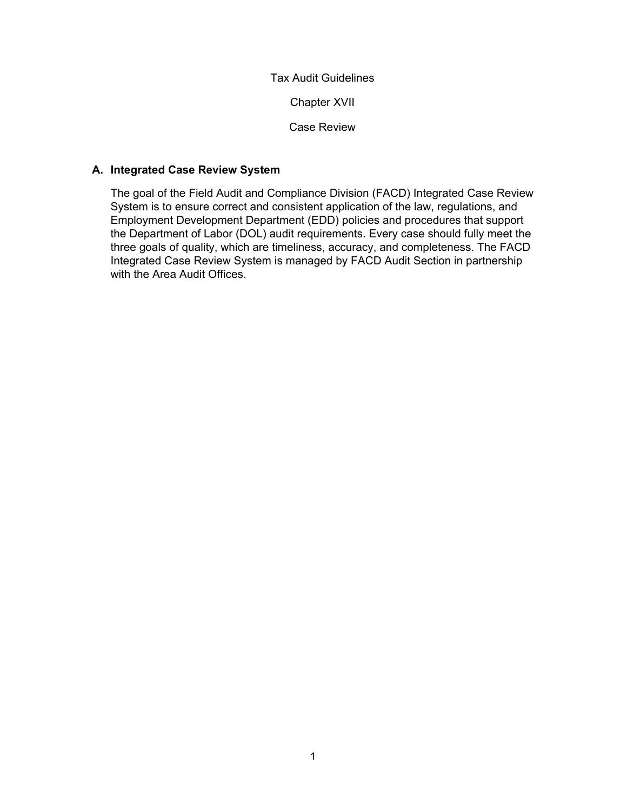Chapter XVII

Case Review

## **A. Integrated Case Review System**

The goal of the Field Audit and Compliance Division (FACD) Integrated Case Review System is to ensure correct and consistent application of the law, regulations, and Employment Development Department (EDD) policies and procedures that support the Department of Labor (DOL) audit requirements. Every case should fully meet the three goals of quality, which are timeliness, accuracy, and completeness. The FACD Integrated Case Review System is managed by FACD Audit Section in partnership with the Area Audit Offices.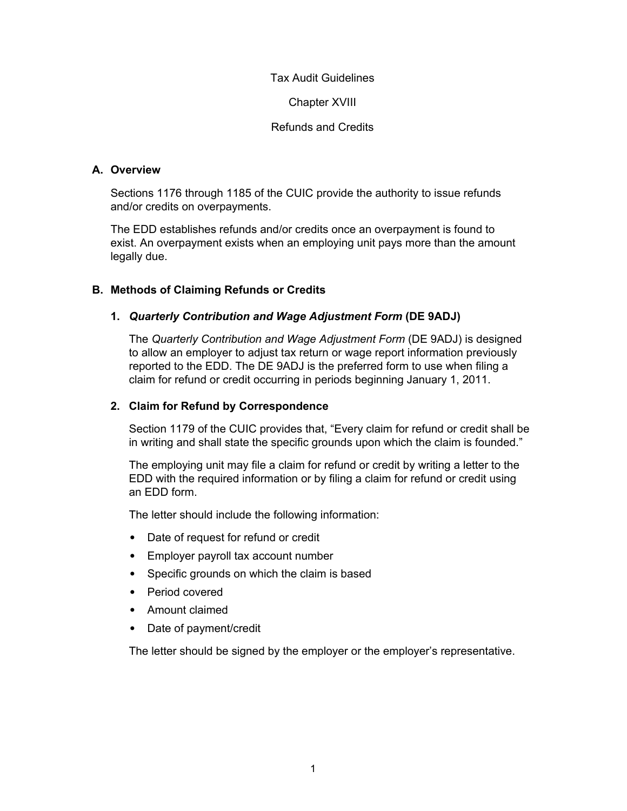Chapter XVIII

Refunds and Credits

## **A. Overview**

Sections 1176 through 1185 of the CUIC provide the authority to issue refunds and/or credits on overpayments.

The EDD establishes refunds and/or credits once an overpayment is found to exist. An overpayment exists when an employing unit pays more than the amount legally due.

# **B. Methods of Claiming Refunds or Credits**

# **1.** *Quarterly Contribution and Wage Adjustment Form* **(DE 9ADJ)**

The *Quarterly Contribution and Wage Adjustment Form* (DE 9ADJ) is designed to allow an employer to adjust tax return or wage report information previously reported to the EDD. The DE 9ADJ is the preferred form to use when filing a claim for refund or credit occurring in periods beginning January 1, 2011.

### **2. Claim for Refund by Correspondence**

Section 1179 of the CUIC provides that, "Every claim for refund or credit shall be in writing and shall state the specific grounds upon which the claim is founded."

The employing unit may file a claim for refund or credit by writing a letter to the EDD with the required information or by filing a claim for refund or credit using an EDD form.

The letter should include the following information:

- Date of request for refund or credit
- Employer payroll tax account number
- Specific grounds on which the claim is based
- Period covered
- Amount claimed
- Date of payment/credit

The letter should be signed by the employer or the employer's representative.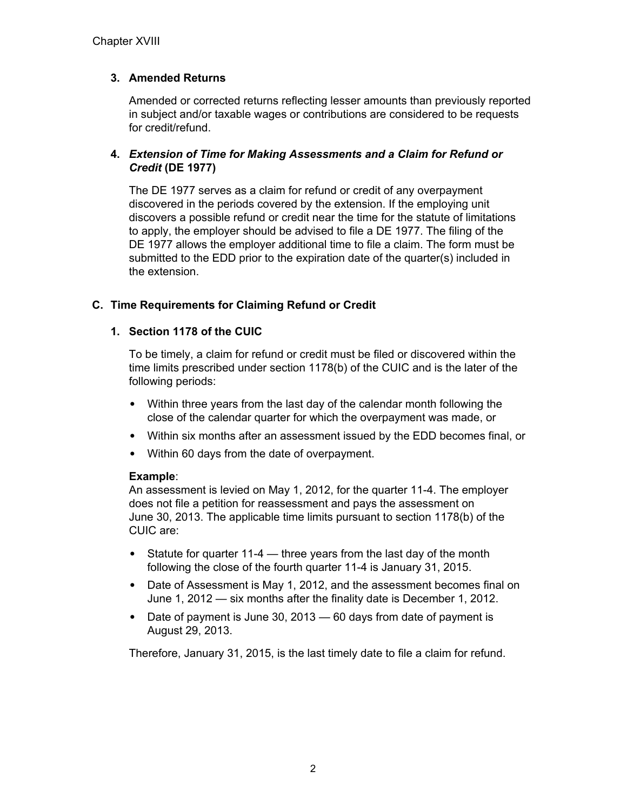# **3. Amended Returns**

Amended or corrected returns reflecting lesser amounts than previously reported in subject and/or taxable wages or contributions are considered to be requests for credit/refund.

## **4.** *Extension of Time for Making Assessments and a Claim for Refund or Credit* **(DE 1977)**

The DE 1977 serves as a claim for refund or credit of any overpayment discovered in the periods covered by the extension. If the employing unit discovers a possible refund or credit near the time for the statute of limitations to apply, the employer should be advised to file a DE 1977. The filing of the DE 1977 allows the employer additional time to file a claim. The form must be submitted to the EDD prior to the expiration date of the quarter(s) included in the extension.

### **C. Time Requirements for Claiming Refund or Credit**

### **1. Section 1178 of the CUIC**

To be timely, a claim for refund or credit must be filed or discovered within the time limits prescribed under section 1178(b) of the CUIC and is the later of the following periods:

- Within three years from the last day of the calendar month following the close of the calendar quarter for which the overpayment was made, or
- Within six months after an assessment issued by the EDD becomes final, or
- Within 60 days from the date of overpayment.

### **Example**:

An assessment is levied on May 1, 2012, for the quarter 11-4. The employer does not file a petition for reassessment and pays the assessment on June 30, 2013. The applicable time limits pursuant to section 1178(b) of the CUIC are:

- Statute for quarter 11-4 three years from the last day of the month following the close of the fourth quarter 11-4 is January 31, 2015.
- Date of Assessment is May 1, 2012, and the assessment becomes final on June 1, 2012 — six months after the finality date is December 1, 2012.
- Date of payment is June 30, 2013 60 days from date of payment is August 29, 2013.

Therefore, January 31, 2015, is the last timely date to file a claim for refund.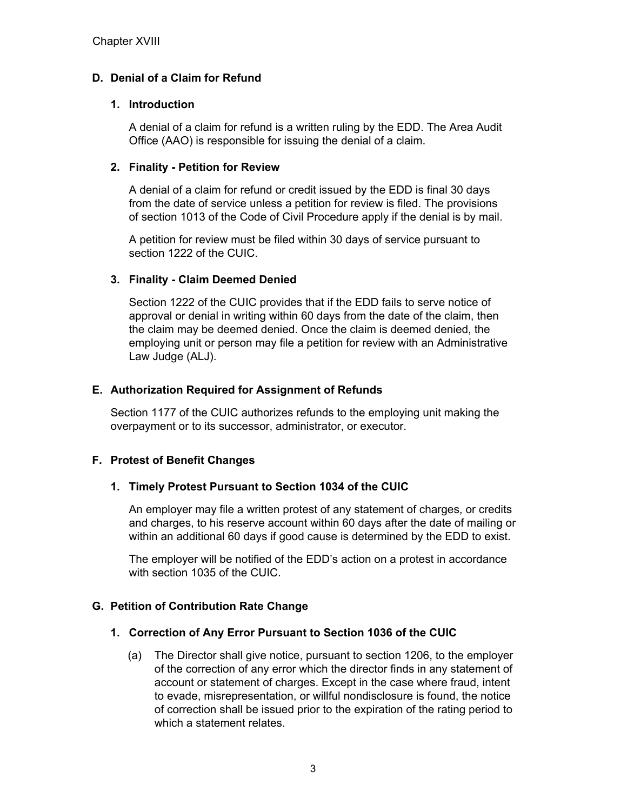# **D. Denial of a Claim for Refund**

#### **1. Introduction**

A denial of a claim for refund is a written ruling by the EDD. The Area Audit Office (AAO) is responsible for issuing the denial of a claim.

#### **2. Finality - Petition for Review**

A denial of a claim for refund or credit issued by the EDD is final 30 days from the date of service unless a petition for review is filed. The provisions of section 1013 of the Code of Civil Procedure apply if the denial is by mail.

A petition for review must be filed within 30 days of service pursuant to section 1222 of the CUIC.

### **3. Finality - Claim Deemed Denied**

Section 1222 of the CUIC provides that if the EDD fails to serve notice of approval or denial in writing within 60 days from the date of the claim, then the claim may be deemed denied. Once the claim is deemed denied, the employing unit or person may file a petition for review with an Administrative Law Judge (ALJ).

#### **E. Authorization Required for Assignment of Refunds**

Section 1177 of the CUIC authorizes refunds to the employing unit making the overpayment or to its successor, administrator, or executor.

### **F. Protest of Benefit Changes**

#### **1. Timely Protest Pursuant to Section 1034 of the CUIC**

An employer may file a written protest of any statement of charges, or credits and charges, to his reserve account within 60 days after the date of mailing or within an additional 60 days if good cause is determined by the EDD to exist.

The employer will be notified of the EDD's action on a protest in accordance with section 1035 of the CUIC.

### **G. Petition of Contribution Rate Change**

#### **1. Correction of Any Error Pursuant to Section 1036 of the CUIC**

(a) The Director shall give notice, pursuant to section 1206, to the employer of the correction of any error which the director finds in any statement of account or statement of charges. Except in the case where fraud, intent to evade, misrepresentation, or willful nondisclosure is found, the notice of correction shall be issued prior to the expiration of the rating period to which a statement relates.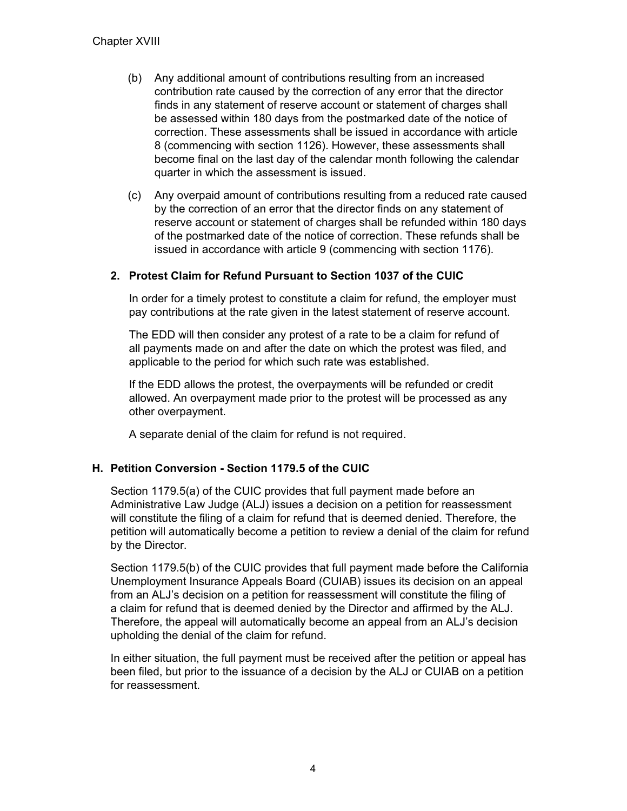- (b) Any additional amount of contributions resulting from an increased contribution rate caused by the correction of any error that the director finds in any statement of reserve account or statement of charges shall be assessed within 180 days from the postmarked date of the notice of correction. These assessments shall be issued in accordance with article 8 (commencing with section 1126). However, these assessments shall become final on the last day of the calendar month following the calendar quarter in which the assessment is issued.
- (c) Any overpaid amount of contributions resulting from a reduced rate caused by the correction of an error that the director finds on any statement of reserve account or statement of charges shall be refunded within 180 days of the postmarked date of the notice of correction. These refunds shall be issued in accordance with article 9 (commencing with section 1176).

### **2. Protest Claim for Refund Pursuant to Section 1037 of the CUIC**

In order for a timely protest to constitute a claim for refund, the employer must pay contributions at the rate given in the latest statement of reserve account.

The EDD will then consider any protest of a rate to be a claim for refund of all payments made on and after the date on which the protest was filed, and applicable to the period for which such rate was established.

If the EDD allows the protest, the overpayments will be refunded or credit allowed. An overpayment made prior to the protest will be processed as any other overpayment.

A separate denial of the claim for refund is not required.

#### **H. Petition Conversion - Section 1179.5 of the CUIC**

Section 1179.5(a) of the CUIC provides that full payment made before an Administrative Law Judge (ALJ) issues a decision on a petition for reassessment will constitute the filing of a claim for refund that is deemed denied. Therefore, the petition will automatically become a petition to review a denial of the claim for refund by the Director.

Section 1179.5(b) of the CUIC provides that full payment made before the California Unemployment Insurance Appeals Board (CUIAB) issues its decision on an appeal from an ALJ's decision on a petition for reassessment will constitute the filing of a claim for refund that is deemed denied by the Director and affirmed by the ALJ. Therefore, the appeal will automatically become an appeal from an ALJ's decision upholding the denial of the claim for refund.

In either situation, the full payment must be received after the petition or appeal has been filed, but prior to the issuance of a decision by the ALJ or CUIAB on a petition for reassessment.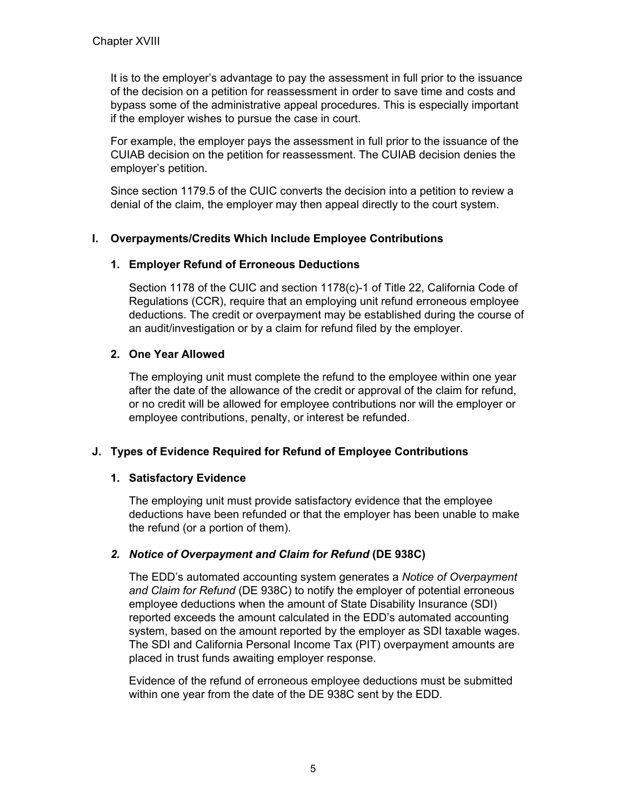It is to the employer's advantage to pay the assessment in full prior to the issuance of the decision on a petition for reassessment in order to save time and costs and bypass some of the administrative appeal procedures. This is especially important if the employer wishes to pursue the case in court.

For example, the employer pays the assessment in full prior to the issuance of the CUIAB decision on the petition for reassessment. The CUIAB decision denies the employer's petition.

Since section 1179.5 of the CUIC converts the decision into a petition to review a denial of the claim, the employer may then appeal directly to the court system.

### **I. Overpayments/Credits Which Include Employee Contributions**

### **1. Employer Refund of Erroneous Deductions**

Section 1178 of the CUIC and section 1178(c)-1 of Title 22, California Code of Regulations (CCR), require that an employing unit refund erroneous employee deductions. The credit or overpayment may be established during the course of an audit/investigation or by a claim for refund filed by the employer.

### **2. One Year Allowed**

The employing unit must complete the refund to the employee within one year after the date of the allowance of the credit or approval of the claim for refund, or no credit will be allowed for employee contributions nor will the employer or employee contributions, penalty, or interest be refunded.

### **J. Types of Evidence Required for Refund of Employee Contributions**

### **1. Satisfactory Evidence**

The employing unit must provide satisfactory evidence that the employee deductions have been refunded or that the employer has been unable to make the refund (or a portion of them).

### *2. Notice of Overpayment and Claim for Refund* **(DE 938C)**

The EDD's automated accounting system generates a *Notice of Overpayment and Claim for Refund* (DE 938C) to notify the employer of potential erroneous employee deductions when the amount of State Disability Insurance (SDI) reported exceeds the amount calculated in the EDD's automated accounting system, based on the amount reported by the employer as SDI taxable wages. The SDI and California Personal Income Tax (PIT) overpayment amounts are placed in trust funds awaiting employer response.

Evidence of the refund of erroneous employee deductions must be submitted within one year from the date of the DE 938C sent by the EDD.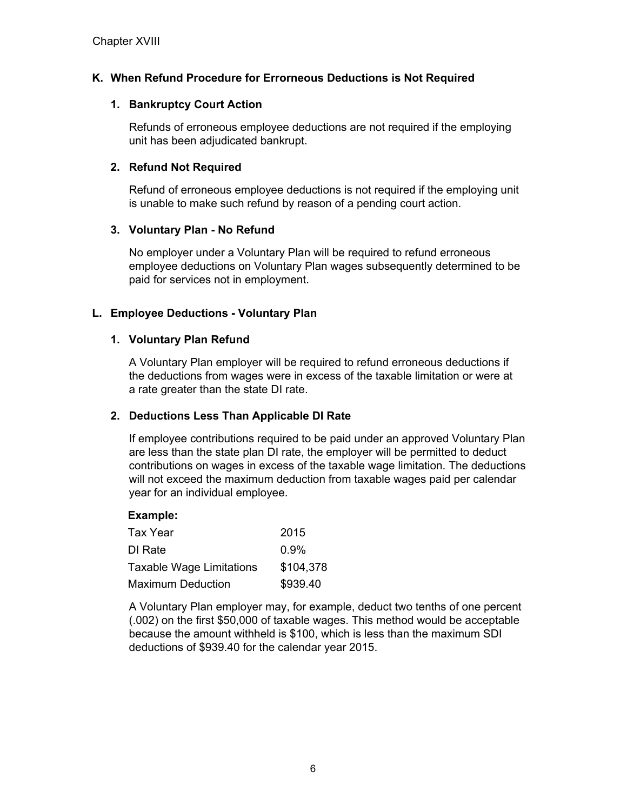# **K. When Refund Procedure for Errorneous Deductions is Not Required**

#### **1. Bankruptcy Court Action**

Refunds of erroneous employee deductions are not required if the employing unit has been adjudicated bankrupt.

#### **2. Refund Not Required**

Refund of erroneous employee deductions is not required if the employing unit is unable to make such refund by reason of a pending court action.

#### **3. Voluntary Plan - No Refund**

No employer under a Voluntary Plan will be required to refund erroneous employee deductions on Voluntary Plan wages subsequently determined to be paid for services not in employment.

### **L. Employee Deductions - Voluntary Plan**

#### **1. Voluntary Plan Refund**

A Voluntary Plan employer will be required to refund erroneous deductions if the deductions from wages were in excess of the taxable limitation or were at a rate greater than the state DI rate.

### **2. Deductions Less Than Applicable DI Rate**

If employee contributions required to be paid under an approved Voluntary Plan are less than the state plan DI rate, the employer will be permitted to deduct contributions on wages in excess of the taxable wage limitation. The deductions will not exceed the maximum deduction from taxable wages paid per calendar year for an individual employee.

#### **Example:**

| Tax Year                        | 2015      |
|---------------------------------|-----------|
| DI Rate                         | $0.9\%$   |
| <b>Taxable Wage Limitations</b> | \$104,378 |
| <b>Maximum Deduction</b>        | \$939.40  |

A Voluntary Plan employer may, for example, deduct two tenths of one percent (.002) on the first \$50,000 of taxable wages. This method would be acceptable because the amount withheld is \$100, which is less than the maximum SDI deductions of \$939.40 for the calendar year 2015.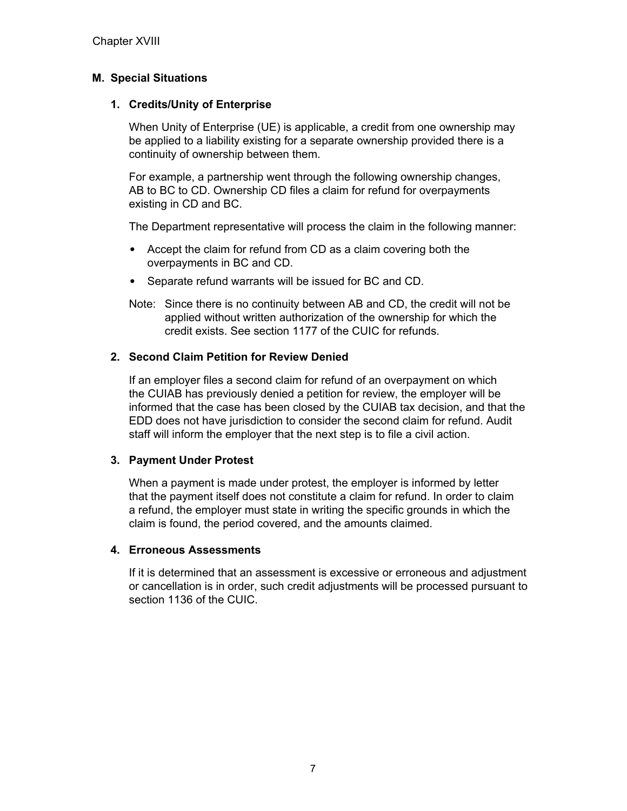### **M. Special Situations**

### **1. Credits/Unity of Enterprise**

When Unity of Enterprise (UE) is applicable, a credit from one ownership may be applied to a liability existing for a separate ownership provided there is a continuity of ownership between them.

For example, a partnership went through the following ownership changes, AB to BC to CD. Ownership CD files a claim for refund for overpayments existing in CD and BC.

The Department representative will process the claim in the following manner:

- Accept the claim for refund from CD as a claim covering both the overpayments in BC and CD.
- Separate refund warrants will be issued for BC and CD.
- Note: Since there is no continuity between AB and CD, the credit will not be applied without written authorization of the ownership for which the credit exists. See section 1177 of the CUIC for refunds.

### **2. Second Claim Petition for Review Denied**

If an employer files a second claim for refund of an overpayment on which the CUIAB has previously denied a petition for review, the employer will be informed that the case has been closed by the CUIAB tax decision, and that the EDD does not have jurisdiction to consider the second claim for refund. Audit staff will inform the employer that the next step is to file a civil action.

### **3. Payment Under Protest**

When a payment is made under protest, the employer is informed by letter that the payment itself does not constitute a claim for refund. In order to claim a refund, the employer must state in writing the specific grounds in which the claim is found, the period covered, and the amounts claimed.

#### **4. Erroneous Assessments**

If it is determined that an assessment is excessive or erroneous and adjustment or cancellation is in order, such credit adjustments will be processed pursuant to section 1136 of the CUIC.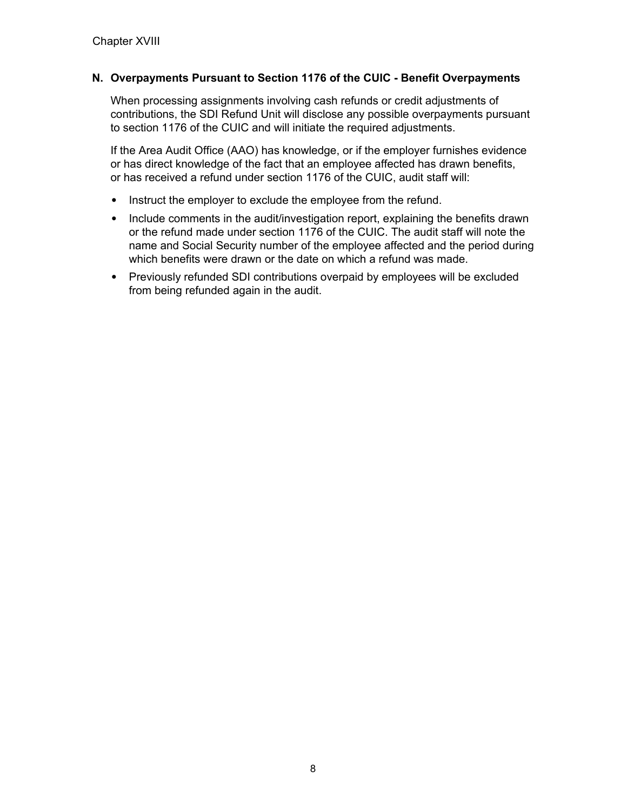# **N. Overpayments Pursuant to Section 1176 of the CUIC - Benefit Overpayments**

When processing assignments involving cash refunds or credit adjustments of contributions, the SDI Refund Unit will disclose any possible overpayments pursuant to section 1176 of the CUIC and will initiate the required adjustments.

If the Area Audit Office (AAO) has knowledge, or if the employer furnishes evidence or has direct knowledge of the fact that an employee affected has drawn benefits, or has received a refund under section 1176 of the CUIC, audit staff will:

- Instruct the employer to exclude the employee from the refund.
- Include comments in the audit/investigation report, explaining the benefits drawn or the refund made under section 1176 of the CUIC. The audit staff will note the name and Social Security number of the employee affected and the period during which benefits were drawn or the date on which a refund was made.
- Previously refunded SDI contributions overpaid by employees will be excluded from being refunded again in the audit.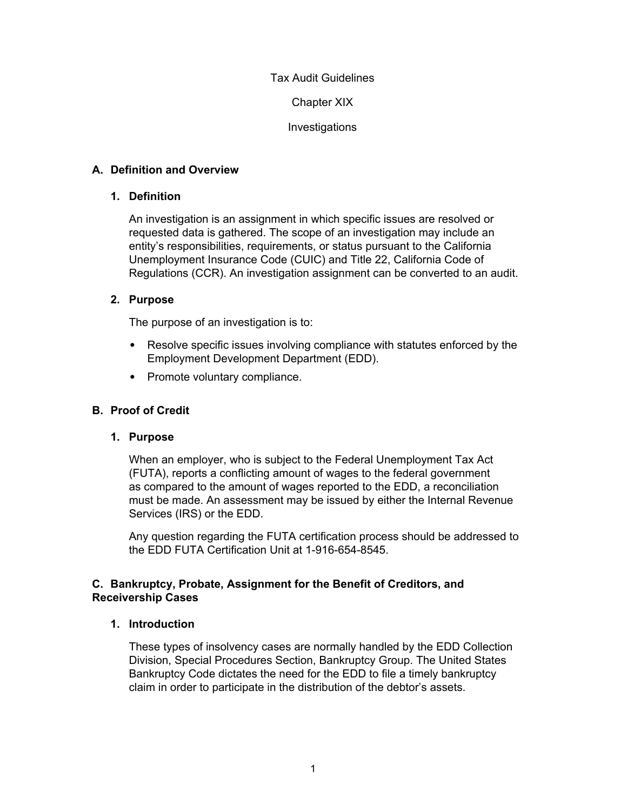Chapter XIX

Investigations

## **A. Definition and Overview**

### **1. Definition**

An investigation is an assignment in which specific issues are resolved or requested data is gathered. The scope of an investigation may include an entity's responsibilities, requirements, or status pursuant to the California Unemployment Insurance Code (CUIC) and Title 22, California Code of Regulations (CCR). An investigation assignment can be converted to an audit.

# **2. Purpose**

The purpose of an investigation is to:

- Resolve specific issues involving compliance with statutes enforced by the Employment Development Department (EDD).
- Promote voluntary compliance.

# **B. Proof of Credit**

### **1. Purpose**

When an employer, who is subject to the Federal Unemployment Tax Act (FUTA), reports a conflicting amount of wages to the federal government as compared to the amount of wages reported to the EDD, a reconciliation must be made. An assessment may be issued by either the Internal Revenue Services (IRS) or the EDD.

Any question regarding the FUTA certification process should be addressed to the EDD FUTA Certification Unit at 1-916-654-8545.

# **C. Bankruptcy, Probate, Assignment for the Benefit of Creditors, and Receivership Cases**

### **1. Introduction**

These types of insolvency cases are normally handled by the EDD Collection Division, Special Procedures Section, Bankruptcy Group. The United States Bankruptcy Code dictates the need for the EDD to file a timely bankruptcy claim in order to participate in the distribution of the debtor's assets.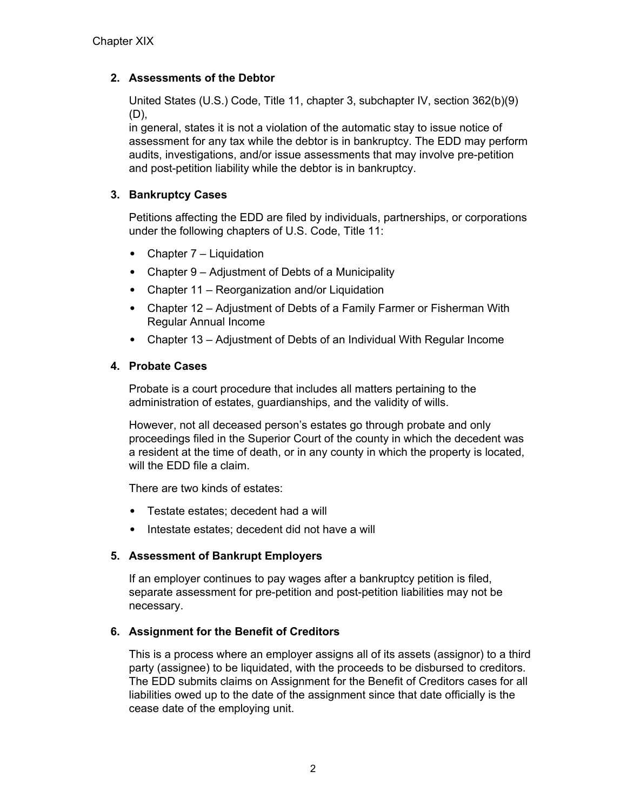# **2. Assessments of the Debtor**

United States (U.S.) Code, Title 11, chapter 3, subchapter IV, section 362(b)(9) (D),

in general, states it is not a violation of the automatic stay to issue notice of assessment for any tax while the debtor is in bankruptcy. The EDD may perform audits, investigations, and/or issue assessments that may involve pre-petition and post-petition liability while the debtor is in bankruptcy.

# **3. Bankruptcy Cases**

Petitions affecting the EDD are filed by individuals, partnerships, or corporations under the following chapters of U.S. Code, Title 11:

- Chapter 7 Liquidation
- Chapter 9 Adjustment of Debts of a Municipality
- Chapter 11 Reorganization and/or Liquidation
- Chapter 12 Adjustment of Debts of a Family Farmer or Fisherman With Regular Annual Income
- Chapter 13 Adjustment of Debts of an Individual With Regular Income

# **4. Probate Cases**

Probate is a court procedure that includes all matters pertaining to the administration of estates, guardianships, and the validity of wills.

However, not all deceased person's estates go through probate and only proceedings filed in the Superior Court of the county in which the decedent was a resident at the time of death, or in any county in which the property is located, will the EDD file a claim.

There are two kinds of estates:

- Testate estates; decedent had a will
- Intestate estates; decedent did not have a will

### **5. Assessment of Bankrupt Employers**

If an employer continues to pay wages after a bankruptcy petition is filed, separate assessment for pre-petition and post-petition liabilities may not be necessary.

### **6. Assignment for the Benefit of Creditors**

This is a process where an employer assigns all of its assets (assignor) to a third party (assignee) to be liquidated, with the proceeds to be disbursed to creditors. The EDD submits claims on Assignment for the Benefit of Creditors cases for all liabilities owed up to the date of the assignment since that date officially is the cease date of the employing unit.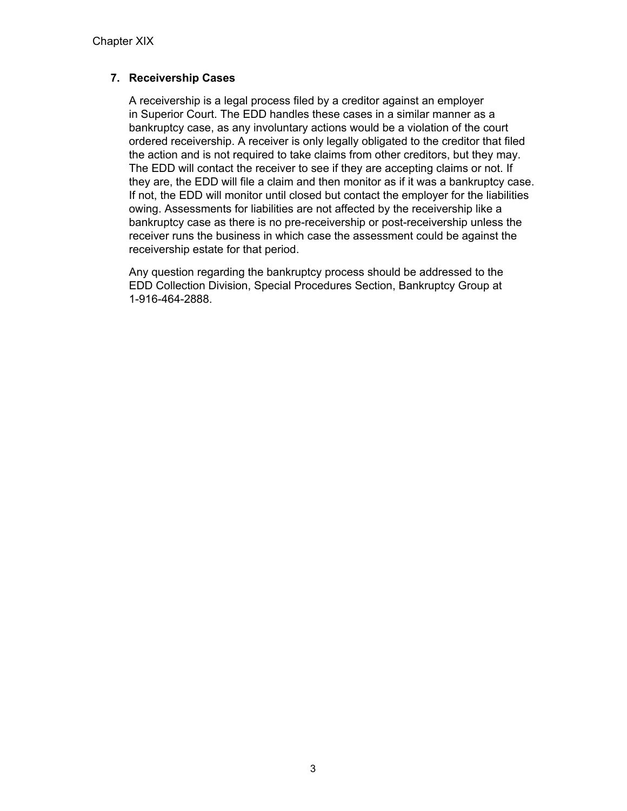# **7. Receivership Cases**

A receivership is a legal process filed by a creditor against an employer in Superior Court. The EDD handles these cases in a similar manner as a bankruptcy case, as any involuntary actions would be a violation of the court ordered receivership. A receiver is only legally obligated to the creditor that filed the action and is not required to take claims from other creditors, but they may. The EDD will contact the receiver to see if they are accepting claims or not. If they are, the EDD will file a claim and then monitor as if it was a bankruptcy case. If not, the EDD will monitor until closed but contact the employer for the liabilities owing. Assessments for liabilities are not affected by the receivership like a bankruptcy case as there is no pre-receivership or post-receivership unless the receiver runs the business in which case the assessment could be against the receivership estate for that period.

Any question regarding the bankruptcy process should be addressed to the EDD Collection Division, Special Procedures Section, Bankruptcy Group at 1-916-464-2888.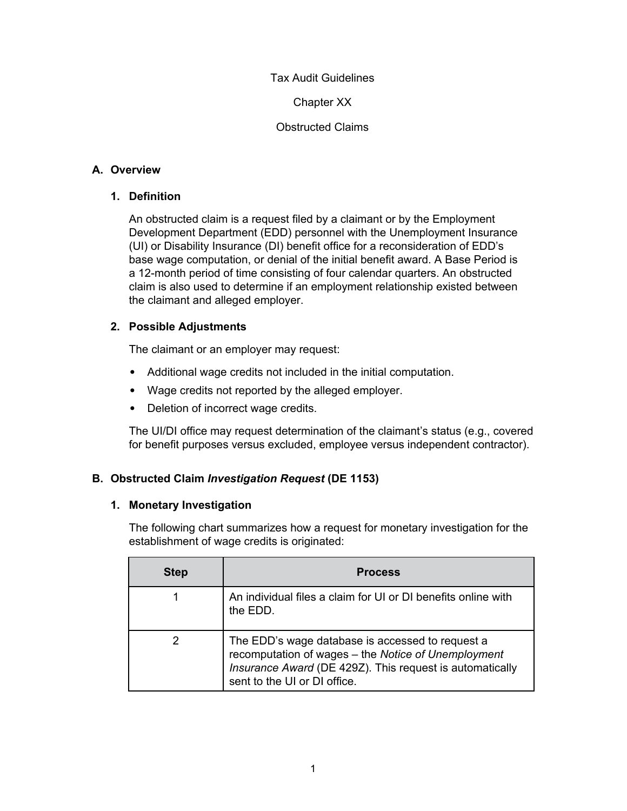Chapter XX

Obstructed Claims

# **A. Overview**

# **1. Definition**

An obstructed claim is a request filed by a claimant or by the Employment Development Department (EDD) personnel with the Unemployment Insurance (UI) or Disability Insurance (DI) benefit office for a reconsideration of EDD's base wage computation, or denial of the initial benefit award. A Base Period is a 12-month period of time consisting of four calendar quarters. An obstructed claim is also used to determine if an employment relationship existed between the claimant and alleged employer.

# **2. Possible Adjustments**

The claimant or an employer may request:

- Additional wage credits not included in the initial computation.
- Wage credits not reported by the alleged employer.
- Deletion of incorrect wage credits.

The UI/DI office may request determination of the claimant's status (e.g., covered for benefit purposes versus excluded, employee versus independent contractor).

# **B. Obstructed Claim** *Investigation Request* **(DE 1153)**

### **1. Monetary Investigation**

The following chart summarizes how a request for monetary investigation for the establishment of wage credits is originated:

| <b>Step</b> | <b>Process</b>                                                                                                                                                                                      |
|-------------|-----------------------------------------------------------------------------------------------------------------------------------------------------------------------------------------------------|
|             | An individual files a claim for UI or DI benefits online with<br>the EDD.                                                                                                                           |
|             | The EDD's wage database is accessed to request a<br>recomputation of wages - the Notice of Unemployment<br>Insurance Award (DE 429Z). This request is automatically<br>sent to the UI or DI office. |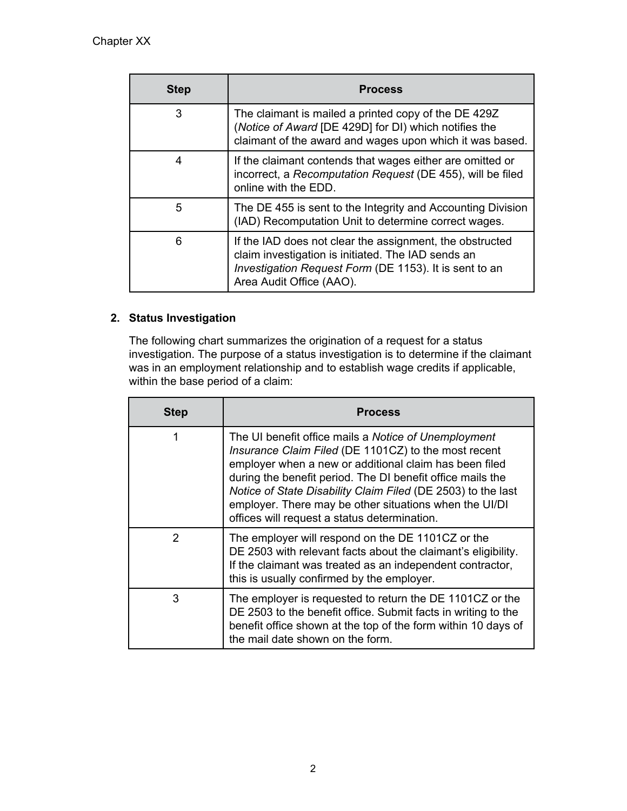| <b>Step</b> | <b>Process</b>                                                                                                                                                                                       |  |  |
|-------------|------------------------------------------------------------------------------------------------------------------------------------------------------------------------------------------------------|--|--|
| 3           | The claimant is mailed a printed copy of the DE 429Z<br>(Notice of Award [DE 429D] for DI) which notifies the<br>claimant of the award and wages upon which it was based.                            |  |  |
| 4           | If the claimant contends that wages either are omitted or<br>incorrect, a Recomputation Request (DE 455), will be filed<br>online with the EDD.                                                      |  |  |
| 5           | The DE 455 is sent to the Integrity and Accounting Division<br>(IAD) Recomputation Unit to determine correct wages.                                                                                  |  |  |
| 6           | If the IAD does not clear the assignment, the obstructed<br>claim investigation is initiated. The IAD sends an<br>Investigation Request Form (DE 1153). It is sent to an<br>Area Audit Office (AAO). |  |  |

# **2. Status Investigation**

The following chart summarizes the origination of a request for a status investigation. The purpose of a status investigation is to determine if the claimant was in an employment relationship and to establish wage credits if applicable, within the base period of a claim:

| <b>Step</b> | <b>Process</b>                                                                                                                                                                                                                                                                                                                                                                                                 |
|-------------|----------------------------------------------------------------------------------------------------------------------------------------------------------------------------------------------------------------------------------------------------------------------------------------------------------------------------------------------------------------------------------------------------------------|
| 1           | The UI benefit office mails a Notice of Unemployment<br>Insurance Claim Filed (DE 1101CZ) to the most recent<br>employer when a new or additional claim has been filed<br>during the benefit period. The DI benefit office mails the<br>Notice of State Disability Claim Filed (DE 2503) to the last<br>employer. There may be other situations when the UI/DI<br>offices will request a status determination. |
| 2           | The employer will respond on the DE 1101CZ or the<br>DE 2503 with relevant facts about the claimant's eligibility.<br>If the claimant was treated as an independent contractor,<br>this is usually confirmed by the employer.                                                                                                                                                                                  |
| 3           | The employer is requested to return the DE 1101CZ or the<br>DE 2503 to the benefit office. Submit facts in writing to the<br>benefit office shown at the top of the form within 10 days of<br>the mail date shown on the form.                                                                                                                                                                                 |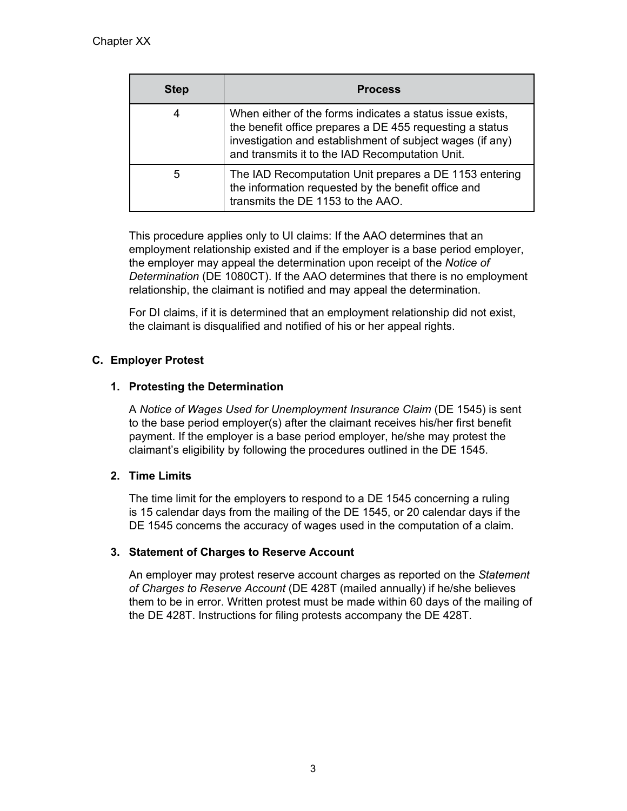| <b>Step</b> | <b>Process</b>                                                                                                                                                                                                                        |  |  |
|-------------|---------------------------------------------------------------------------------------------------------------------------------------------------------------------------------------------------------------------------------------|--|--|
| 4           | When either of the forms indicates a status issue exists,<br>the benefit office prepares a DE 455 requesting a status<br>investigation and establishment of subject wages (if any)<br>and transmits it to the IAD Recomputation Unit. |  |  |
| 5           | The IAD Recomputation Unit prepares a DE 1153 entering<br>the information requested by the benefit office and<br>transmits the DE 1153 to the AAO.                                                                                    |  |  |

This procedure applies only to UI claims: If the AAO determines that an employment relationship existed and if the employer is a base period employer, the employer may appeal the determination upon receipt of the *Notice of Determination* (DE 1080CT). If the AAO determines that there is no employment relationship, the claimant is notified and may appeal the determination.

For DI claims, if it is determined that an employment relationship did not exist, the claimant is disqualified and notified of his or her appeal rights.

# **C. Employer Protest**

# **1. Protesting the Determination**

A *Notice of Wages Used for Unemployment Insurance Claim* (DE 1545) is sent to the base period employer(s) after the claimant receives his/her first benefit payment. If the employer is a base period employer, he/she may protest the claimant's eligibility by following the procedures outlined in the DE 1545.

# **2. Time Limits**

The time limit for the employers to respond to a DE 1545 concerning a ruling is 15 calendar days from the mailing of the DE 1545, or 20 calendar days if the DE 1545 concerns the accuracy of wages used in the computation of a claim.

### **3. Statement of Charges to Reserve Account**

An employer may protest reserve account charges as reported on the *Statement of Charges to Reserve Account* (DE 428T (mailed annually) if he/she believes them to be in error. Written protest must be made within 60 days of the mailing of the DE 428T. Instructions for filing protests accompany the DE 428T.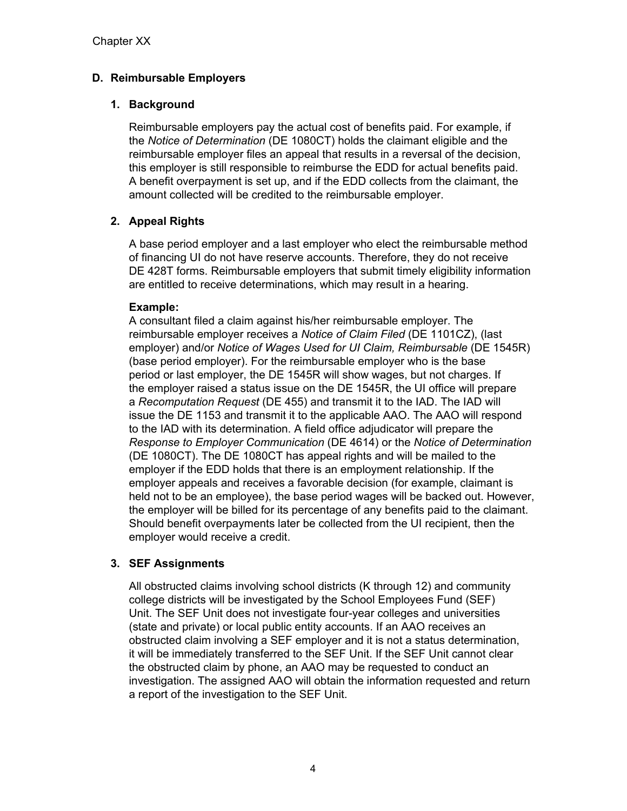# **D. Reimbursable Employers**

# **1. Background**

Reimbursable employers pay the actual cost of benefits paid. For example, if the *Notice of Determination* (DE 1080CT) holds the claimant eligible and the reimbursable employer files an appeal that results in a reversal of the decision, this employer is still responsible to reimburse the EDD for actual benefits paid. A benefit overpayment is set up, and if the EDD collects from the claimant, the amount collected will be credited to the reimbursable employer.

# **2. Appeal Rights**

A base period employer and a last employer who elect the reimbursable method of financing UI do not have reserve accounts. Therefore, they do not receive DE 428T forms. Reimbursable employers that submit timely eligibility information are entitled to receive determinations, which may result in a hearing.

# **Example:**

A consultant filed a claim against his/her reimbursable employer. The reimbursable employer receives a *Notice of Claim Filed* (DE 1101CZ), (last employer) and/or *Notice of Wages Used for UI Claim, Reimbursable* (DE 1545R) (base period employer). For the reimbursable employer who is the base period or last employer, the DE 1545R will show wages, but not charges. If the employer raised a status issue on the DE 1545R, the UI office will prepare a *Recomputation Request* (DE 455) and transmit it to the IAD. The IAD will issue the DE 1153 and transmit it to the applicable AAO. The AAO will respond to the IAD with its determination. A field office adjudicator will prepare the *Response to Employer Communication* (DE 4614) or the *Notice of Determination* (DE 1080CT). The DE 1080CT has appeal rights and will be mailed to the employer if the EDD holds that there is an employment relationship. If the employer appeals and receives a favorable decision (for example, claimant is held not to be an employee), the base period wages will be backed out. However, the employer will be billed for its percentage of any benefits paid to the claimant. Should benefit overpayments later be collected from the UI recipient, then the employer would receive a credit.

# **3. SEF Assignments**

All obstructed claims involving school districts (K through 12) and community college districts will be investigated by the School Employees Fund (SEF) Unit. The SEF Unit does not investigate four-year colleges and universities (state and private) or local public entity accounts. If an AAO receives an obstructed claim involving a SEF employer and it is not a status determination, it will be immediately transferred to the SEF Unit. If the SEF Unit cannot clear the obstructed claim by phone, an AAO may be requested to conduct an investigation. The assigned AAO will obtain the information requested and return a report of the investigation to the SEF Unit.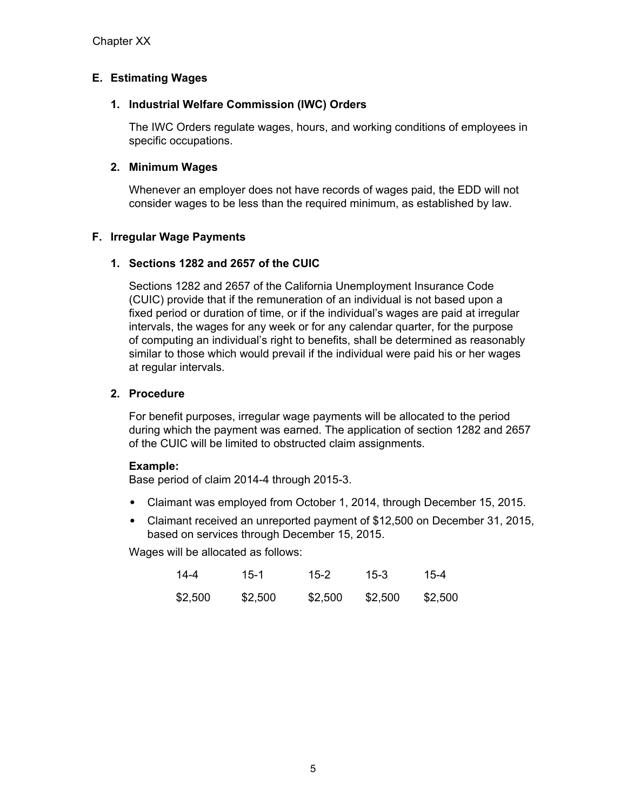# **E. Estimating Wages**

### **1. Industrial Welfare Commission (IWC) Orders**

The IWC Orders regulate wages, hours, and working conditions of employees in specific occupations.

#### **2. Minimum Wages**

Whenever an employer does not have records of wages paid, the EDD will not consider wages to be less than the required minimum, as established by law.

### **F. Irregular Wage Payments**

#### **1. Sections 1282 and 2657 of the CUIC**

Sections 1282 and 2657 of the California Unemployment Insurance Code (CUIC) provide that if the remuneration of an individual is not based upon a fixed period or duration of time, or if the individual's wages are paid at irregular intervals, the wages for any week or for any calendar quarter, for the purpose of computing an individual's right to benefits, shall be determined as reasonably similar to those which would prevail if the individual were paid his or her wages at regular intervals.

#### **2. Procedure**

For benefit purposes, irregular wage payments will be allocated to the period during which the payment was earned. The application of section 1282 and 2657 of the CUIC will be limited to obstructed claim assignments.

#### **Example:**

Base period of claim 2014-4 through 2015-3.

- Claimant was employed from October 1, 2014, through December 15, 2015.
- Claimant received an unreported payment of \$12,500 on December 31, 2015, based on services through December 15, 2015.

Wages will be allocated as follows:

| $14 - 4$ | $15-1$  | $15-2$  | $15-3$  | 15-4    |
|----------|---------|---------|---------|---------|
| \$2,500  | \$2,500 | \$2,500 | \$2,500 | \$2,500 |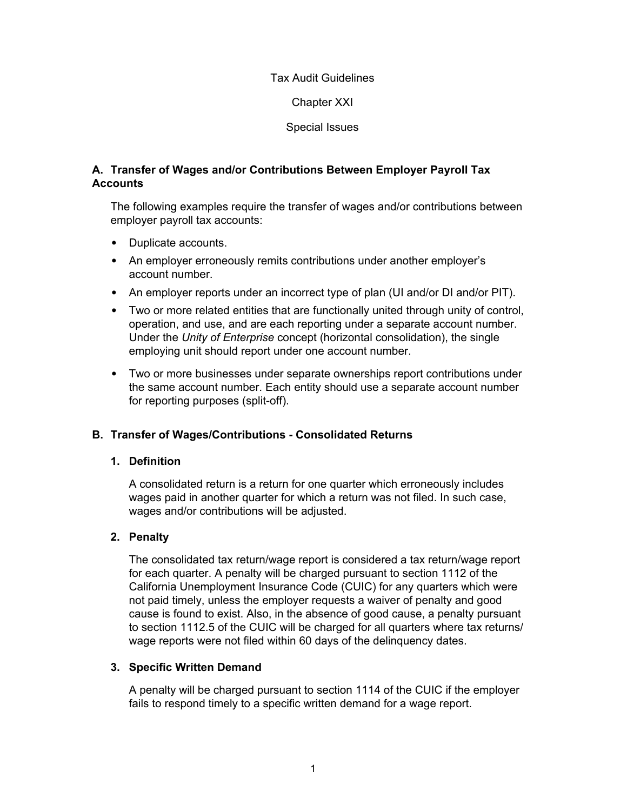Chapter XXI

Special Issues

# **A. Transfer of Wages and/or Contributions Between Employer Payroll Tax Accounts**

The following examples require the transfer of wages and/or contributions between employer payroll tax accounts:

- Duplicate accounts.
- An employer erroneously remits contributions under another employer's account number.
- An employer reports under an incorrect type of plan (UI and/or DI and/or PIT).
- Two or more related entities that are functionally united through unity of control, operation, and use, and are each reporting under a separate account number. Under the *Unity of Enterprise* concept (horizontal consolidation), the single employing unit should report under one account number.
- Two or more businesses under separate ownerships report contributions under the same account number. Each entity should use a separate account number for reporting purposes (split-off).

# **B. Transfer of Wages/Contributions - Consolidated Returns**

### **1. Definition**

A consolidated return is a return for one quarter which erroneously includes wages paid in another quarter for which a return was not filed. In such case, wages and/or contributions will be adjusted.

# **2. Penalty**

The consolidated tax return/wage report is considered a tax return/wage report for each quarter. A penalty will be charged pursuant to section 1112 of the California Unemployment Insurance Code (CUIC) for any quarters which were not paid timely, unless the employer requests a waiver of penalty and good cause is found to exist. Also, in the absence of good cause, a penalty pursuant to section 1112.5 of the CUIC will be charged for all quarters where tax returns/ wage reports were not filed within 60 days of the delinquency dates.

### **3. Specific Written Demand**

A penalty will be charged pursuant to section 1114 of the CUIC if the employer fails to respond timely to a specific written demand for a wage report.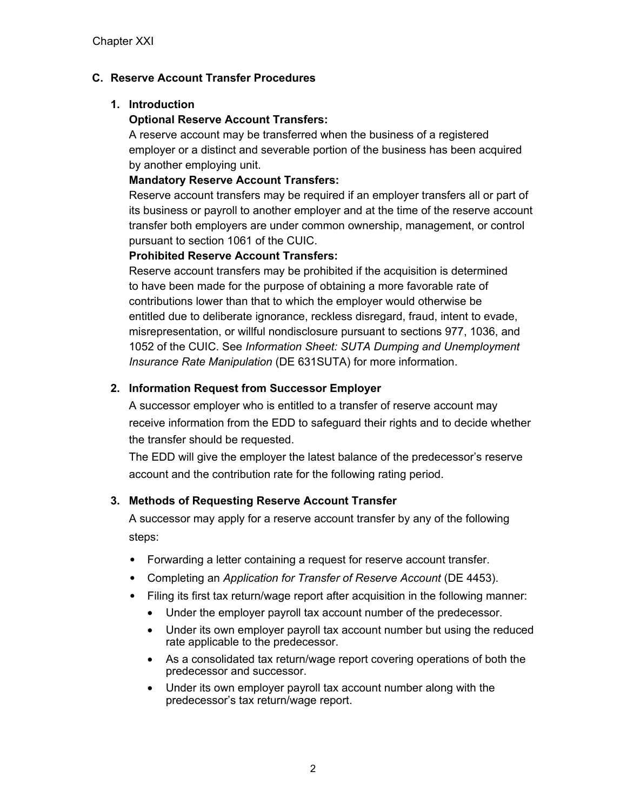# **C. Reserve Account Transfer Procedures**

# **1. Introduction**

# **Optional Reserve Account Transfers:**

A reserve account may be transferred when the business of a registered employer or a distinct and severable portion of the business has been acquired by another employing unit.

# **Mandatory Reserve Account Transfers:**

Reserve account transfers may be required if an employer transfers all or part of its business or payroll to another employer and at the time of the reserve account transfer both employers are under common ownership, management, or control pursuant to section 1061 of the CUIC.

# **Prohibited Reserve Account Transfers:**

Reserve account transfers may be prohibited if the acquisition is determined to have been made for the purpose of obtaining a more favorable rate of contributions lower than that to which the employer would otherwise be entitled due to deliberate ignorance, reckless disregard, fraud, intent to evade, misrepresentation, or willful nondisclosure pursuant to sections 977, 1036, and 1052 of the CUIC. See *Information Sheet: SUTA Dumping and Unemployment Insurance Rate Manipulation* (DE 631SUTA) for more information.

# **2. Information Request from Successor Employer**

A successor employer who is entitled to a transfer of reserve account may receive information from the EDD to safeguard their rights and to decide whether the transfer should be requested.

The EDD will give the employer the latest balance of the predecessor's reserve account and the contribution rate for the following rating period.

# **3. Methods of Requesting Reserve Account Transfer**

A successor may apply for a reserve account transfer by any of the following steps:

- Forwarding a letter containing a request for reserve account transfer.
- Completing an *Application for Transfer of Reserve Account* (DE 4453).
- Filing its first tax return/wage report after acquisition in the following manner:
	- Under the employer payroll tax account number of the predecessor.
	- Under its own employer payroll tax account number but using the reduced rate applicable to the predecessor.
	- As a consolidated tax return/wage report covering operations of both the predecessor and successor.
	- Under its own employer payroll tax account number along with the predecessor's tax return/wage report.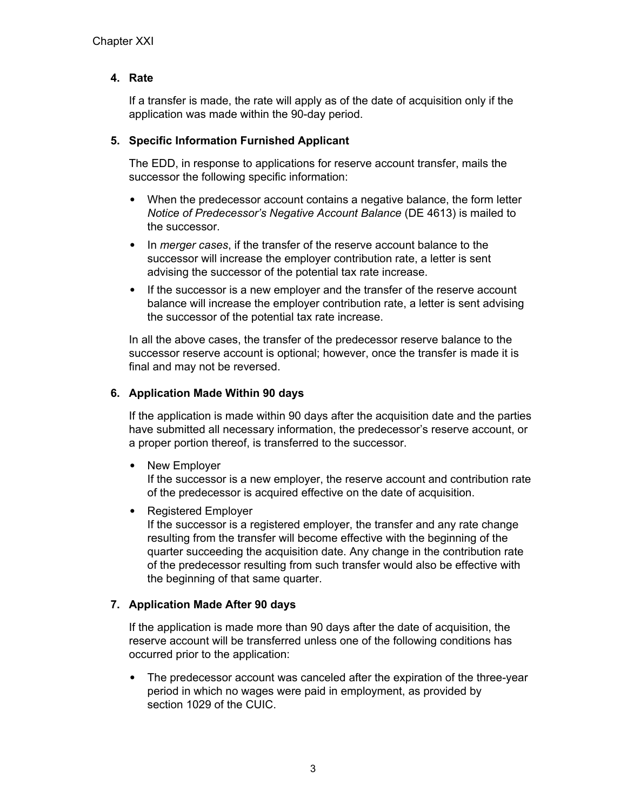# **4. Rate**

If a transfer is made, the rate will apply as of the date of acquisition only if the application was made within the 90-day period.

## **5. Specific Information Furnished Applicant**

The EDD, in response to applications for reserve account transfer, mails the successor the following specific information:

- When the predecessor account contains a negative balance, the form letter *Notice of Predecessor's Negative Account Balance* (DE 4613) is mailed to the successor.
- In *merger cases*, if the transfer of the reserve account balance to the successor will increase the employer contribution rate, a letter is sent advising the successor of the potential tax rate increase.
- If the successor is a new employer and the transfer of the reserve account balance will increase the employer contribution rate, a letter is sent advising the successor of the potential tax rate increase.

In all the above cases, the transfer of the predecessor reserve balance to the successor reserve account is optional; however, once the transfer is made it is final and may not be reversed.

# **6. Application Made Within 90 days**

If the application is made within 90 days after the acquisition date and the parties have submitted all necessary information, the predecessor's reserve account, or a proper portion thereof, is transferred to the successor.

• New Employer

If the successor is a new employer, the reserve account and contribution rate of the predecessor is acquired effective on the date of acquisition.

• Registered Employer

If the successor is a registered employer, the transfer and any rate change resulting from the transfer will become effective with the beginning of the quarter succeeding the acquisition date. Any change in the contribution rate of the predecessor resulting from such transfer would also be effective with the beginning of that same quarter.

# **7. Application Made After 90 days**

If the application is made more than 90 days after the date of acquisition, the reserve account will be transferred unless one of the following conditions has occurred prior to the application:

• The predecessor account was canceled after the expiration of the three-year period in which no wages were paid in employment, as provided by section 1029 of the CUIC.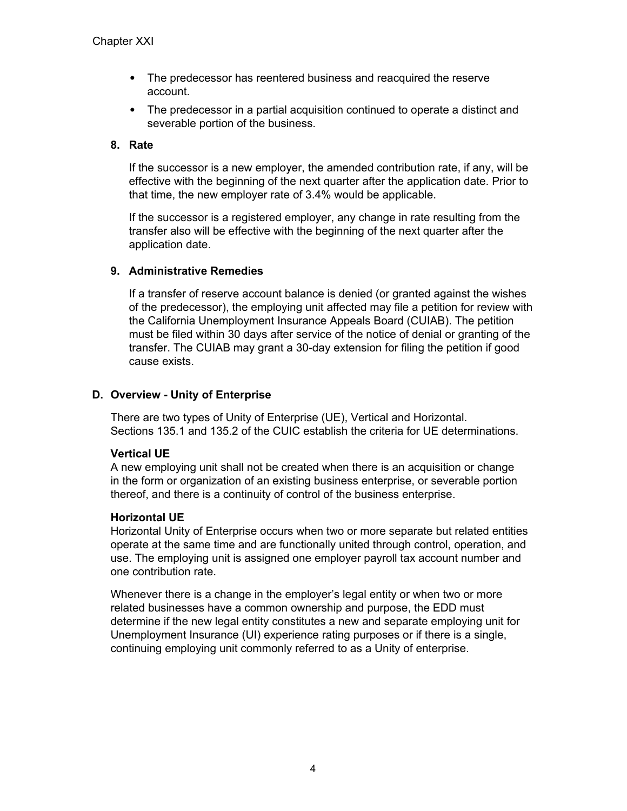- The predecessor has reentered business and reacquired the reserve account.
- The predecessor in a partial acquisition continued to operate a distinct and severable portion of the business.

#### **8. Rate**

If the successor is a new employer, the amended contribution rate, if any, will be effective with the beginning of the next quarter after the application date. Prior to that time, the new employer rate of 3.4% would be applicable.

If the successor is a registered employer, any change in rate resulting from the transfer also will be effective with the beginning of the next quarter after the application date.

#### **9. Administrative Remedies**

If a transfer of reserve account balance is denied (or granted against the wishes of the predecessor), the employing unit affected may file a petition for review with the California Unemployment Insurance Appeals Board (CUIAB). The petition must be filed within 30 days after service of the notice of denial or granting of the transfer. The CUIAB may grant a 30-day extension for filing the petition if good cause exists.

### **D. Overview - Unity of Enterprise**

There are two types of Unity of Enterprise (UE), Vertical and Horizontal. Sections 135.1 and 135.2 of the CUIC establish the criteria for UE determinations.

### **Vertical UE**

A new employing unit shall not be created when there is an acquisition or change in the form or organization of an existing business enterprise, or severable portion thereof, and there is a continuity of control of the business enterprise.

#### **Horizontal UE**

Horizontal Unity of Enterprise occurs when two or more separate but related entities operate at the same time and are functionally united through control, operation, and use. The employing unit is assigned one employer payroll tax account number and one contribution rate.

Whenever there is a change in the employer's legal entity or when two or more related businesses have a common ownership and purpose, the EDD must determine if the new legal entity constitutes a new and separate employing unit for Unemployment Insurance (UI) experience rating purposes or if there is a single, continuing employing unit commonly referred to as a Unity of enterprise.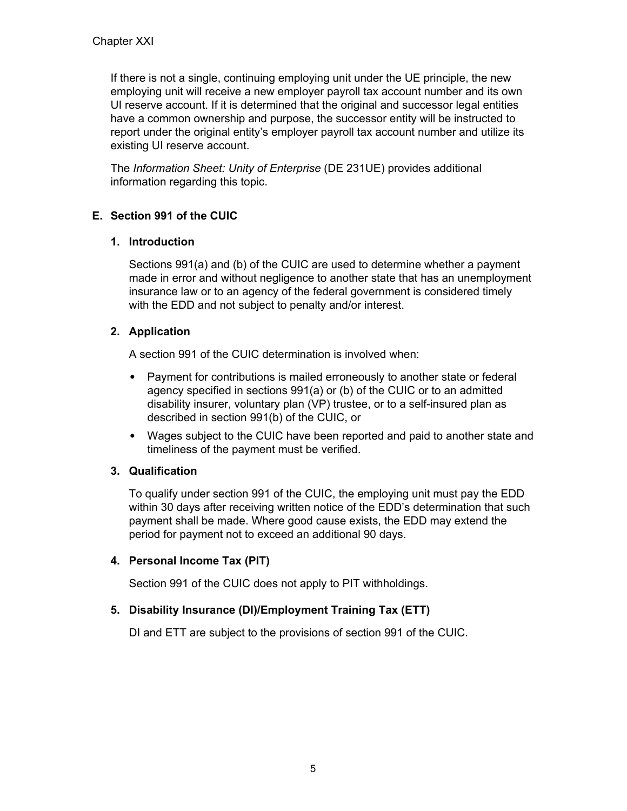If there is not a single, continuing employing unit under the UE principle, the new employing unit will receive a new employer payroll tax account number and its own UI reserve account. If it is determined that the original and successor legal entities have a common ownership and purpose, the successor entity will be instructed to report under the original entity's employer payroll tax account number and utilize its existing UI reserve account.

The *Information Sheet: Unity of Enterprise* (DE 231UE) provides additional information regarding this topic.

## **E. Section 991 of the CUIC**

### **1. Introduction**

Sections 991(a) and (b) of the CUIC are used to determine whether a payment made in error and without negligence to another state that has an unemployment insurance law or to an agency of the federal government is considered timely with the EDD and not subject to penalty and/or interest.

### **2. Application**

A section 991 of the CUIC determination is involved when:

- Payment for contributions is mailed erroneously to another state or federal agency specified in sections 991(a) or (b) of the CUIC or to an admitted disability insurer, voluntary plan (VP) trustee, or to a self-insured plan as described in section 991(b) of the CUIC, or
- Wages subject to the CUIC have been reported and paid to another state and timeliness of the payment must be verified.

## **3. Qualification**

To qualify under section 991 of the CUIC, the employing unit must pay the EDD within 30 days after receiving written notice of the EDD's determination that such payment shall be made. Where good cause exists, the EDD may extend the period for payment not to exceed an additional 90 days.

#### **4. Personal Income Tax (PIT)**

Section 991 of the CUIC does not apply to PIT withholdings.

#### **5. Disability Insurance (DI)/Employment Training Tax (ETT)**

DI and ETT are subject to the provisions of section 991 of the CUIC.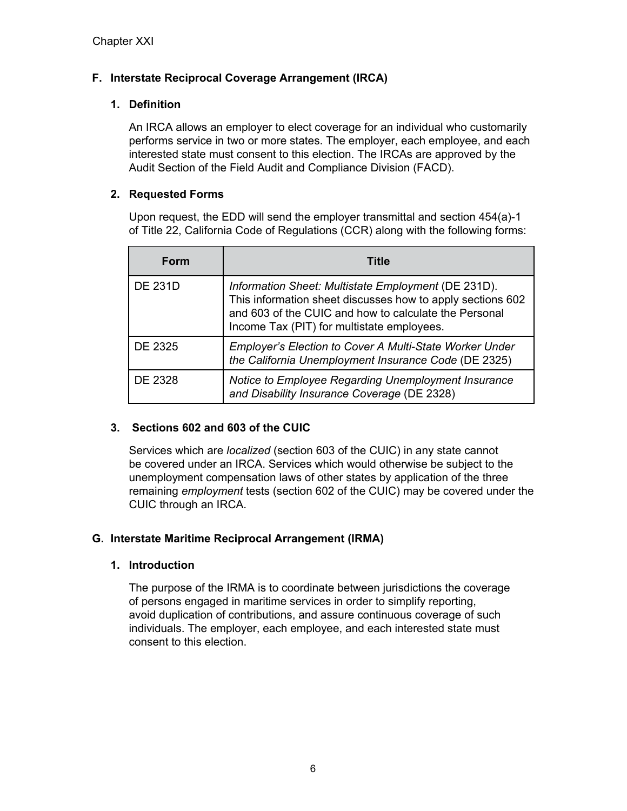## **F. Interstate Reciprocal Coverage Arrangement (IRCA)**

### **1. Definition**

An IRCA allows an employer to elect coverage for an individual who customarily performs service in two or more states. The employer, each employee, and each interested state must consent to this election. The IRCAs are approved by the Audit Section of the Field Audit and Compliance Division (FACD).

### **2. Requested Forms**

Upon request, the EDD will send the employer transmittal and section 454(a)-1 of Title 22, California Code of Regulations (CCR) along with the following forms:

| Form           | Title                                                                                                                                                                                                                    |
|----------------|--------------------------------------------------------------------------------------------------------------------------------------------------------------------------------------------------------------------------|
| <b>DE 231D</b> | Information Sheet: Multistate Employment (DE 231D).<br>This information sheet discusses how to apply sections 602<br>and 603 of the CUIC and how to calculate the Personal<br>Income Tax (PIT) for multistate employees. |
| DE 2325        | Employer's Election to Cover A Multi-State Worker Under<br>the California Unemployment Insurance Code (DE 2325)                                                                                                          |
| DE 2328        | Notice to Employee Regarding Unemployment Insurance<br>and Disability Insurance Coverage (DE 2328)                                                                                                                       |

## **3. Sections 602 and 603 of the CUIC**

Services which are *localized* (section 603 of the CUIC) in any state cannot be covered under an IRCA. Services which would otherwise be subject to the unemployment compensation laws of other states by application of the three remaining *employment* tests (section 602 of the CUIC) may be covered under the CUIC through an IRCA.

#### **G. Interstate Maritime Reciprocal Arrangement (IRMA)**

#### **1. Introduction**

The purpose of the IRMA is to coordinate between jurisdictions the coverage of persons engaged in maritime services in order to simplify reporting, avoid duplication of contributions, and assure continuous coverage of such individuals. The employer, each employee, and each interested state must consent to this election.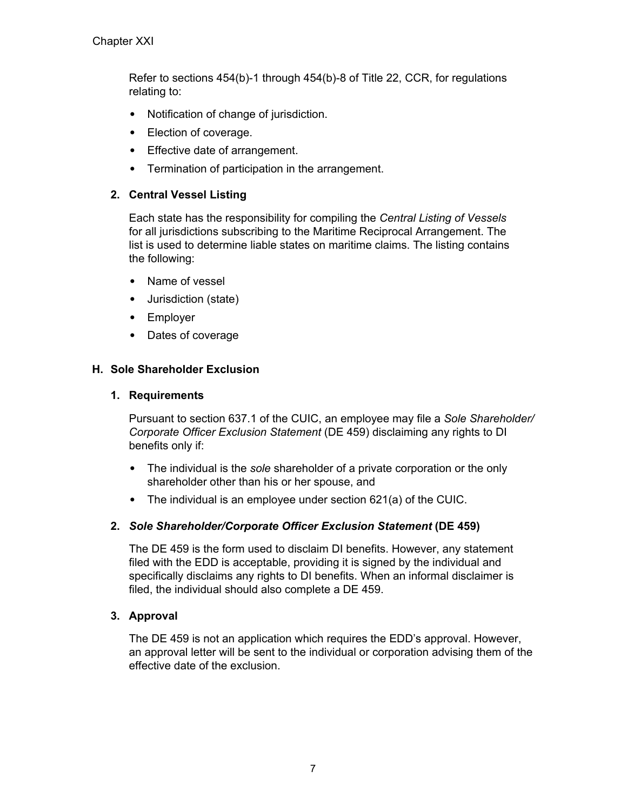Refer to sections 454(b)-1 through 454(b)-8 of Title 22, CCR, for regulations relating to:

- Notification of change of jurisdiction.
- Election of coverage.
- Effective date of arrangement.
- Termination of participation in the arrangement.

### **2. Central Vessel Listing**

Each state has the responsibility for compiling the *Central Listing of Vessels* for all jurisdictions subscribing to the Maritime Reciprocal Arrangement. The list is used to determine liable states on maritime claims. The listing contains the following:

- Name of vessel
- Jurisdiction (state)
- Employer
- Dates of coverage

### **H. Sole Shareholder Exclusion**

#### **1. Requirements**

Pursuant to section 637.1 of the CUIC, an employee may file a *Sole Shareholder/ Corporate Officer Exclusion Statement* (DE 459) disclaiming any rights to DI benefits only if:

- The individual is the *sole* shareholder of a private corporation or the only shareholder other than his or her spouse, and
- The individual is an employee under section 621(a) of the CUIC.

#### **2.** *Sole Shareholder/Corporate Officer Exclusion Statement* **(DE 459)**

The DE 459 is the form used to disclaim DI benefits. However, any statement filed with the EDD is acceptable, providing it is signed by the individual and specifically disclaims any rights to DI benefits. When an informal disclaimer is filed, the individual should also complete a DE 459.

#### **3. Approval**

The DE 459 is not an application which requires the EDD's approval. However, an approval letter will be sent to the individual or corporation advising them of the effective date of the exclusion.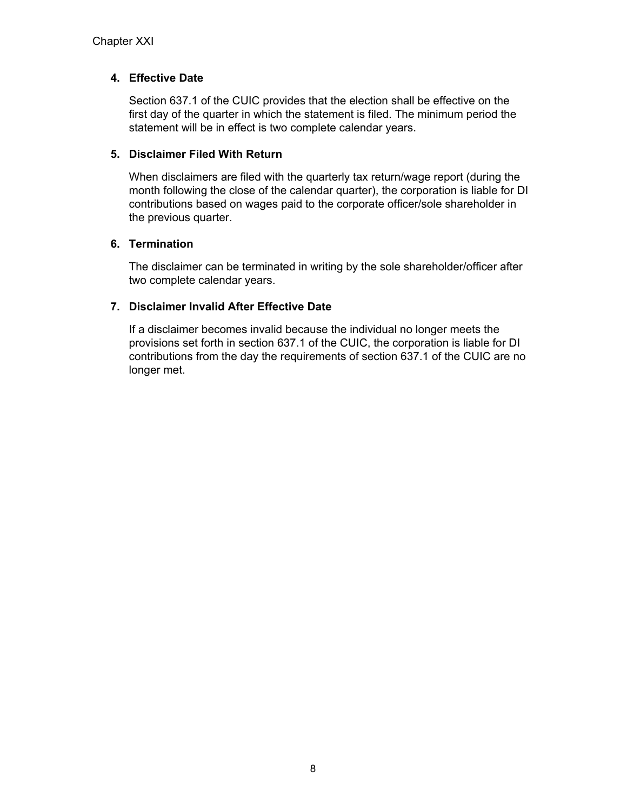### **4. Effective Date**

Section 637.1 of the CUIC provides that the election shall be effective on the first day of the quarter in which the statement is filed. The minimum period the statement will be in effect is two complete calendar years.

#### **5. Disclaimer Filed With Return**

When disclaimers are filed with the quarterly tax return/wage report (during the month following the close of the calendar quarter), the corporation is liable for DI contributions based on wages paid to the corporate officer/sole shareholder in the previous quarter.

### **6. Termination**

The disclaimer can be terminated in writing by the sole shareholder/officer after two complete calendar years.

## **7. Disclaimer Invalid After Effective Date**

If a disclaimer becomes invalid because the individual no longer meets the provisions set forth in section 637.1 of the CUIC, the corporation is liable for DI contributions from the day the requirements of section 637.1 of the CUIC are no longer met.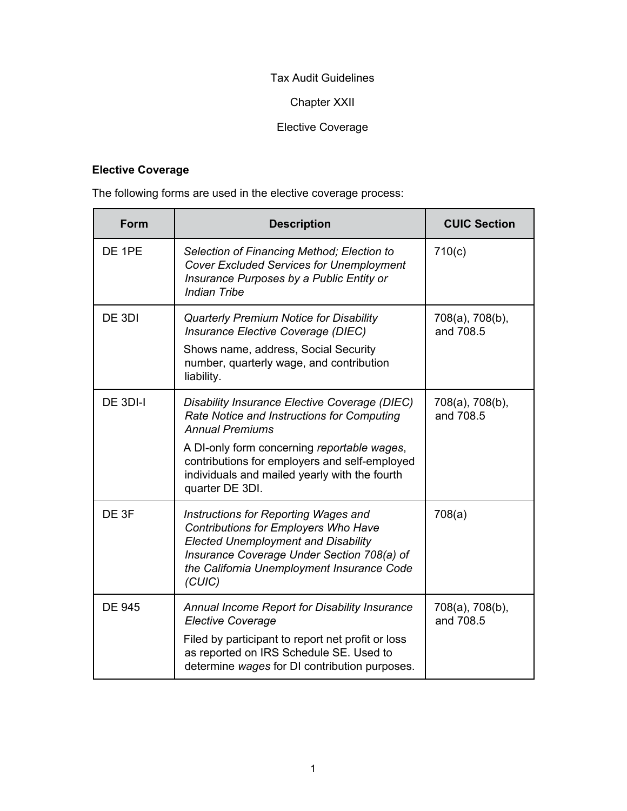## Tax Audit Guidelines

## Chapter XXII

# Elective Coverage

## **Elective Coverage**

The following forms are used in the elective coverage process:

| <b>Form</b>   | <b>Description</b>                                                                                                                                                                                                                                                                        | <b>CUIC Section</b>          |
|---------------|-------------------------------------------------------------------------------------------------------------------------------------------------------------------------------------------------------------------------------------------------------------------------------------------|------------------------------|
| DE 1PE        | Selection of Financing Method; Election to<br><b>Cover Excluded Services for Unemployment</b><br>Insurance Purposes by a Public Entity or<br><b>Indian Tribe</b>                                                                                                                          | 710(c)                       |
| DE 3DI        | <b>Quarterly Premium Notice for Disability</b><br>Insurance Elective Coverage (DIEC)<br>Shows name, address, Social Security<br>number, quarterly wage, and contribution<br>liability.                                                                                                    | 708(a), 708(b),<br>and 708.5 |
| DE 3DI-I      | Disability Insurance Elective Coverage (DIEC)<br>Rate Notice and Instructions for Computing<br><b>Annual Premiums</b><br>A DI-only form concerning reportable wages,<br>contributions for employers and self-employed<br>individuals and mailed yearly with the fourth<br>quarter DE 3DI. | 708(a), 708(b),<br>and 708.5 |
| DE 3F         | Instructions for Reporting Wages and<br>Contributions for Employers Who Have<br><b>Elected Unemployment and Disability</b><br>Insurance Coverage Under Section 708(a) of<br>the California Unemployment Insurance Code<br>(CUIC)                                                          | 708(a)                       |
| <b>DE 945</b> | Annual Income Report for Disability Insurance<br><b>Elective Coverage</b><br>Filed by participant to report net profit or loss<br>as reported on IRS Schedule SE. Used to<br>determine wages for DI contribution purposes.                                                                | 708(a), 708(b),<br>and 708.5 |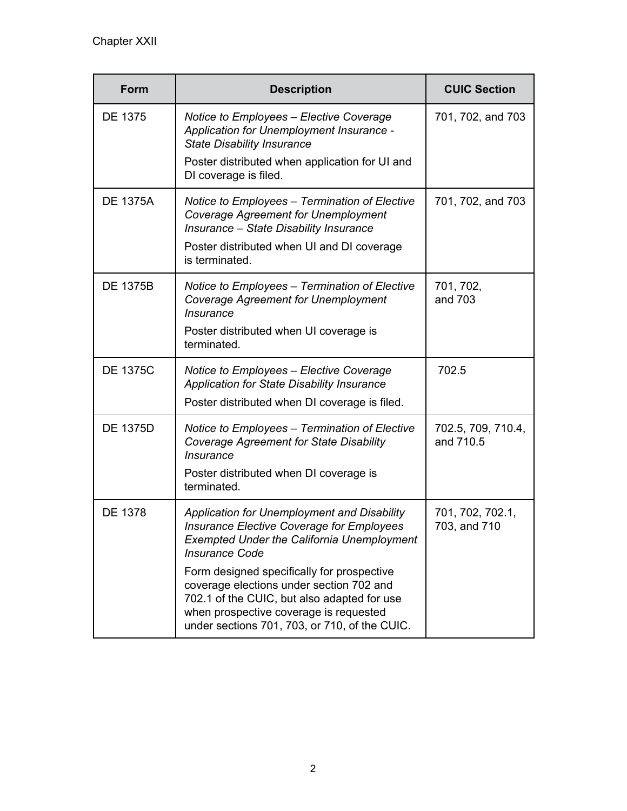| Form            | <b>Description</b>                                                                                                                                                                                                                                                                                                                                                                                         | <b>CUIC Section</b>              |
|-----------------|------------------------------------------------------------------------------------------------------------------------------------------------------------------------------------------------------------------------------------------------------------------------------------------------------------------------------------------------------------------------------------------------------------|----------------------------------|
| DE 1375         | Notice to Employees - Elective Coverage<br>Application for Unemployment Insurance -<br><b>State Disability Insurance</b><br>Poster distributed when application for UI and<br>DI coverage is filed.                                                                                                                                                                                                        | 701, 702, and 703                |
| <b>DE 1375A</b> | Notice to Employees - Termination of Elective<br><b>Coverage Agreement for Unemployment</b><br>Insurance - State Disability Insurance<br>Poster distributed when UI and DI coverage<br>is terminated.                                                                                                                                                                                                      | 701, 702, and 703                |
| <b>DE 1375B</b> | Notice to Employees - Termination of Elective<br><b>Coverage Agreement for Unemployment</b><br><i><b>Insurance</b></i><br>Poster distributed when UI coverage is<br>terminated.                                                                                                                                                                                                                            | 701, 702,<br>and 703             |
| <b>DE 1375C</b> | Notice to Employees - Elective Coverage<br><b>Application for State Disability Insurance</b><br>Poster distributed when DI coverage is filed.                                                                                                                                                                                                                                                              | 702.5                            |
| <b>DE 1375D</b> | Notice to Employees - Termination of Elective<br><b>Coverage Agreement for State Disability</b><br><i><b>Insurance</b></i><br>Poster distributed when DI coverage is<br>terminated.                                                                                                                                                                                                                        | 702.5, 709, 710.4,<br>and 710.5  |
| DE 1378         | Application for Unemployment and Disability<br>Insurance Elective Coverage for Employees<br><b>Exempted Under the California Unemployment</b><br><b>Insurance Code</b><br>Form designed specifically for prospective<br>coverage elections under section 702 and<br>702.1 of the CUIC, but also adapted for use<br>when prospective coverage is requested<br>under sections 701, 703, or 710, of the CUIC. | 701, 702, 702.1,<br>703, and 710 |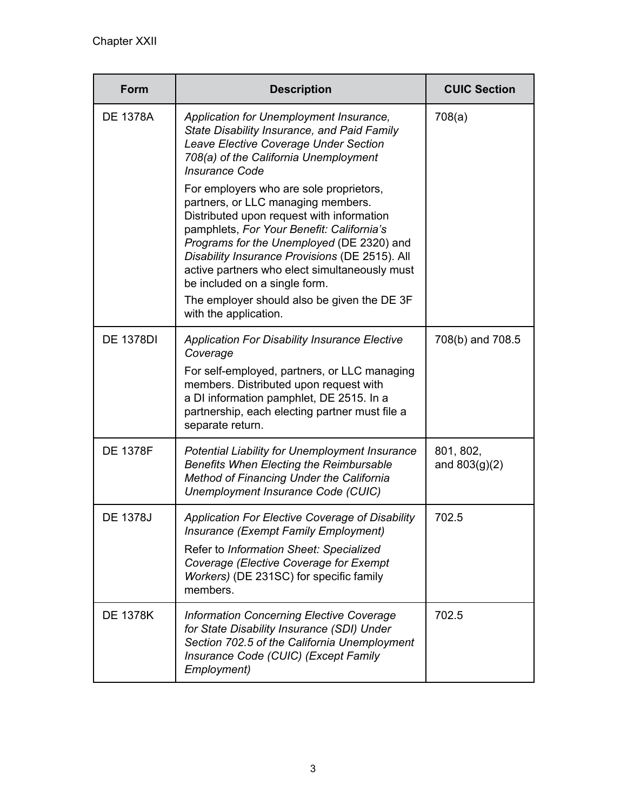| <b>Form</b>      | <b>Description</b>                                                                                                                                                                                                                                                                                                                                                                                                               | <b>CUIC Section</b>          |
|------------------|----------------------------------------------------------------------------------------------------------------------------------------------------------------------------------------------------------------------------------------------------------------------------------------------------------------------------------------------------------------------------------------------------------------------------------|------------------------------|
| <b>DE 1378A</b>  | Application for Unemployment Insurance,<br>State Disability Insurance, and Paid Family<br>Leave Elective Coverage Under Section<br>708(a) of the California Unemployment<br><b>Insurance Code</b>                                                                                                                                                                                                                                | 708(a)                       |
|                  | For employers who are sole proprietors,<br>partners, or LLC managing members.<br>Distributed upon request with information<br>pamphlets, For Your Benefit: California's<br>Programs for the Unemployed (DE 2320) and<br>Disability Insurance Provisions (DE 2515). All<br>active partners who elect simultaneously must<br>be included on a single form.<br>The employer should also be given the DE 3F<br>with the application. |                              |
| <b>DE 1378DI</b> | <b>Application For Disability Insurance Elective</b><br>Coverage<br>For self-employed, partners, or LLC managing<br>members. Distributed upon request with<br>a DI information pamphlet, DE 2515. In a<br>partnership, each electing partner must file a<br>separate return.                                                                                                                                                     | 708(b) and 708.5             |
| <b>DE 1378F</b>  | Potential Liability for Unemployment Insurance<br><b>Benefits When Electing the Reimbursable</b><br>Method of Financing Under the California<br>Unemployment Insurance Code (CUIC)                                                                                                                                                                                                                                               | 801, 802,<br>and $803(g)(2)$ |
| <b>DE 1378J</b>  | Application For Elective Coverage of Disability<br>Insurance (Exempt Family Employment)<br>Refer to Information Sheet: Specialized<br>Coverage (Elective Coverage for Exempt<br>Workers) (DE 231SC) for specific family<br>members.                                                                                                                                                                                              | 702.5                        |
| <b>DE 1378K</b>  | <b>Information Concerning Elective Coverage</b><br>for State Disability Insurance (SDI) Under<br>Section 702.5 of the California Unemployment<br>Insurance Code (CUIC) (Except Family<br>Employment)                                                                                                                                                                                                                             | 702.5                        |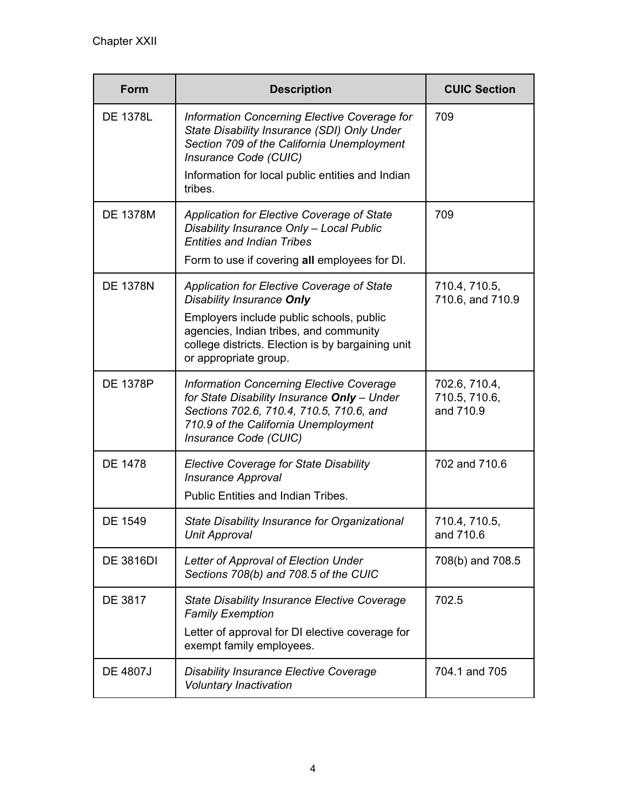| <b>Form</b>      | <b>Description</b>                                                                                                                                                                                                                          | <b>CUIC Section</b>                         |
|------------------|---------------------------------------------------------------------------------------------------------------------------------------------------------------------------------------------------------------------------------------------|---------------------------------------------|
| <b>DE 1378L</b>  | Information Concerning Elective Coverage for<br>State Disability Insurance (SDI) Only Under<br>Section 709 of the California Unemployment<br>Insurance Code (CUIC)<br>Information for local public entities and Indian                      | 709                                         |
|                  | tribes.                                                                                                                                                                                                                                     |                                             |
| <b>DE 1378M</b>  | Application for Elective Coverage of State<br>Disability Insurance Only - Local Public<br><b>Entities and Indian Tribes</b>                                                                                                                 | 709                                         |
|                  | Form to use if covering all employees for DI.                                                                                                                                                                                               |                                             |
| <b>DE 1378N</b>  | Application for Elective Coverage of State<br>Disability Insurance Only<br>Employers include public schools, public<br>agencies, Indian tribes, and community<br>college districts. Election is by bargaining unit<br>or appropriate group. | 710.4, 710.5,<br>710.6, and 710.9           |
| <b>DE 1378P</b>  | <b>Information Concerning Elective Coverage</b><br>for State Disability Insurance Only - Under<br>Sections 702.6, 710.4, 710.5, 710.6, and<br>710.9 of the California Unemployment<br>Insurance Code (CUIC)                                 | 702.6, 710.4,<br>710.5, 710.6,<br>and 710.9 |
| <b>DE 1478</b>   | <b>Elective Coverage for State Disability</b><br><b>Insurance Approval</b><br>Public Entities and Indian Tribes.                                                                                                                            | 702 and 710.6                               |
| <b>DE 1549</b>   | State Disability Insurance for Organizational<br>Unit Approval                                                                                                                                                                              | 710.4, 710.5,<br>and 710.6                  |
| <b>DE 3816DI</b> | Letter of Approval of Election Under<br>Sections 708(b) and 708.5 of the CUIC                                                                                                                                                               | 708(b) and 708.5                            |
| DE 3817          | <b>State Disability Insurance Elective Coverage</b><br><b>Family Exemption</b><br>Letter of approval for DI elective coverage for<br>exempt family employees.                                                                               | 702.5                                       |
| <b>DE 4807J</b>  | <b>Disability Insurance Elective Coverage</b><br><b>Voluntary Inactivation</b>                                                                                                                                                              | 704.1 and 705                               |